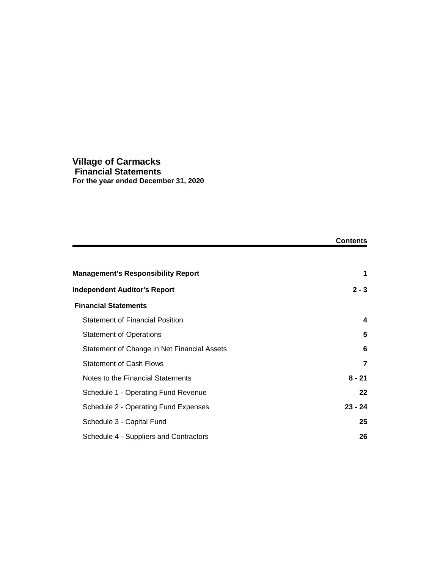#### **Village of Carmacks Financial Statements For the year ended December 31, 2020**

|                                             | <b>Contents</b> |
|---------------------------------------------|-----------------|
|                                             |                 |
| <b>Management's Responsibility Report</b>   | 1               |
| <b>Independent Auditor's Report</b>         | $2 - 3$         |
| <b>Financial Statements</b>                 |                 |
| <b>Statement of Financial Position</b>      | 4               |
| <b>Statement of Operations</b>              | 5               |
| Statement of Change in Net Financial Assets | 6               |
| <b>Statement of Cash Flows</b>              | 7               |
| Notes to the Financial Statements           | $8 - 21$        |
| Schedule 1 - Operating Fund Revenue         | 22              |
| Schedule 2 - Operating Fund Expenses        | $23 - 24$       |
| Schedule 3 - Capital Fund                   | 25              |
| Schedule 4 - Suppliers and Contractors      | 26              |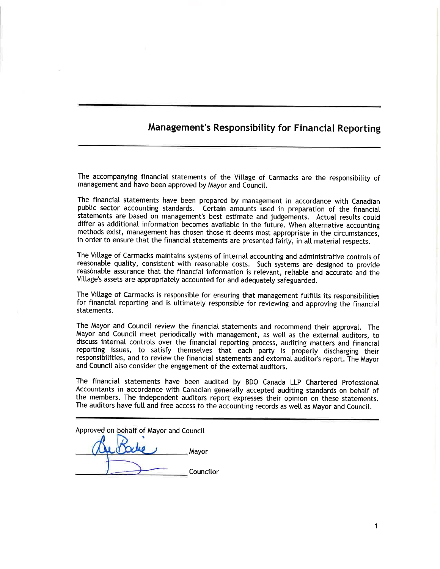### Management's Responsibility for Financial Reporting

The accompanying financial statements of the Village of Carmacks are the responsibility of management and have been approved by Mayor and Council.

The financial statements have been prepared by management in accordance with Canadian public sector accounting standards. Certain amounts used in preparation of the financial statements are based on management's best estimate and judgements. Actual results could differ as additional information becomes available in the future. When alternative accounting methods exist, management has chosen those it deems most appropriate in the circumstances, in order to ensure that the financial statements are presented fairly, in all material respects.

The Village of Carmacks maintains systems of internal accounting and administrative controls of reasonable quality, consistent with reasonable costs. Such systems are designed to provide reasonable assurance that the financial information is relevant, reliable and accurate and the Village's assets are appropriately accounted for and adequately safeguarded.

The Village of Carmacks is responsible for ensuring that management fulfills its responsibilities for financial reporting and is ultimately responsible for reviewing and approving the financial statements.

The Mayor and Council review the financial statements and recommend their approval. The Mayor and Council meet periodically with management, as well as the external auditors, to discuss internal controls over the financial reporting process, auditing matters and financial reporting issues, to satisfy themselves that each party is properly discharging their responsibilities, and to review the financial statements and external auditor's report. The Mayor and Council also consider the engagement of the external auditors.

The financial statements have been audited by BDO Canada LLP Chartered Professional Accountants in accordance with Canadian generally accepted auditing standards on behalf of the members. The independent auditors report expresses their opinion on these statements. The auditors have full and free access to the accounting records as well as Mayor and Council.

Approved on behalf of Mayor and Council

Mayor Councilor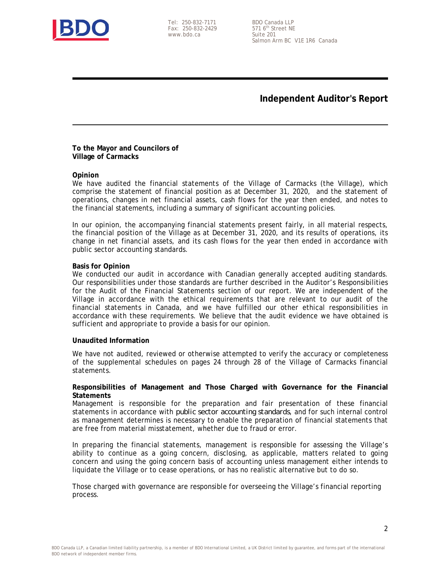

Tel: 250-832-7171 Fax: 250-832-2429 www.bdo.ca

BDO Canada LLP 571 6<sup>th</sup> Street NE Suite 201 Salmon Arm BC V1E 1R6 Canada

**Independent Auditor's Report**

**To the Mayor and Councilors of Village of Carmacks**

#### **Opinion**

We have audited the financial statements of the Village of Carmacks (the Village), which comprise the statement of financial position as at December 31, 2020, and the statement of operations, changes in net financial assets, cash flows for the year then ended, and notes to the financial statements, including a summary of significant accounting policies.

In our opinion, the accompanying financial statements present fairly, in all material respects, the financial position of the Village as at December 31, 2020, and its results of operations, its change in net financial assets, and its cash flows for the year then ended in accordance with public sector accounting standards.

#### **Basis for Opinion**

We conducted our audit in accordance with Canadian generally accepted auditing standards. Our responsibilities under those standards are further described in the Auditor's Responsibilities for the Audit of the Financial Statements section of our report. We are independent of the Village in accordance with the ethical requirements that are relevant to our audit of the financial statements in Canada, and we have fulfilled our other ethical responsibilities in accordance with these requirements. We believe that the audit evidence we have obtained is sufficient and appropriate to provide a basis for our opinion.

#### **Unaudited Information**

We have not audited, reviewed or otherwise attempted to verify the accuracy or completeness of the supplemental schedules on pages 24 through 28 of the Village of Carmacks financial statements.

**Responsibilities of Management and Those Charged with Governance for the Financial Statements**

Management is responsible for the preparation and fair presentation of these financial statements in accordance with *public sector accounting standards*, and for such internal control as management determines is necessary to enable the preparation of financial statements that are free from material misstatement, whether due to fraud or error.

In preparing the financial statements, management is responsible for assessing the Village's ability to continue as a going concern, disclosing, as applicable, matters related to going concern and using the going concern basis of accounting unless management either intends to liquidate the Village or to cease operations, or has no realistic alternative but to do so.

Those charged with governance are responsible for overseeing the Village's financial reporting process.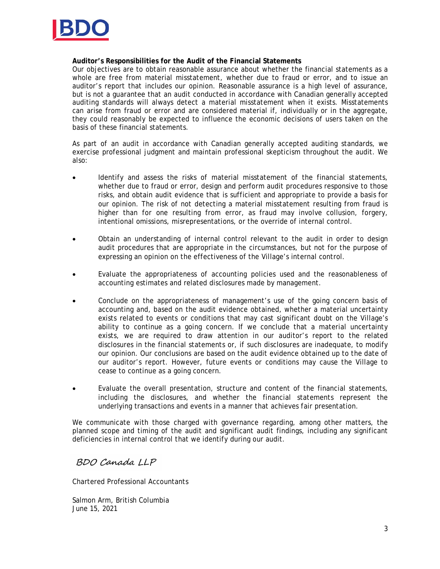

**Auditor's Responsibilities for the Audit of the Financial Statements**

Our objectives are to obtain reasonable assurance about whether the financial statements as a whole are free from material misstatement, whether due to fraud or error, and to issue an auditor's report that includes our opinion. Reasonable assurance is a high level of assurance, but is not a guarantee that an audit conducted in accordance with Canadian generally accepted auditing standards will always detect a material misstatement when it exists. Misstatements can arise from fraud or error and are considered material if, individually or in the aggregate, they could reasonably be expected to influence the economic decisions of users taken on the basis of these financial statements.

As part of an audit in accordance with Canadian generally accepted auditing standards, we exercise professional judgment and maintain professional skepticism throughout the audit. We also:

- · Identify and assess the risks of material misstatement of the financial statements, whether due to fraud or error, design and perform audit procedures responsive to those risks, and obtain audit evidence that is sufficient and appropriate to provide a basis for our opinion. The risk of not detecting a material misstatement resulting from fraud is higher than for one resulting from error, as fraud may involve collusion, forgery, intentional omissions, misrepresentations, or the override of internal control.
- · Obtain an understanding of internal control relevant to the audit in order to design audit procedures that are appropriate in the circumstances, but not for the purpose of expressing an opinion on the effectiveness of the Village's internal control.
- · Evaluate the appropriateness of accounting policies used and the reasonableness of accounting estimates and related disclosures made by management.
- · Conclude on the appropriateness of management's use of the going concern basis of accounting and, based on the audit evidence obtained, whether a material uncertainty exists related to events or conditions that may cast significant doubt on the Village's ability to continue as a going concern. If we conclude that a material uncertainty exists, we are required to draw attention in our auditor's report to the related disclosures in the financial statements or, if such disclosures are inadequate, to modify our opinion. Our conclusions are based on the audit evidence obtained up to the date of our auditor's report. However, future events or conditions may cause the Village to cease to continue as a going concern.
- Evaluate the overall presentation, structure and content of the financial statements, including the disclosures, and whether the financial statements represent the underlying transactions and events in a manner that achieves fair presentation.

We communicate with those charged with governance regarding, among other matters, the planned scope and timing of the audit and significant audit findings, including any significant deficiencies in internal control that we identify during our audit.

### BDO Canada LLP

Chartered Professional Accountants

Salmon Arm, British Columbia June 15, 2021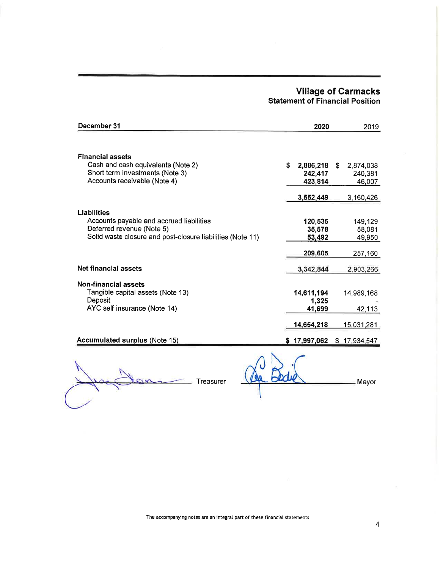# Village of Carmacks<br>Statement of Financial Position

| December 31                                                | 2020            | 2019            |
|------------------------------------------------------------|-----------------|-----------------|
| <b>Financial assets</b>                                    |                 |                 |
| Cash and cash equivalents (Note 2)                         | \$<br>2,886,218 | \$<br>2,874,038 |
| Short term investments (Note 3)                            | 242,417         | 240,381         |
| Accounts receivable (Note 4)                               | 423,814         | 46,007          |
|                                                            | 3,552,449       | 3,160,426       |
| <b>Liabilities</b>                                         |                 |                 |
| Accounts payable and accrued liabilities                   | 120,535         | 149,129         |
| Deferred revenue (Note 5)                                  | 35,578          | 58,081          |
| Solid waste closure and post-closure liabilities (Note 11) | 53,492          | 49,950          |
|                                                            | 209,605         | 257,160         |
| Net financial assets                                       | 3,342,844       | 2,903,266       |
| <b>Non-financial assets</b>                                |                 |                 |
| Tangible capital assets (Note 13)                          | 14,611,194      | 14,989,168      |
| Deposit                                                    | 1,325           |                 |
| AYC self insurance (Note 14)                               | 41,699          | 42,113          |
|                                                            | 14,654,218      | 15,031,281      |
| <b>Accumulated surplus (Note 15)</b>                       | \$17,997,062    | \$17,934,547    |
|                                                            |                 |                 |

 $\Box$  Treasurer

— Mayor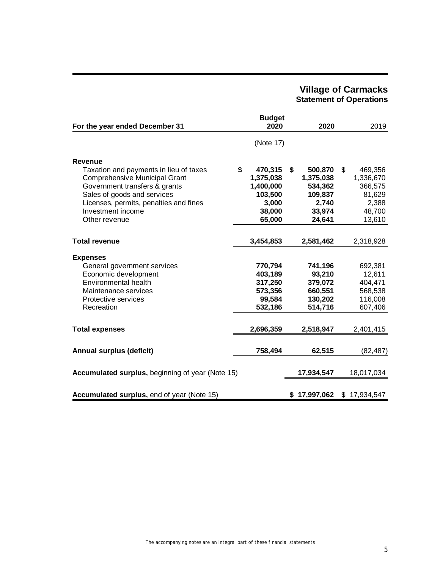#### **Village of Carmacks Statement of Operations**

| For the year ended December 31                                                                                                                                                                                                     | <b>Budget</b><br>2020                                                           | 2020                                                                          | 2019                                                                         |
|------------------------------------------------------------------------------------------------------------------------------------------------------------------------------------------------------------------------------------|---------------------------------------------------------------------------------|-------------------------------------------------------------------------------|------------------------------------------------------------------------------|
|                                                                                                                                                                                                                                    | (Note 17)                                                                       |                                                                               |                                                                              |
| Revenue<br>Taxation and payments in lieu of taxes<br>Comprehensive Municipal Grant<br>Government transfers & grants<br>Sales of goods and services<br>Licenses, permits, penalties and fines<br>Investment income<br>Other revenue | \$<br>470,315<br>1,375,038<br>1,400,000<br>103,500<br>3,000<br>38,000<br>65,000 | \$<br>500,870<br>1,375,038<br>534,362<br>109,837<br>2,740<br>33,974<br>24,641 | \$<br>469,356<br>1,336,670<br>366,575<br>81,629<br>2,388<br>48,700<br>13,610 |
| <b>Total revenue</b>                                                                                                                                                                                                               | 3,454,853                                                                       | 2,581,462                                                                     | 2,318,928                                                                    |
| <b>Expenses</b><br>General government services<br>Economic development<br>Environmental health<br>Maintenance services<br>Protective services<br>Recreation                                                                        | 770,794<br>403,189<br>317,250<br>573,356<br>99,584<br>532,186                   | 741,196<br>93,210<br>379,072<br>660,551<br>130,202<br>514,716                 | 692,381<br>12,611<br>404,471<br>568,538<br>116,008<br>607,406                |
| <b>Total expenses</b>                                                                                                                                                                                                              | 2,696,359                                                                       | 2,518,947                                                                     | 2,401,415                                                                    |
| <b>Annual surplus (deficit)</b>                                                                                                                                                                                                    | 758,494                                                                         | 62,515                                                                        | (82,487)                                                                     |
| Accumulated surplus, beginning of year (Note 15)                                                                                                                                                                                   |                                                                                 | 17,934,547                                                                    | 18,017,034                                                                   |
| Accumulated surplus, end of year (Note 15)                                                                                                                                                                                         |                                                                                 | \$17,997,062                                                                  | \$17,934,547                                                                 |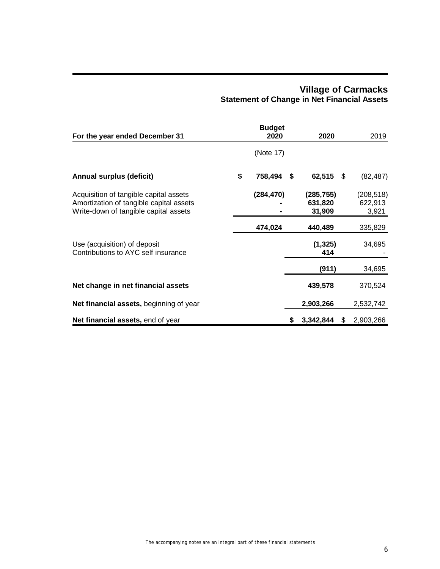### **Village of Carmacks Statement of Change in Net Financial Assets**

| For the year ended December 31                                                                                             | <b>Budget</b><br>2020 |      | 2020                           | 2019                           |
|----------------------------------------------------------------------------------------------------------------------------|-----------------------|------|--------------------------------|--------------------------------|
|                                                                                                                            | (Note 17)             |      |                                |                                |
| Annual surplus (deficit)                                                                                                   | \$<br>758,494         | - \$ | 62,515 \$                      | (82, 487)                      |
| Acquisition of tangible capital assets<br>Amortization of tangible capital assets<br>Write-down of tangible capital assets | (284, 470)            |      | (285,755)<br>631,820<br>31,909 | (208, 518)<br>622,913<br>3,921 |
|                                                                                                                            | 474,024               |      | 440,489                        | 335,829                        |
| Use (acquisition) of deposit<br>Contributions to AYC self insurance                                                        |                       |      | (1, 325)<br>414                | 34,695                         |
|                                                                                                                            |                       |      | (911)                          | 34,695                         |
| Net change in net financial assets                                                                                         |                       |      | 439,578                        | 370,524                        |
| Net financial assets, beginning of year                                                                                    |                       |      | 2,903,266                      | 2,532,742                      |
| Net financial assets, end of year                                                                                          |                       | \$   | 3,342,844                      | \$<br>2,903,266                |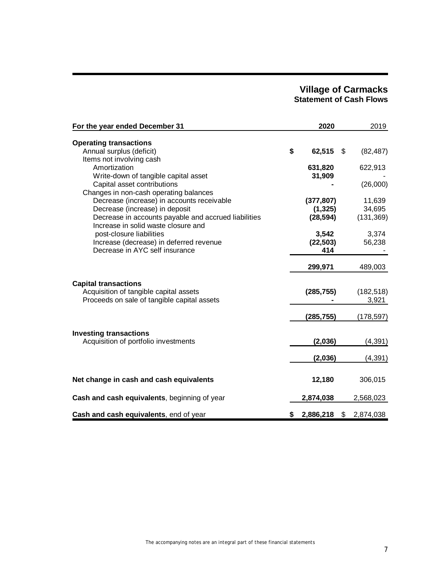#### **Village of Carmacks Statement of Cash Flows**

| For the year ended December 31                                                              | 2020            | 2019            |
|---------------------------------------------------------------------------------------------|-----------------|-----------------|
| <b>Operating transactions</b><br>Annual surplus (deficit)                                   | \$<br>62,515    | \$<br>(82, 487) |
| Items not involving cash                                                                    |                 |                 |
| Amortization                                                                                | 631,820         | 622,913         |
| Write-down of tangible capital asset                                                        | 31,909          |                 |
| Capital asset contributions                                                                 |                 | (26,000)        |
| Changes in non-cash operating balances                                                      |                 |                 |
| Decrease (increase) in accounts receivable                                                  | (377, 807)      | 11,639          |
| Decrease (increase) in deposit                                                              | (1, 325)        | 34,695          |
| Decrease in accounts payable and accrued liabilities<br>Increase in solid waste closure and | (28, 594)       | (131, 369)      |
| post-closure liabilities                                                                    | 3,542           | 3,374           |
| Increase (decrease) in deferred revenue                                                     | (22, 503)       | 56,238          |
| Decrease in AYC self insurance                                                              | 414             |                 |
|                                                                                             | 299,971         | 489,003         |
| <b>Capital transactions</b>                                                                 |                 |                 |
| Acquisition of tangible capital assets                                                      | (285, 755)      | (182, 518)      |
| Proceeds on sale of tangible capital assets                                                 |                 | 3,921           |
|                                                                                             | (285, 755)      | (178, 597)      |
|                                                                                             |                 |                 |
| <b>Investing transactions</b>                                                               |                 |                 |
| Acquisition of portfolio investments                                                        | (2,036)         | (4, 391)        |
|                                                                                             | (2,036)         | (4, 391)        |
|                                                                                             |                 |                 |
| Net change in cash and cash equivalents                                                     | 12,180          | 306,015         |
| Cash and cash equivalents, beginning of year                                                | 2,874,038       | 2,568,023       |
|                                                                                             |                 |                 |
| Cash and cash equivalents, end of year                                                      | \$<br>2,886,218 | \$<br>2,874,038 |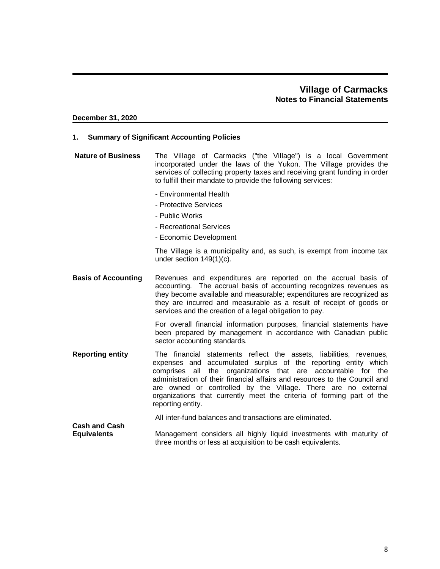#### **December 31, 2020**

#### **1. Summary of Significant Accounting Policies**

- **Nature of Business** The Village of Carmacks ("the Village") is a local Government incorporated under the laws of the Yukon. The Village provides the services of collecting property taxes and receiving grant funding in order to fulfill their mandate to provide the following services:
	- Environmental Health
	- Protective Services
	- Public Works
	- Recreational Services
	- Economic Development

The Village is a municipality and, as such, is exempt from income tax under section 149(1)(c).

**Basis of Accounting** Revenues and expenditures are reported on the accrual basis of accounting. The accrual basis of accounting recognizes revenues as they become available and measurable; expenditures are recognized as they are incurred and measurable as a result of receipt of goods or services and the creation of a legal obligation to pay.

> For overall financial information purposes, financial statements have been prepared by management in accordance with Canadian public sector accounting standards.

**Reporting entity** The financial statements reflect the assets, liabilities, revenues, expenses and accumulated surplus of the reporting entity which comprises all the organizations that are accountable for the administration of their financial affairs and resources to the Council and are owned or controlled by the Village. There are no external organizations that currently meet the criteria of forming part of the reporting entity.

All inter-fund balances and transactions are eliminated. **Cash and Cash Equivalents** Management considers all highly liquid investments with maturity of three months or less at acquisition to be cash equivalents.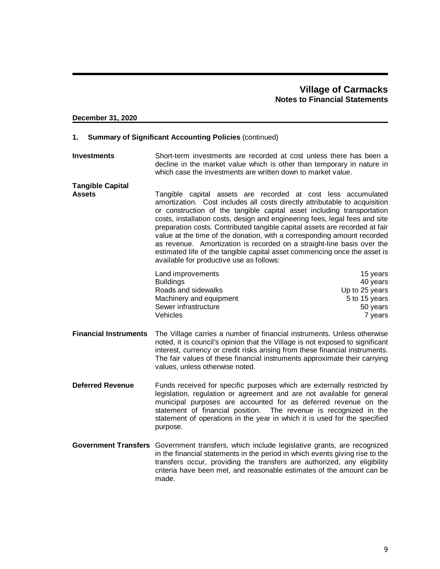#### **December 31, 2020**

#### **1. Summary of Significant Accounting Policies** (continued)

**Investments** Short-term investments are recorded at cost unless there has been a decline in the market value which is other than temporary in nature in which case the investments are written down to market value.

#### **Tangible Capital**

**Assets** Tangible capital assets are recorded at cost less accumulated amortization. Cost includes all costs directly attributable to acquisition or construction of the tangible capital asset including transportation costs, installation costs, design and engineering fees, legal fees and site preparation costs. Contributed tangible capital assets are recorded at fair value at the time of the donation, with a corresponding amount recorded as revenue. Amortization is recorded on a straight-line basis over the estimated life of the tangible capital asset commencing once the asset is available for productive use as follows:

| Land improvements       | 15 years       |
|-------------------------|----------------|
| <b>Buildings</b>        | 40 years       |
| Roads and sidewalks     | Up to 25 years |
| Machinery and equipment | 5 to 15 years  |
| Sewer infrastructure    | 50 years       |
| <b>Vehicles</b>         | 7 years        |

- **Financial Instruments** The Village carries a number of financial instruments. Unless otherwise noted, it is council's opinion that the Village is not exposed to significant interest, currency or credit risks arising from these financial instruments. The fair values of these financial instruments approximate their carrying values, unless otherwise noted.
- **Deferred Revenue** Funds received for specific purposes which are externally restricted by legislation, regulation or agreement and are not available for general municipal purposes are accounted for as deferred revenue on the statement of financial position. The revenue is recognized in the statement of operations in the year in which it is used for the specified purpose.
- **Government Transfers** Government transfers, which include legislative grants, are recognized in the financial statements in the period in which events giving rise to the transfers occur, providing the transfers are authorized, any eligibility criteria have been met, and reasonable estimates of the amount can be made.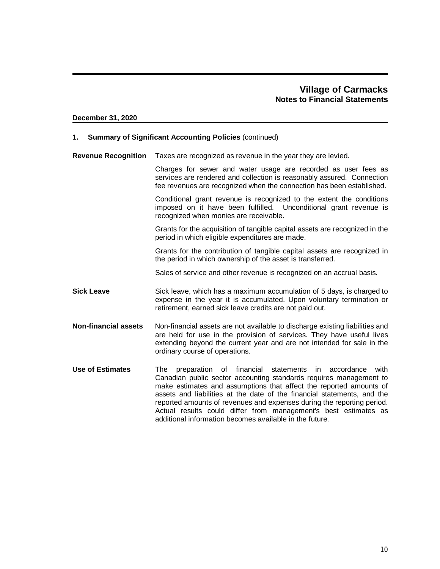#### **December 31, 2020**

#### **1. Summary of Significant Accounting Policies** (continued)

**Revenue Recognition** Taxes are recognized as revenue in the year they are levied.

Charges for sewer and water usage are recorded as user fees as services are rendered and collection is reasonably assured. Connection fee revenues are recognized when the connection has been established.

Conditional grant revenue is recognized to the extent the conditions imposed on it have been fulfilled. Unconditional grant revenue is recognized when monies are receivable.

Grants for the acquisition of tangible capital assets are recognized in the period in which eligible expenditures are made.

Grants for the contribution of tangible capital assets are recognized in the period in which ownership of the asset is transferred.

Sales of service and other revenue is recognized on an accrual basis.

- **Sick Leave** Sick leave, which has a maximum accumulation of 5 days, is charged to expense in the year it is accumulated. Upon voluntary termination or retirement, earned sick leave credits are not paid out.
- **Non-financial assets** Non-financial assets are not available to discharge existing liabilities and are held for use in the provision of services. They have useful lives extending beyond the current year and are not intended for sale in the ordinary course of operations.
- **Use of Estimates** The preparation of financial statements in accordance with Canadian public sector accounting standards requires management to make estimates and assumptions that affect the reported amounts of assets and liabilities at the date of the financial statements, and the reported amounts of revenues and expenses during the reporting period. Actual results could differ from management's best estimates as additional information becomes available in the future.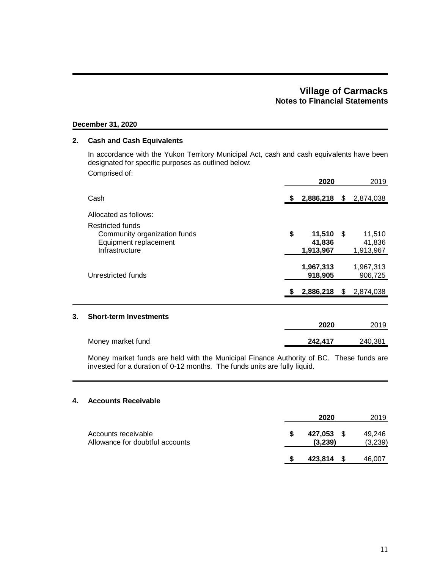#### **December 31, 2020**

#### **2. Cash and Cash Equivalents**

In accordance with the Yukon Territory Municipal Act, cash and cash equivalents have been designated for specific purposes as outlined below:

Comprised of:

|    |                                                                                             |    | 2020                          |      | 2019                          |
|----|---------------------------------------------------------------------------------------------|----|-------------------------------|------|-------------------------------|
|    | Cash                                                                                        | S  | 2,886,218                     | \$   | 2,874,038                     |
|    | Allocated as follows:                                                                       |    |                               |      |                               |
|    | Restricted funds<br>Community organization funds<br>Equipment replacement<br>Infrastructure | \$ | 11,510<br>41,836<br>1,913,967 | - \$ | 11,510<br>41,836<br>1,913,967 |
|    | Unrestricted funds                                                                          |    | 1,967,313<br>918,905          |      | 1,967,313<br>906,725          |
|    |                                                                                             |    | 2,886,218                     | \$   | 2,874,038                     |
| 3. | <b>Short-term Investments</b>                                                               |    | 2020                          |      | 2019                          |
|    |                                                                                             |    |                               |      |                               |
|    | Money market fund                                                                           |    | 242,417                       |      | 240,381                       |

Money market funds are held with the Municipal Finance Authority of BC. These funds are invested for a duration of 0-12 months. The funds units are fully liquid.

#### **4. Accounts Receivable**

|                                                        | 2020                  | 2019              |
|--------------------------------------------------------|-----------------------|-------------------|
| Accounts receivable<br>Allowance for doubtful accounts | 427,053 \$<br>(3.239) | 49.246<br>(3,239) |
|                                                        | 423.814               | 46,007            |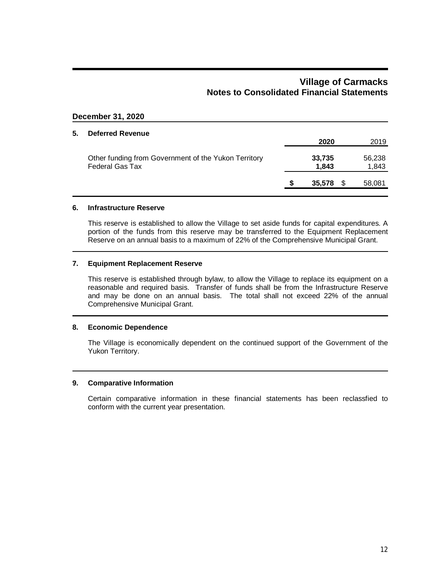### **Village of Carmacks Notes to Consolidated Financial Statements**

#### **December 31, 2020**

#### **5. Deferred Revenue**

| <b>DEILIER IVEAEINE</b>                                                        | 2020            | 2019            |
|--------------------------------------------------------------------------------|-----------------|-----------------|
| Other funding from Government of the Yukon Territory<br><b>Federal Gas Tax</b> | 33,735<br>1.843 | 56,238<br>1,843 |
|                                                                                | 35.578 \$       | 58,081          |

#### **6. Infrastructure Reserve**

This reserve is established to allow the Village to set aside funds for capital expenditures. A portion of the funds from this reserve may be transferred to the Equipment Replacement Reserve on an annual basis to a maximum of 22% of the Comprehensive Municipal Grant.

#### **7. Equipment Replacement Reserve**

This reserve is established through bylaw, to allow the Village to replace its equipment on a reasonable and required basis. Transfer of funds shall be from the Infrastructure Reserve and may be done on an annual basis. The total shall not exceed 22% of the annual Comprehensive Municipal Grant.

#### **8. Economic Dependence**

The Village is economically dependent on the continued support of the Government of the Yukon Territory.

#### **9. Comparative Information**

Certain comparative information in these financial statements has been reclassfied to conform with the current year presentation.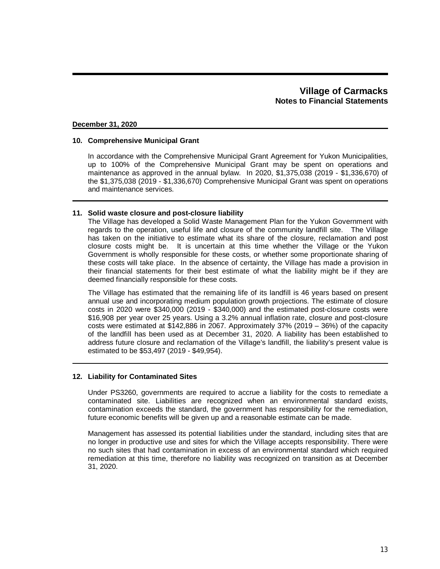#### **December 31, 2020**

#### **10. Comprehensive Municipal Grant**

In accordance with the Comprehensive Municipal Grant Agreement for Yukon Municipalities, up to 100% of the Comprehensive Municipal Grant may be spent on operations and maintenance as approved in the annual bylaw. In 2020, \$1,375,038 (2019 - \$1,336,670) of the \$1,375,038 (2019 - \$1,336,670) Comprehensive Municipal Grant was spent on operations and maintenance services.

#### **11. Solid waste closure and post-closure liability**

The Village has developed a Solid Waste Management Plan for the Yukon Government with regards to the operation, useful life and closure of the community landfill site. The Village has taken on the initiative to estimate what its share of the closure, reclamation and post closure costs might be. It is uncertain at this time whether the Village or the Yukon Government is wholly responsible for these costs, or whether some proportionate sharing of these costs will take place. In the absence of certainty, the Village has made a provision in their financial statements for their best estimate of what the liability might be if they are deemed financially responsible for these costs.

The Village has estimated that the remaining life of its landfill is 46 years based on present annual use and incorporating medium population growth projections. The estimate of closure costs in 2020 were \$340,000 (2019 - \$340,000) and the estimated post-closure costs were \$16,908 per year over 25 years. Using a 3.2% annual inflation rate, closure and post-closure costs were estimated at \$142,886 in 2067. Approximately 37% (2019 – 36%) of the capacity of the landfill has been used as at December 31, 2020. A liability has been established to address future closure and reclamation of the Village's landfill, the liability's present value is estimated to be \$53,497 (2019 - \$49,954).

#### **12. Liability for Contaminated Sites**

Under PS3260, governments are required to accrue a liability for the costs to remediate a contaminated site. Liabilities are recognized when an environmental standard exists, contamination exceeds the standard, the government has responsibility for the remediation, future economic benefits will be given up and a reasonable estimate can be made.

Management has assessed its potential liabilities under the standard, including sites that are no longer in productive use and sites for which the Village accepts responsibility. There were no such sites that had contamination in excess of an environmental standard which required remediation at this time, therefore no liability was recognized on transition as at December 31, 2020.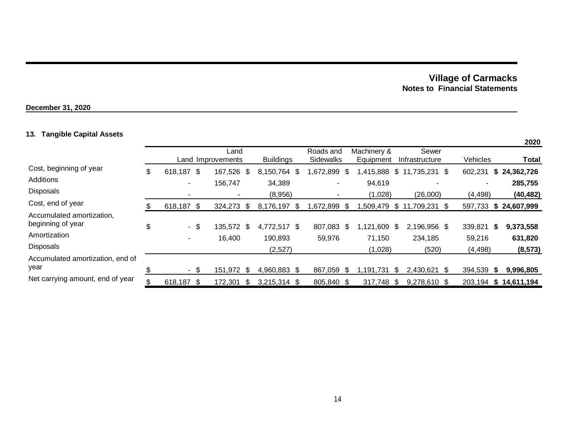#### **December 31, 2020**

#### **13. Tangible Capital Assets**

|                                                |                  |        |                           |     |                  |                               |      |                          |      |                         |          |     | 2020                  |
|------------------------------------------------|------------------|--------|---------------------------|-----|------------------|-------------------------------|------|--------------------------|------|-------------------------|----------|-----|-----------------------|
|                                                |                  |        | Land<br>Land Improvements |     | <b>Buildings</b> | Roads and<br><b>Sidewalks</b> |      | Machinery &<br>Equipment |      | Sewer<br>Infrastructure | Vehicles |     | <b>Total</b>          |
| Cost, beginning of year                        | \$<br>618,187 \$ |        | 167,526                   | -S  | 8,150,764<br>\$  | ,672,899 \$                   |      | 415,888 \$               |      | 11,735,231 \$           |          |     | 602,231 \$ 24,362,726 |
| Additions                                      | ۰                |        | 156,747                   |     | 34,389           |                               |      | 94,619                   |      |                         |          |     | 285,755               |
| Disposals                                      |                  |        |                           |     | (8,956)          |                               |      | (1,028)                  |      | (26,000)                | (4, 498) |     | (40, 482)             |
| Cost, end of year                              | 618,187 \$       |        | 324,273                   | - S | 8,176,197 \$     | ,672,899                      | - \$ | \$509,479.               |      | 11,709,231 \$           |          |     | 597,733 \$ 24,607,999 |
| Accumulated amortization,<br>beginning of year | \$               | $-$ \$ | 135,572 \$                |     | 4,772,517 \$     | 807,083                       | -SS  | 1,121,609                | - \$ | 2,196,956 \$            | 339,821  | S   | 9,373,558             |
| Amortization                                   | ۰                |        | 16,400                    |     | 190,893          | 59,976                        |      | 71,150                   |      | 234,185                 | 59,216   |     | 631,820               |
| <b>Disposals</b>                               |                  |        |                           |     | (2,527)          |                               |      | (1,028)                  |      | (520)                   | (4, 498) |     | (8, 573)              |
| Accumulated amortization, end of               |                  |        |                           |     |                  |                               |      |                          |      |                         |          |     |                       |
| year                                           |                  | - \$   | 151,972 \$                |     | 4,960,883 \$     | 867,059                       | - \$ | ,191,731                 | - \$ | 2,430,621 \$            | 394,539  | -SI | 9,996,805             |
| Net carrying amount, end of year               | 618,187 \$       |        | 172,301 \$                |     | $3,215,314$ \$   | 805,840 \$                    |      | 317,748 \$               |      | 9,278,610 \$            |          |     | 203,194 \$ 14,611,194 |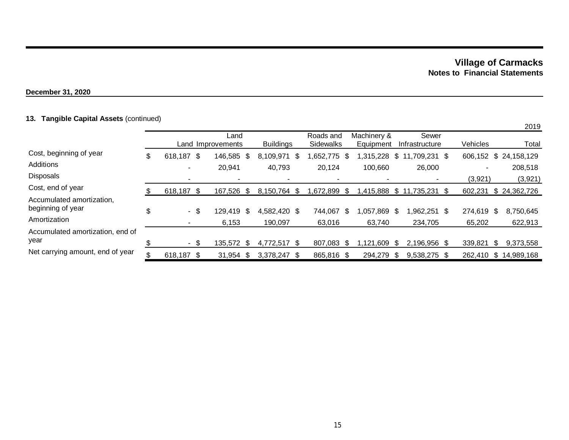**December 31, 2020**

#### **13. Tangible Capital Assets** (continued)

|                                                |    |                    |                           |            |                              |                        |      |                          |              |                              |                    |     | 2019                      |
|------------------------------------------------|----|--------------------|---------------------------|------------|------------------------------|------------------------|------|--------------------------|--------------|------------------------------|--------------------|-----|---------------------------|
|                                                |    |                    | Land<br>Land Improvements |            | <b>Buildings</b>             | Roads and<br>Sidewalks |      | Machinery &<br>Equipment |              | Sewer<br>Infrastructure      | Vehicles           |     | Total                     |
| Cost, beginning of year                        | \$ | 618,187 \$         | 146,585                   | -S         | 8,109,971<br>-S              | 652,775 \$             |      | ,315,228                 | \$           | 11,709,231 \$                |                    |     | 606,152 \$ 24,158,129     |
| Additions                                      |    | ۰                  | 20,941                    |            | 40,793                       | 20,124                 |      | 100,660                  |              | 26,000                       |                    |     | 208,518                   |
| Disposals                                      |    |                    |                           |            |                              |                        |      | ۰                        |              |                              | (3,921)            |     | (3,921)                   |
| Cost, end of year                              |    | 618,187 \$         | 167,526 \$                |            | 8,150,764<br>-S              | ,672,899               | - \$ | ,415,888                 |              | $$11,735,231$ \$             | 602,231            |     | \$24,362,726              |
| Accumulated amortization,<br>beginning of year | C  | - \$               | 129,419                   | \$         | 4,582,420 \$                 | 744,067                | - \$ | ,057,869                 | - \$         | $,962,251$ \$                | 274,619            | -S  | 8,750,645                 |
| Amortization                                   |    |                    | 6,153                     |            | 190,097                      | 63,016                 |      | 63,740                   |              | 234,705                      | 65,202             |     | 622,913                   |
| Accumulated amortization, end of<br>year       |    |                    |                           |            |                              |                        |      |                          |              |                              |                    |     |                           |
| Net carrying amount, end of year               |    | - \$<br>618,187 \$ | 135,572<br>31,954         | - \$<br>-S | 4,772,517 \$<br>3,378,247 \$ | 807,083<br>865,816 \$  | - \$ | .121,609<br>294,279      | - \$<br>- \$ | 2,196,956 \$<br>9,538,275 \$ | 339,821<br>262,410 | \$. | 9,373,558<br>\$14,989,168 |
|                                                |    |                    |                           |            |                              |                        |      |                          |              |                              |                    |     |                           |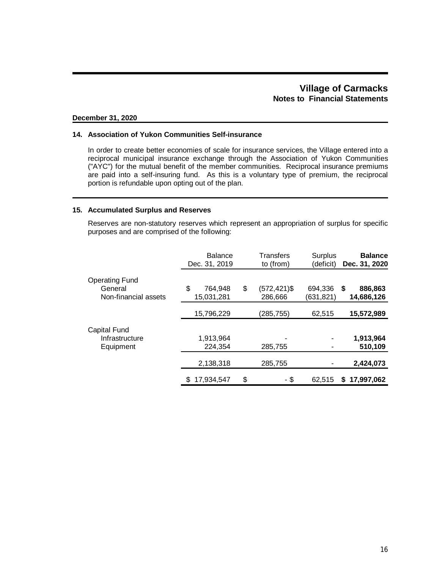#### **December 31, 2020**

#### **14. Association of Yukon Communities Self-insurance**

In order to create better economies of scale for insurance services, the Village entered into a reciprocal municipal insurance exchange through the Association of Yukon Communities ("AYC") for the mutual benefit of the member communities. Reciprocal insurance premiums are paid into a self-insuring fund. As this is a voluntary type of premium, the reciprocal portion is refundable upon opting out of the plan.

#### **15. Accumulated Surplus and Reserves**

Reserves are non-statutory reserves which represent an appropriation of surplus for specific purposes and are comprised of the following:

|                       | <b>Balance</b><br>Dec. 31, 2019 | Transfers<br>to (from) | Surplus<br>(deficit) | <b>Balance</b><br>Dec. 31, 2020 |
|-----------------------|---------------------------------|------------------------|----------------------|---------------------------------|
| <b>Operating Fund</b> |                                 |                        |                      |                                 |
| General               | \$<br>764,948                   | \$<br>$(572, 421)$ \$  | 694,336              | S<br>886,863                    |
| Non-financial assets  | 15,031,281                      | 286,666                | (631,821)            | 14,686,126                      |
|                       | 15,796,229                      | (285,755)              | 62,515               | 15,572,989                      |
| Capital Fund          |                                 |                        |                      |                                 |
| Infrastructure        | 1,913,964                       |                        |                      | 1,913,964                       |
| Equipment             | 224,354                         | 285,755                |                      | 510,109                         |
|                       | 2,138,318                       | 285,755                |                      | 2,424,073                       |
|                       | 17,934,547                      | \$<br>- \$             | 62.515               | 17,997,062<br>S.                |
|                       |                                 |                        |                      |                                 |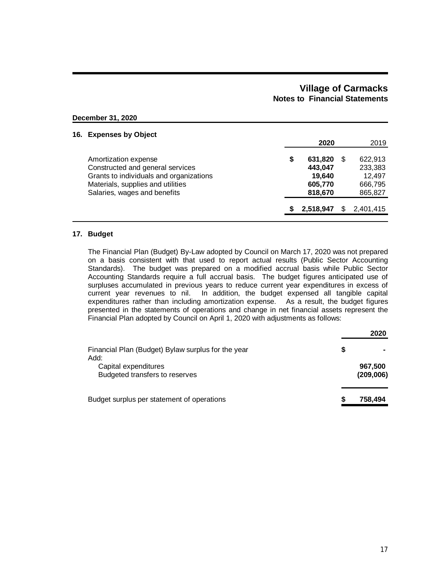### **16. Expenses by Object 2020** 2019 Amortization expense **by a constructed and general services 1990 12:33 1383**<br>Constructed and general services **143.047** 133.383 Constructed and general services **443,047** 233,383 Grants to individuals and organizations **19,640** 12,497 Materials, supplies and utilities **605,770** 666,795 Salaries, wages and benefits **818,670** 865,827 **\$ 2,518,947** \$ 2,401,415

#### **17. Budget**

**December 31, 2020**

The Financial Plan (Budget) By-Law adopted by Council on March 17, 2020 was not prepared on a basis consistent with that used to report actual results (Public Sector Accounting Standards). The budget was prepared on a modified accrual basis while Public Sector Accounting Standards require a full accrual basis. The budget figures anticipated use of surpluses accumulated in previous years to reduce current year expenditures in excess of current year revenues to nil. In addition, the budget expensed all tangible capital expenditures rather than including amortization expense. As a result, the budget figures presented in the statements of operations and change in net financial assets represent the Financial Plan adopted by Council on April 1, 2020 with adjustments as follows:

|                                                            |   | 2020                 |
|------------------------------------------------------------|---|----------------------|
| Financial Plan (Budget) Bylaw surplus for the year<br>Add: | S |                      |
| Capital expenditures<br>Budgeted transfers to reserves     |   | 967,500<br>(209,006) |
| Budget surplus per statement of operations                 |   | 758,494              |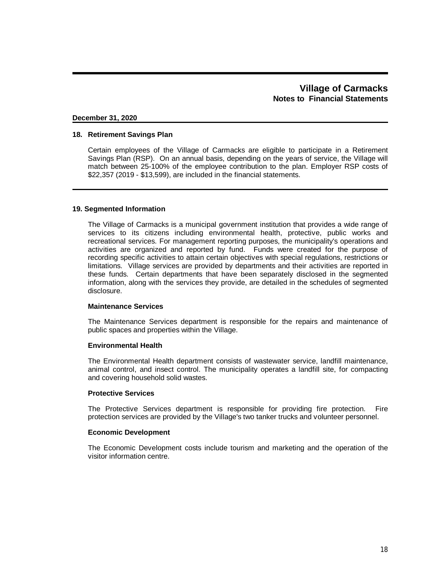#### **December 31, 2020**

#### **18. Retirement Savings Plan**

Certain employees of the Village of Carmacks are eligible to participate in a Retirement Savings Plan (RSP). On an annual basis, depending on the years of service, the Village will match between 25-100% of the employee contribution to the plan. Employer RSP costs of \$22,357 (2019 - \$13,599), are included in the financial statements.

#### **19. Segmented Information**

The Village of Carmacks is a municipal government institution that provides a wide range of services to its citizens including environmental health, protective, public works and recreational services. For management reporting purposes, the municipality's operations and activities are organized and reported by fund. Funds were created for the purpose of recording specific activities to attain certain objectives with special regulations, restrictions or limitations. Village services are provided by departments and their activities are reported in these funds. Certain departments that have been separately disclosed in the segmented information, along with the services they provide, are detailed in the schedules of segmented disclosure.

#### **Maintenance Services**

The Maintenance Services department is responsible for the repairs and maintenance of public spaces and properties within the Village.

#### **Environmental Health**

The Environmental Health department consists of wastewater service, landfill maintenance, animal control, and insect control. The municipality operates a landfill site, for compacting and covering household solid wastes.

#### **Protective Services**

The Protective Services department is responsible for providing fire protection. Fire protection services are provided by the Village's two tanker trucks and volunteer personnel.

#### **Economic Development**

The Economic Development costs include tourism and marketing and the operation of the visitor information centre.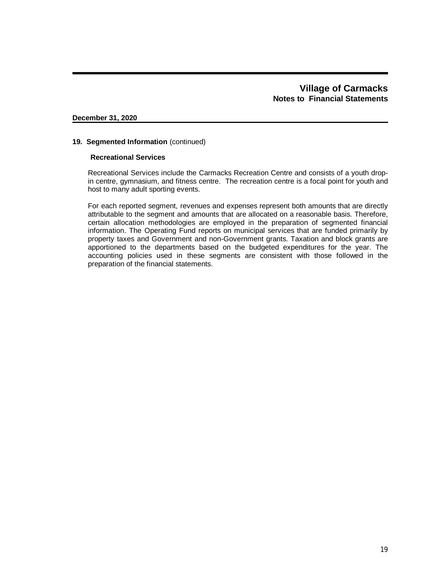#### **December 31, 2020**

#### **19. Segmented Information** (continued)

#### **Recreational Services**

Recreational Services include the Carmacks Recreation Centre and consists of a youth dropin centre, gymnasium, and fitness centre. The recreation centre is a focal point for youth and host to many adult sporting events.

For each reported segment, revenues and expenses represent both amounts that are directly attributable to the segment and amounts that are allocated on a reasonable basis. Therefore, certain allocation methodologies are employed in the preparation of segmented financial information. The Operating Fund reports on municipal services that are funded primarily by property taxes and Government and non-Government grants. Taxation and block grants are apportioned to the departments based on the budgeted expenditures for the year. The accounting policies used in these segments are consistent with those followed in the preparation of the financial statements.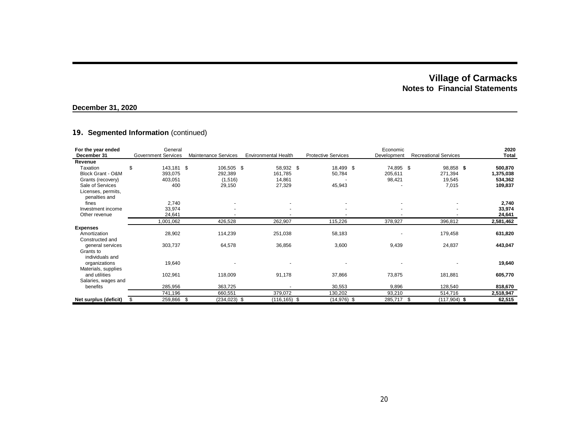#### **December 31, 2020**

#### **19. Segmented Information** (continued)

| For the year ended    | General                    |                             |                             |                            | Economic    |                              | 2020         |
|-----------------------|----------------------------|-----------------------------|-----------------------------|----------------------------|-------------|------------------------------|--------------|
| December 31           | <b>Government Services</b> | <b>Maintenance Services</b> | <b>Environmental Health</b> | <b>Protective Services</b> | Development | <b>Recreational Services</b> | <b>Total</b> |
| Revenue               |                            |                             |                             |                            |             |                              |              |
| Taxation              | \$<br>143,181 \$           | 106,505 \$                  | 58,932 \$                   | 18,499 \$                  | 74,895 \$   | 98,858 \$                    | 500,870      |
| Block Grant - O&M     | 393,075                    | 292,389                     | 161,785                     | 50,784                     | 205,611     | 271,394                      | 1,375,038    |
| Grants (recovery)     | 403,051                    | (1,516)                     | 14,861                      |                            | 98,421      | 19,545                       | 534,362      |
| Sale of Services      | 400                        | 29,150                      | 27,329                      | 45,943                     |             | 7,015                        | 109,837      |
| Licenses, permits,    |                            |                             |                             |                            |             |                              |              |
| penalties and         |                            |                             |                             |                            |             |                              |              |
| fines                 | 2,740                      |                             |                             |                            |             |                              | 2,740        |
| Investment income     | 33,974                     |                             |                             |                            |             |                              | 33,974       |
| Other revenue         | 24,641                     |                             |                             |                            |             |                              | 24,641       |
|                       | 1,001,062                  | 426,528                     | 262,907                     | 115,226                    | 378,927     | 396,812                      | 2,581,462    |
| <b>Expenses</b>       |                            |                             |                             |                            |             |                              |              |
| Amortization          | 28,902                     | 114,239                     | 251,038                     | 58,183                     |             | 179,458                      | 631,820      |
| Constructed and       |                            |                             |                             |                            |             |                              |              |
| general services      | 303,737                    | 64,578                      | 36,856                      | 3,600                      | 9,439       | 24,837                       | 443,047      |
| Grants to             |                            |                             |                             |                            |             |                              |              |
| individuals and       |                            |                             |                             |                            |             |                              |              |
| organizations         | 19,640                     |                             |                             |                            |             |                              | 19,640       |
| Materials, supplies   |                            |                             |                             |                            |             |                              |              |
| and utilities         | 102,961                    | 118,009                     | 91,178                      | 37,866                     | 73,875      | 181,881                      | 605,770      |
| Salaries, wages and   |                            |                             |                             |                            |             |                              |              |
| benefits              | 285,956                    | 363,725                     |                             | 30,553                     | 9,896       | 128,540                      | 818,670      |
|                       | 741,196                    | 660,551                     | 379,072                     | 130,202                    | 93,210      | 514,716                      | 2,518,947    |
| Net surplus (deficit) | 259,866<br>-S              | - \$<br>$(234, 023)$ \$     | $(116, 165)$ \$             | $(14,976)$ \$              | 285,717 \$  | $(117,904)$ \$               | 62,515       |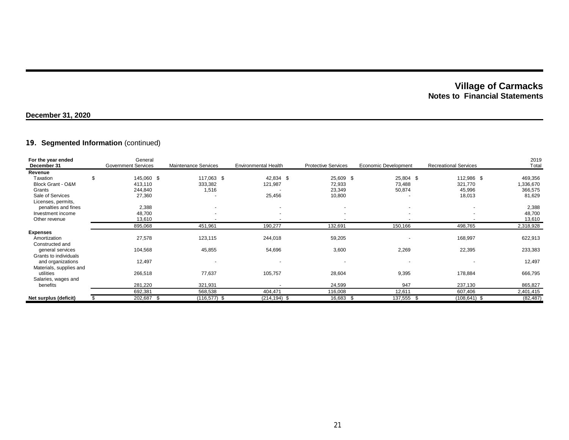#### **December 31, 2020**

#### **19. Segmented Information** (continued)

| For the year ended      | General                    |                      |                      |                            |                      |                              | 2019      |
|-------------------------|----------------------------|----------------------|----------------------|----------------------------|----------------------|------------------------------|-----------|
| December 31             | <b>Government Services</b> | Maintenance Services | Environmental Health | <b>Protective Services</b> | Economic Development | <b>Recreational Services</b> | Total     |
| Revenue                 |                            |                      |                      |                            |                      |                              |           |
| Taxation                | \$<br>145,060 \$           | 117,063 \$           | 42,834 \$            | 25,609 \$                  | 25,804 \$            | 112,986 \$                   | 469,356   |
| Block Grant - O&M       | 413,110                    | 333,382              | 121,987              | 72,933                     | 73,488               | 321,770                      | 1,336,670 |
| Grants                  | 244,840                    | 1,516                |                      | 23,349                     | 50,874               | 45,996                       | 366,575   |
| Sale of Services        | 27,360                     |                      | 25,456               | 10,800                     |                      | 18,013                       | 81,629    |
| Licenses, permits,      |                            |                      |                      |                            |                      |                              |           |
| penalties and fines     | 2,388                      |                      | $\sim$               | ٠                          |                      |                              | 2,388     |
| Investment income       | 48,700                     |                      |                      | ٠                          |                      |                              | 48,700    |
| Other revenue           | 13,610                     |                      |                      |                            |                      |                              | 13,610    |
|                         | 895,068                    | 451,961              | 190,277              | 132,691                    | 150,166              | 498,765                      | 2,318,928 |
| <b>Expenses</b>         |                            |                      |                      |                            |                      |                              |           |
| Amortization            | 27,578                     | 123,115              | 244,018              | 59,205                     |                      | 168,997                      | 622,913   |
| Constructed and         |                            |                      |                      |                            |                      |                              |           |
| general services        | 104,568                    | 45,855               | 54,696               | 3,600                      | 2,269                | 22,395                       | 233,383   |
| Grants to individuals   |                            |                      |                      |                            |                      |                              |           |
| and organizations       | 12,497                     | $\overline{a}$       | $\overline{a}$       | $\overline{\phantom{a}}$   | $\sim$               | $\overline{\phantom{0}}$     | 12,497    |
| Materials, supplies and |                            |                      |                      |                            |                      |                              |           |
| utilities               | 266,518                    | 77,637               | 105,757              | 28,604                     | 9,395                | 178,884                      | 666,795   |
| Salaries, wages and     |                            |                      |                      |                            |                      |                              |           |
| benefits                | 281,220                    | 321,931              |                      | 24,599                     | 947                  | 237,130                      | 865,827   |
|                         | 692,381                    | 568,538              | 404,471              | 116,008                    | 12,611               | 607,406                      | 2,401,415 |
| Net surplus (deficit)   | 202,687<br>.ზ              | $(116, 577)$ \$      | $(214, 194)$ \$      | 16,683<br>- \$             | 137,555 \$           | (108,641) \$                 | (82, 487) |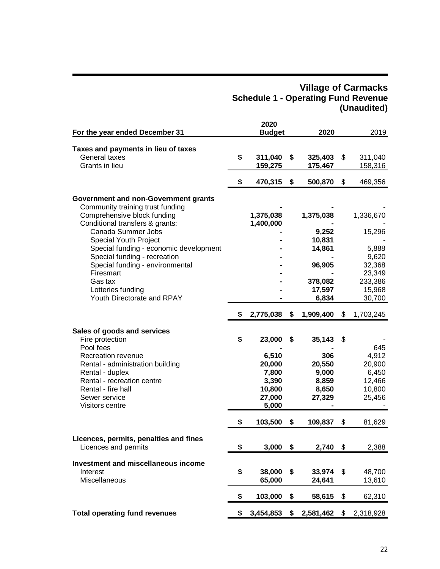#### **Village of Carmacks Schedule 1 - Operating Fund Revenue (Unaudited)**

| For the year ended December 31                                                                                                                                                                                                                                                                                                                                                                  | 2020<br><b>Budget</b>                             | 2020 |                                                                                | 2019                      |                                                                                          |  |
|-------------------------------------------------------------------------------------------------------------------------------------------------------------------------------------------------------------------------------------------------------------------------------------------------------------------------------------------------------------------------------------------------|---------------------------------------------------|------|--------------------------------------------------------------------------------|---------------------------|------------------------------------------------------------------------------------------|--|
| Taxes and payments in lieu of taxes<br>General taxes<br>Grants in lieu                                                                                                                                                                                                                                                                                                                          | \$<br>311,040<br>159,275                          | \$   | 325,403<br>175,467                                                             | \$                        | 311,040<br>158,316                                                                       |  |
|                                                                                                                                                                                                                                                                                                                                                                                                 | \$<br>470,315                                     | \$   | 500,870                                                                        | \$                        | 469,356                                                                                  |  |
| <b>Government and non-Government grants</b><br>Community training trust funding<br>Comprehensive block funding<br>Conditional transfers & grants:<br>Canada Summer Jobs<br><b>Special Youth Project</b><br>Special funding - economic development<br>Special funding - recreation<br>Special funding - environmental<br>Firesmart<br>Gas tax<br>Lotteries funding<br>Youth Directorate and RPAY | 1,375,038<br>1,400,000                            |      | 1,375,038<br>9,252<br>10,831<br>14,861<br>96,905<br>378,082<br>17,597<br>6,834 |                           | 1,336,670<br>15,296<br>5,888<br>9,620<br>32,368<br>23,349<br>233,386<br>15,968<br>30,700 |  |
|                                                                                                                                                                                                                                                                                                                                                                                                 | \$<br>2,775,038                                   | \$   | 1,909,400                                                                      | \$                        | 1,703,245                                                                                |  |
| Sales of goods and services<br>Fire protection<br>Pool fees<br>Recreation revenue<br>Rental - administration building<br>Rental - duplex<br>Rental - recreation centre                                                                                                                                                                                                                          | \$<br>23,000<br>6,510<br>20,000<br>7,800<br>3,390 | \$   | 35,143<br>306<br>20,550<br>9,000<br>8,859                                      | \$                        | 645<br>4,912<br>20,900<br>6,450<br>12,466                                                |  |
| Rental - fire hall<br>Sewer service<br><b>Visitors centre</b>                                                                                                                                                                                                                                                                                                                                   | 10,800<br>27,000<br>5,000                         |      | 8,650<br>27,329                                                                |                           | 10,800<br>25,456                                                                         |  |
|                                                                                                                                                                                                                                                                                                                                                                                                 | \$<br>103,500                                     | \$   | 109,837                                                                        | \$                        | 81,629                                                                                   |  |
| Licences, permits, penalties and fines<br>Licences and permits                                                                                                                                                                                                                                                                                                                                  | \$<br>3,000                                       | \$   | 2,740                                                                          | $\boldsymbol{\mathsf{S}}$ | 2,388                                                                                    |  |
| <b>Investment and miscellaneous income</b><br>Interest<br>Miscellaneous                                                                                                                                                                                                                                                                                                                         | \$<br>38,000<br>65,000                            | \$   | 33,974<br>24,641                                                               | \$                        | 48,700<br>13,610                                                                         |  |
|                                                                                                                                                                                                                                                                                                                                                                                                 | \$<br>103,000                                     | \$   | 58,615                                                                         | \$                        | 62,310                                                                                   |  |
| <b>Total operating fund revenues</b>                                                                                                                                                                                                                                                                                                                                                            | \$<br>3,454,853                                   | \$   | 2,581,462                                                                      | \$                        | 2,318,928                                                                                |  |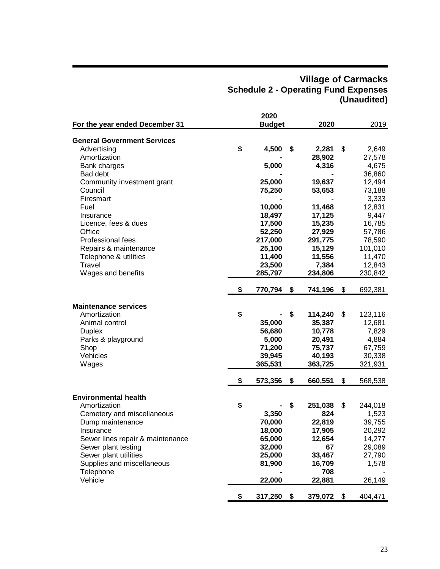### **Village of Carmacks Schedule 2 - Operating Fund Expenses (Unaudited)**

|                                    | 2020             |               |               |
|------------------------------------|------------------|---------------|---------------|
| For the year ended December 31     | <b>Budget</b>    | 2020          | 2019          |
|                                    |                  |               |               |
| <b>General Government Services</b> |                  |               |               |
| Advertising                        | \$<br>4,500      | \$<br>2,281   | \$<br>2,649   |
| Amortization                       |                  | 28,902        | 27,578        |
| Bank charges                       | 5,000            | 4,316         | 4,675         |
| <b>Bad debt</b>                    |                  |               | 36,860        |
| Community investment grant         | 25,000           | 19,637        | 12,494        |
| Council                            | 75,250           | 53,653        | 73,188        |
| Firesmart                          |                  |               | 3,333         |
| Fuel                               | 10,000           | 11,468        | 12,831        |
| Insurance                          | 18,497           | 17,125        | 9,447         |
| Licence, fees & dues               | 17,500           | 15,235        | 16,785        |
| Office                             | 52,250           | 27,929        | 57,786        |
| <b>Professional fees</b>           | 217,000          | 291,775       | 78,590        |
| Repairs & maintenance              | 25,100           | 15,129        | 101,010       |
| Telephone & utilities              | 11,400           | 11,556        | 11,470        |
| Travel                             | 23,500           | 7,384         | 12,843        |
| Wages and benefits                 | 285,797          | 234,806       | 230,842       |
|                                    |                  |               |               |
|                                    | \$<br>770,794    | \$<br>741,196 | \$<br>692,381 |
|                                    |                  |               |               |
| <b>Maintenance services</b>        |                  |               |               |
| Amortization                       | \$               | \$<br>114,240 | \$<br>123,116 |
| Animal control                     | 35,000           | 35,387        | 12,681        |
| <b>Duplex</b>                      | 56,680           | 10,778        | 7,829         |
| Parks & playground                 | 5,000            | 20,491        | 4,884         |
| Shop                               | 71,200           | 75,737        | 67,759        |
| Vehicles                           | 39,945           | 40,193        | 30,338        |
| Wages                              | 365,531          | 363,725       | 321,931       |
|                                    | \$<br>573,356    | \$<br>660,551 | \$<br>568,538 |
|                                    |                  |               |               |
| <b>Environmental health</b>        |                  |               |               |
| Amortization                       | \$               | \$<br>251,038 | \$<br>244,018 |
| Cemetery and miscellaneous         | 3,350            | 824           | 1,523         |
| Dump maintenance                   | 70,000           | 22,819        | 39,755        |
| Insurance                          | 18,000           | 17,905        | 20,292        |
| Sewer lines repair & maintenance   | 65,000           | 12,654        | 14,277        |
| Sewer plant testing                | 32,000           | 67            | 29,089        |
| Sewer plant utilities              | 25,000           | 33,467        | 27,790        |
| Supplies and miscellaneous         | 81,900           | 16,709        | 1,578         |
| Telephone                          |                  | 708           |               |
| Vehicle                            | 22,000           | 22,881        | 26,149        |
|                                    |                  |               |               |
|                                    | \$<br>317,250 \$ | 379,072 \$    | 404,471       |
|                                    |                  |               |               |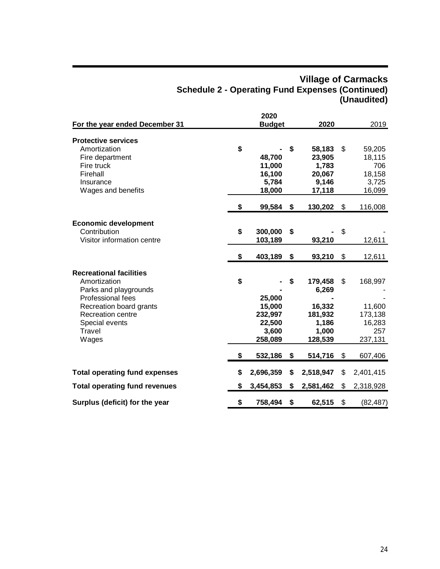### **Village of Carmacks Schedule 2 - Operating Fund Expenses (Continued) (Unaudited)**

|                                                |               | 2020      |    | 2020             |                           |                  |  |
|------------------------------------------------|---------------|-----------|----|------------------|---------------------------|------------------|--|
| For the year ended December 31                 | <b>Budget</b> |           |    |                  | 2019                      |                  |  |
| <b>Protective services</b>                     |               |           |    |                  |                           |                  |  |
| Amortization<br>Fire department                | \$            | 48,700    | \$ | 58,183<br>23,905 | \$                        | 59,205<br>18,115 |  |
| Fire truck                                     |               | 11,000    |    | 1,783            |                           | 706              |  |
| Firehall                                       |               | 16,100    |    | 20,067           |                           | 18,158           |  |
| Insurance                                      |               | 5,784     |    | 9,146            |                           | 3,725            |  |
| Wages and benefits                             |               | 18,000    |    | 17,118           |                           | 16,099           |  |
|                                                | \$            | 99,584    | \$ | 130,202          | $\boldsymbol{\mathsf{S}}$ | 116,008          |  |
|                                                |               |           |    |                  |                           |                  |  |
| <b>Economic development</b><br>Contribution    | \$            | 300,000   | \$ |                  | \$                        |                  |  |
| Visitor information centre                     |               | 103,189   |    | 93,210           |                           | 12,611           |  |
|                                                |               |           |    |                  |                           |                  |  |
|                                                | \$            | 403,189   | \$ | 93,210           | \$                        | 12,611           |  |
|                                                |               |           |    |                  |                           |                  |  |
| <b>Recreational facilities</b><br>Amortization | \$            |           | \$ | 179,458          | \$                        | 168,997          |  |
| Parks and playgrounds                          |               |           |    | 6,269            |                           |                  |  |
| Professional fees                              |               | 25,000    |    |                  |                           |                  |  |
| Recreation board grants                        |               | 15,000    |    | 16,332           |                           | 11,600           |  |
| <b>Recreation centre</b>                       |               | 232,997   |    | 181,932          |                           | 173,138          |  |
| Special events                                 |               | 22,500    |    | 1,186            |                           | 16,283           |  |
| Travel                                         |               | 3,600     |    | 1,000            |                           | 257              |  |
| Wages                                          |               | 258,089   |    | 128,539          |                           | 237,131          |  |
|                                                | \$            | 532,186   | \$ | 514,716          | \$                        | 607,406          |  |
| <b>Total operating fund expenses</b>           | \$            | 2,696,359 | \$ | 2,518,947        | \$                        | 2,401,415        |  |
| <b>Total operating fund revenues</b>           | \$            | 3,454,853 | \$ | 2,581,462        | \$                        | 2,318,928        |  |
| Surplus (deficit) for the year                 | \$            | 758,494   | \$ | 62,515           | \$                        | (82, 487)        |  |
|                                                |               |           |    |                  |                           |                  |  |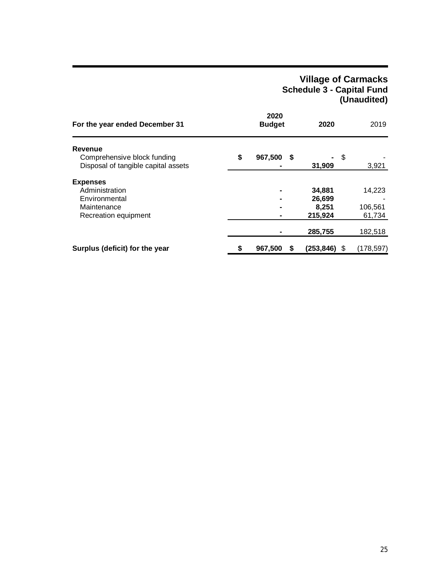### **Village of Carmacks Schedule 3 - Capital Fund (Unaudited)**

| For the year ended December 31                                                            | 2020<br><b>Budget</b> | 2020                                 |     | 2019                        |
|-------------------------------------------------------------------------------------------|-----------------------|--------------------------------------|-----|-----------------------------|
| <b>Revenue</b>                                                                            |                       |                                      |     |                             |
| Comprehensive block funding                                                               | \$<br>967,500<br>- \$ |                                      | -\$ |                             |
| Disposal of tangible capital assets                                                       |                       | 31,909                               |     | 3,921                       |
| <b>Expenses</b><br>Administration<br>Environmental<br>Maintenance<br>Recreation equipment |                       | 34,881<br>26,699<br>8,251<br>215,924 |     | 14,223<br>106,561<br>61,734 |
|                                                                                           |                       | 285,755                              |     | 182,518                     |
| Surplus (deficit) for the year                                                            | \$<br>967,500<br>S    | $(253, 846)$ \$                      |     | (178,597)                   |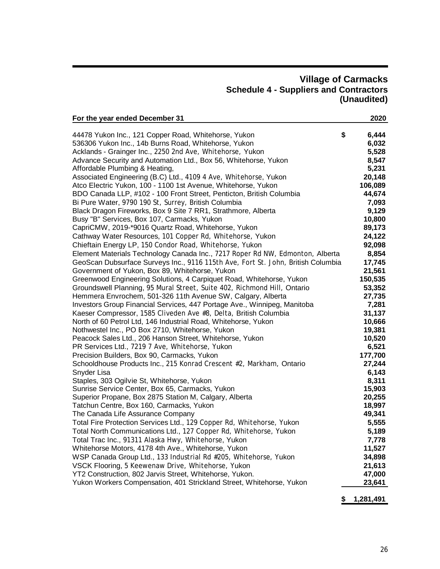### **Village of Carmacks Schedule 4 - Suppliers and Contractors (Unaudited)**

| For the year ended December 31                                                                | 2020           |
|-----------------------------------------------------------------------------------------------|----------------|
| 44478 Yukon Inc., 121 Copper Road, Whitehorse, Yukon                                          | \$<br>6,444    |
| 536306 Yukon Inc., 14b Burns Road, Whitehorse, Yukon                                          | 6,032          |
| Acklands - Grainger Inc., 2250 2nd Ave, Whitehorse, Yukon                                     | 5,528          |
| Advance Security and Automation Ltd., Box 56, Whitehorse, Yukon                               | 8,547          |
| Affordable Plumbing & Heating,                                                                | 5,231          |
| Associated Engineering (B.C) Ltd., 4109 4 Ave, Whitehorse, Yukon                              | 20,148         |
| Atco Electric Yukon, 100 - 1100 1st Avenue, Whitehorse, Yukon                                 | 106,089        |
| BDO Canada LLP, #102 - 100 Front Street, Penticton, British Columbia                          | 44,674         |
| Bi Pure Water, 9790 190 St, Surrey, British Columbia                                          | 7,093          |
| Black Dragon Fireworks, Box 9 Site 7 RR1, Strathmore, Alberta                                 | 9,129          |
| Busy "B" Services, Box 107, Carmacks, Yukon                                                   | 10,800         |
| CapriCMW, 2019-*9016 Quartz Road, Whitehorse, Yukon                                           | 89,173         |
| Cathway Water Resources, 101 Copper Rd, Whitehorse, Yukon                                     | 24,122         |
| Chieftain Energy LP, 150 Condor Road, Whitehorse, Yukon                                       | 92,098         |
| Element Materials Technology Canada Inc., 7217 Roper Rd NW, Edmonton, Alberta                 | 8,854          |
| GeoScan Dubsurface Surveys Inc., 9116 115th Ave, Fort St. John, British Columbia              | 17,745         |
| Government of Yukon, Box 89, Whitehorse, Yukon                                                | 21,561         |
| Greenwood Engineering Solutions, 4 Carpiquet Road, Whitehorse, Yukon                          | 150,535        |
| Groundswell Planning, 95 Mural Street, Suite 402, Richmond Hill, Ontario                      | 53,352         |
| Hemmera Envrochem, 501-326 11th Avenue SW, Calgary, Alberta                                   | 27,735         |
| Investors Group Financial Services, 447 Portage Ave., Winnipeg, Manitoba                      | 7,281          |
| Kaeser Compressor, 1585 Cliveden Ave #8, Delta, British Columbia                              | 31,137         |
| North of 60 Petrol Ltd, 146 Industrial Road, Whitehorse, Yukon                                | 10,666         |
| Nothwestel Inc., PO Box 2710, Whitehorse, Yukon                                               | 19,381         |
| Peacock Sales Ltd., 206 Hanson Street, Whitehorse, Yukon                                      | 10,520         |
| PR Services Ltd., 7219 7 Ave, Whitehorse, Yukon                                               | 6,521          |
| Precision Builders, Box 90, Carmacks, Yukon                                                   | 177,700        |
| Schooldhouse Products Inc., 215 Konrad Crescent #2, Markham, Ontario                          | 27,244         |
| Snyder Lisa                                                                                   | 6,143<br>8,311 |
| Staples, 303 Ogilvie St, Whitehorse, Yukon<br>Sunrise Service Center, Box 65, Carmacks, Yukon | 15,903         |
| Superior Propane, Box 2875 Station M, Calgary, Alberta                                        | 20,255         |
| Tatchun Centre, Box 160, Carmacks, Yukon                                                      | 18,997         |
| The Canada Life Assurance Company                                                             | 49,341         |
| Total Fire Protection Services Ltd., 129 Copper Rd, Whitehorse, Yukon                         | 5,555          |
| Total North Communications Ltd., 127 Copper Rd, Whitehorse, Yukon                             | 5,189          |
| Total Trac Inc., 91311 Alaska Hwy, Whitehorse, Yukon                                          | 7,778          |
| Whitehorse Motors, 4178 4th Ave., Whitehorse, Yukon                                           | 11,527         |
| WSP Canada Group Ltd., 133 Industrial Rd #205, Whitehorse, Yukon                              | 34,898         |
| VSCK Flooring, 5 Keewenaw Drive, Whitehorse, Yukon                                            | 21,613         |
| YT2 Construction, 802 Jarvis Street, Whitehorse, Yukon.                                       | 47,000         |
| Yukon Workers Compensation, 401 Strickland Street, Whitehorse, Yukon                          | 23,641         |
|                                                                                               |                |

#### **\$ 1,281,491**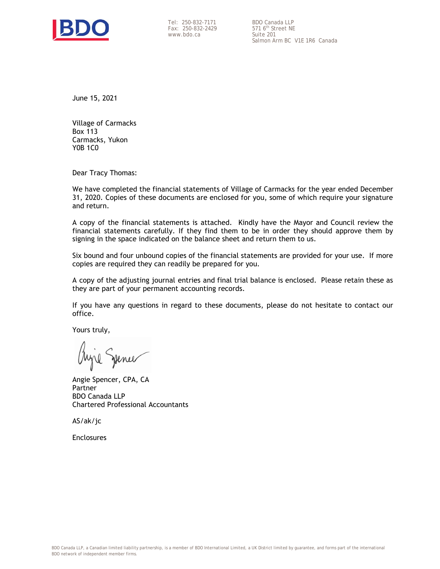

Tel: 250-832-7171 Fax: 250-832-2429 www.bdo.ca

BDO Canada LLP 571 6<sup>th</sup> Street NE Suite 201 Salmon Arm BC V1E 1R6 Canada

June 15, 2021

Village of Carmacks Box 113 Carmacks, Yukon Y0B 1C0

Dear Tracy Thomas:

We have completed the financial statements of Village of Carmacks for the year ended December 31, 2020. Copies of these documents are enclosed for you, some of which require your signature and return.

A copy of the financial statements is attached. Kindly have the Mayor and Council review the financial statements carefully. If they find them to be in order they should approve them by signing in the space indicated on the balance sheet and return them to us.

Six bound and four unbound copies of the financial statements are provided for your use. If more copies are required they can readily be prepared for you.

A copy of the adjusting journal entries and final trial balance is enclosed. Please retain these as they are part of your permanent accounting records.

If you have any questions in regard to these documents, please do not hesitate to contact our office.

Yours truly,

ayre Spence

Angie Spencer, CPA, CA Partner BDO Canada LLP Chartered Professional Accountants

AS/ak/jc

Enclosures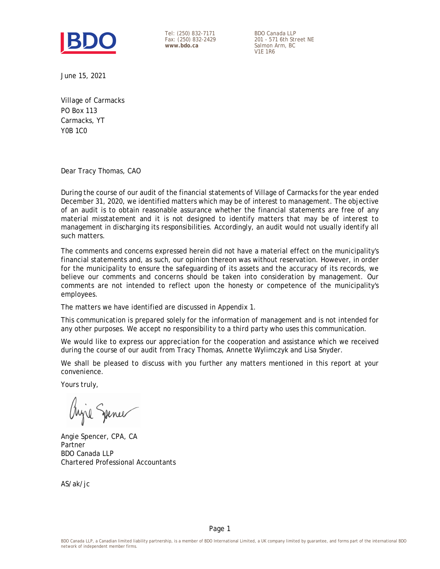

Tel: (250) 832-7171 BDO Canada LLP<br>Fax: (250) 832-2429 201 - 571 6th Str

Fax: (250) 832-2429 201 - 571 6th Street NE Salmon Arm, BC V1E 1R6

June 15, 2021

Village of Carmacks PO Box 113 Carmacks, YT Y0B 1C0

Dear Tracy Thomas, CAO

During the course of our audit of the financial statements of Village of Carmacks for the year ended December 31, 2020, we identified matters which may be of interest to management. The objective of an audit is to obtain reasonable assurance whether the financial statements are free of any material misstatement and it is not designed to identify matters that may be of interest to management in discharging its responsibilities. Accordingly, an audit would not usually identify all such matters.

The comments and concerns expressed herein did not have a material effect on the municipality's financial statements and, as such, our opinion thereon was without reservation. However, in order for the municipality to ensure the safeguarding of its assets and the accuracy of its records, we believe our comments and concerns should be taken into consideration by management. Our comments are not intended to reflect upon the honesty or competence of the municipality's employees.

The matters we have identified are discussed in Appendix 1.

This communication is prepared solely for the information of management and is not intended for any other purposes. We accept no responsibility to a third party who uses this communication.

We would like to express our appreciation for the cooperation and assistance which we received during the course of our audit from Tracy Thomas, Annette Wylimczyk and Lisa Snyder.

We shall be pleased to discuss with you further any matters mentioned in this report at your convenience.

Yours truly,

anjie Spence

Angie Spencer, CPA, CA Partner BDO Canada LLP Chartered Professional Accountants

AS/ak/jc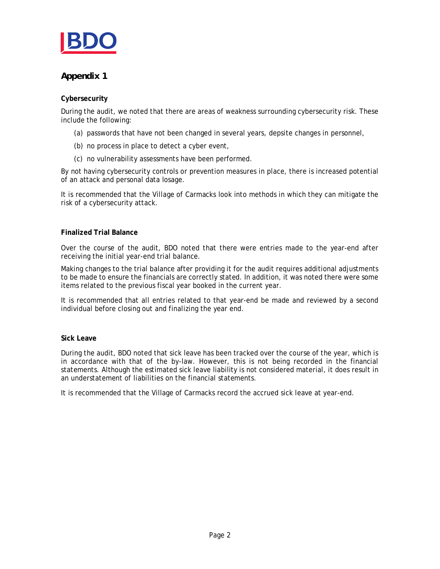

#### *Appendix 1*

#### **Cybersecurity**

During the audit, we noted that there are areas of weakness surrounding cybersecurity risk. These include the following:

- (a) passwords that have not been changed in several years, depsite changes in personnel,
- (b) no process in place to detect a cyber event,
- (c) no vulnerability assessments have been performed.

By not having cybersecurity controls or prevention measures in place, there is increased potential of an attack and personal data losage.

It is recommended that the Village of Carmacks look into methods in which they can mitigate the risk of a cybersecurity attack.

#### **Finalized Trial Balance**

Over the course of the audit, BDO noted that there were entries made to the year-end after receiving the initial year-end trial balance.

Making changes to the trial balance after providing it for the audit requires additional adjustments to be made to ensure the financials are correctly stated. In addition, it was noted there were some items related to the previous fiscal year booked in the current year.

It is recommended that all entries related to that year-end be made and reviewed by a second individual before closing out and finalizing the year end.

#### **Sick Leave**

During the audit, BDO noted that sick leave has been tracked over the course of the year, which is in accordance with that of the by-law. However, this is not being recorded in the financial statements. Although the estimated sick leave liability is not considered material, it does result in an understatement of liabilities on the financial statements.

It is recommended that the Village of Carmacks record the accrued sick leave at year-end.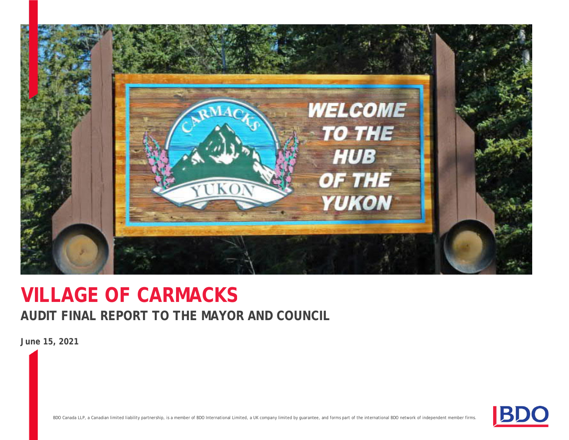

## **AUDIT FINAL REPORT TO THE MAYOR AND COUNCIL VILLAGE OF CARMACKS**

**June 15, 2021**

BDO Canada LLP, a Canadian limited liability partnership, is a member of BDO International Limited, a UK company limited by guarantee, and forms part of the international BDO network of independent member firms.

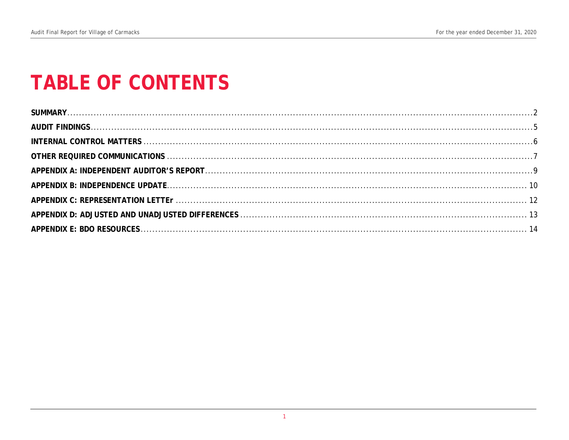# **TABLE OF CONTENTS**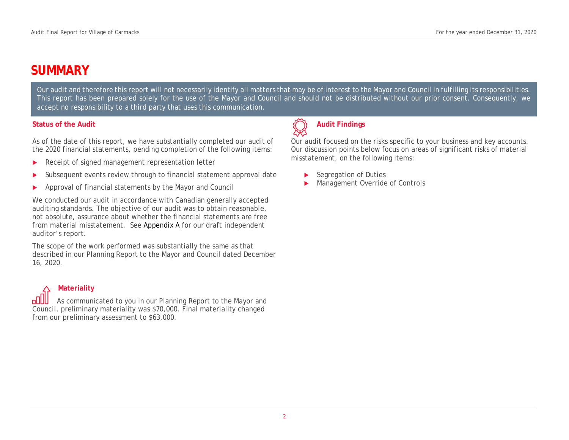### **SUMMARY**

Our audit and therefore this report will not necessarily identify all matters that may be of interest to the Mayor and Council in fulfilling its responsibilities. This report has been prepared solely for the use of the Mayor and Council and should not be distributed without our prior consent. Consequently, we accept no responsibility to a third party that uses this communication.

#### **Status of the Audit**

As of the date of this report, we have substantially completed our audit of the 2020 financial statements, pending completion of the following items:

- $\blacktriangleright$  Receipt of signed management representation letter
- Subsequent events review through to financial statement approval date
- Approval of financial statements by the Mayor and Council

We conducted our audit in accordance with Canadian generally accepted auditing standards. The objective of our audit was to obtain reasonable, not absolute, assurance about whether the financial statements are free from material misstatement. See Appendix A for our draft independent auditor's report.

The scope of the work performed was substantially the same as that described in our Planning Report to the Mayor and Council dated December 16, 2020.





### **Audit Findings**

Our audit focused on the risks specific to your business and key accounts. Our discussion points below focus on areas of significant risks of material misstatement, on the following items:

- Segregation of Duties
- Management Override of Controls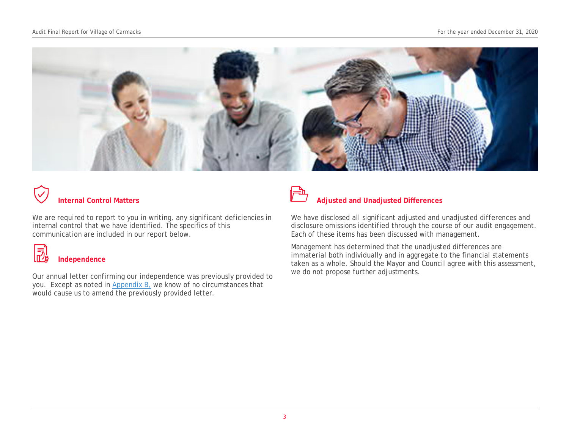

# **Internal Control Matters**

We are required to report to you in writing, any significant deficiencies in internal control that we have identified. The specifics of this communication are included in our report below.



#### **Independence**

Our annual letter confirming our independence was previously provided to you. Except as noted in Appendix  $B<sub>r</sub>$  we know of no circumstances that would cause us to amend the previously provided letter.



### **Adjusted and Unadjusted Differences**

We have disclosed all significant adjusted and unadjusted differences and disclosure omissions identified through the course of our audit engagement. Each of these items has been discussed with management.

Management has determined that the unadjusted differences are immaterial both individually and in aggregate to the financial statements taken as a whole. Should the Mayor and Council agree with this assessment, we do not propose further adjustments.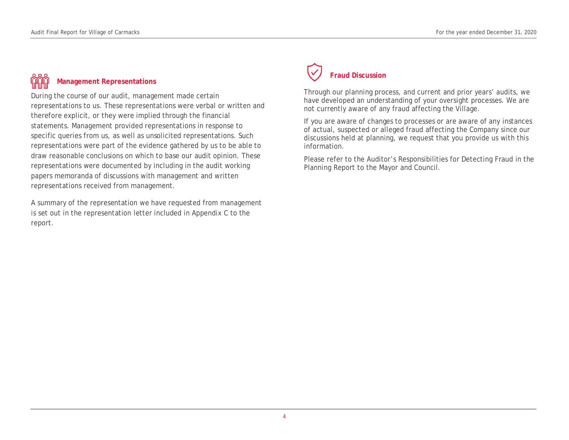### **Management Representations**

During the course of our audit, management made certain representations to us. These representations were verbal or written and therefore explicit, or they were implied through the financial statements. Management provided representations in response to specific queries from us, as well as unsolicited representations. Such representations were part of the evidence gathered by us to be able to draw reasonable conclusions on which to base our audit opinion. These representations were documented by including in the audit working papers memoranda of discussions with management and written representations received from management.

A summary of the representation we have requested from management is set out in the representation letter included in Appendix C to the report.

## **Fraud Discussion**

Through our planning process, and current and prior years' audits, we have developed an understanding of your oversight processes. We are not currently aware of any fraud affecting the Village.

If you are aware of changes to processes or are aware of any instances of actual, suspected or alleged fraud affecting the Company since our discussions held at planning, we request that you provide us with this information.

Please refer to the Auditor's Responsibilities for Detecting Fraud in the Planning Report to the Mayor and Council.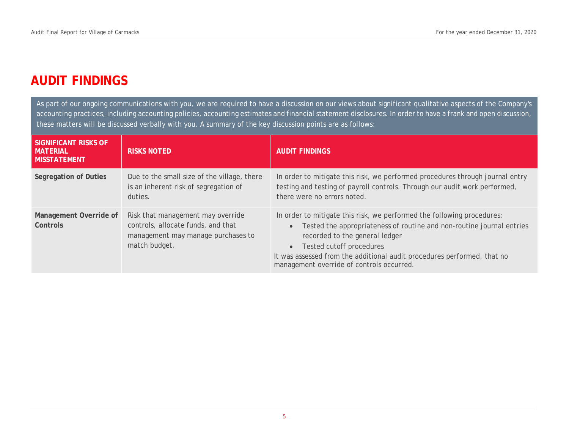## **AUDIT FINDINGS**

As part of our ongoing communications with you, we are required to have a discussion on our views about significant qualitative aspects of the Company's accounting practices, including accounting policies, accounting estimates and financial statement disclosures. In order to have a frank and open discussion, these matters will be discussed verbally with you. A summary of the key discussion points are as follows:

| SIGNIFICANT RISKS OF<br><b>MATERIAL</b><br>MISSTATEMENT | <b>RISKS NOTED</b>                                                                                                             | <b>AUDIT FINDINGS</b>                                                                                                                                                                                                                                                                                                                                           |
|---------------------------------------------------------|--------------------------------------------------------------------------------------------------------------------------------|-----------------------------------------------------------------------------------------------------------------------------------------------------------------------------------------------------------------------------------------------------------------------------------------------------------------------------------------------------------------|
| Segregation of Duties                                   | Due to the small size of the village, there<br>is an inherent risk of segregation of<br>duties.                                | In order to mitigate this risk, we performed procedures through journal entry<br>testing and testing of payroll controls. Through our audit work performed,<br>there were no errors noted.                                                                                                                                                                      |
| Management Override of<br>Controls                      | Risk that management may override<br>controls, allocate funds, and that<br>management may manage purchases to<br>match budget. | In order to mitigate this risk, we performed the following procedures:<br>Tested the appropriateness of routine and non-routine journal entries<br>$\bullet$<br>recorded to the general ledger<br>Tested cutoff procedures<br>$\bullet$<br>It was assessed from the additional audit procedures performed, that no<br>management override of controls occurred. |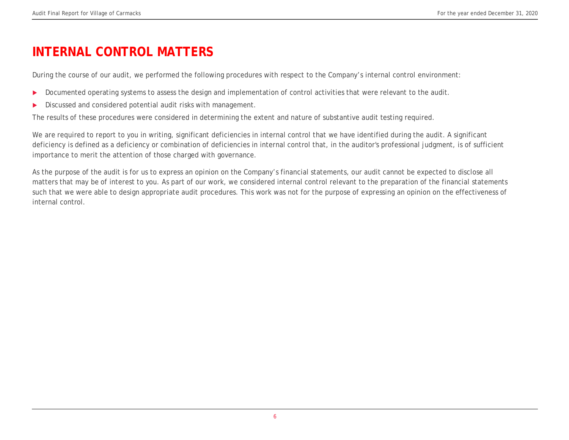## **INTERNAL CONTROL MATTERS**

During the course of our audit, we performed the following procedures with respect to the Company's internal control environment:

- Documented operating systems to assess the design and implementation of control activities that were relevant to the audit.
- Discussed and considered potential audit risks with management.

The results of these procedures were considered in determining the extent and nature of substantive audit testing required.

We are required to report to you in writing, significant deficiencies in internal control that we have identified during the audit. A significant deficiency is defined as a deficiency or combination of deficiencies in internal control that, in the auditor's professional judgment, is of sufficient importance to merit the attention of those charged with governance.

As the purpose of the audit is for us to express an opinion on the Company's financial statements, our audit cannot be expected to disclose all matters that may be of interest to you. As part of our work, we considered internal control relevant to the preparation of the financial statements such that we were able to design appropriate audit procedures. This work was not for the purpose of expressing an opinion on the effectiveness of internal control.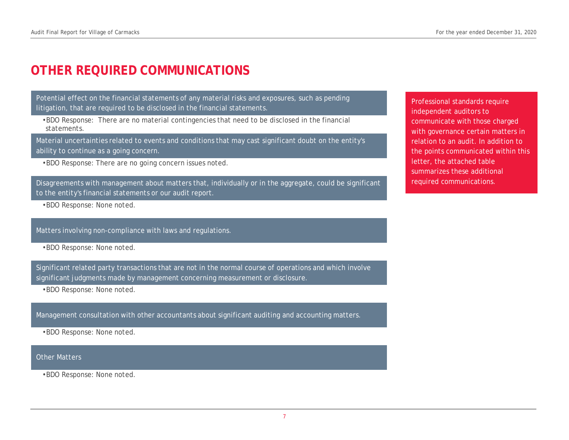## **OTHER REQUIRED COMMUNICATIONS**

Potential effect on the financial statements of any material risks and exposures, such as pending litigation, that are required to be disclosed in the financial statements.

•BDO Response: There are no material contingencies that need to be disclosed in the financial statements.

Material uncertainties related to events and conditions that may cast significant doubt on the entity's ability to continue as a going concern.

•BDO Response: There are no going concern issues noted.

Disagreements with management about matters that, individually or in the aggregate, could be significant to the entity's financial statements or our audit report.

•BDO Response: None noted.

Matters involving non-compliance with laws and regulations.

•BDO Response: None noted.

Significant related party transactions that are not in the normal course of operations and which involve significant judgments made by management concerning measurement or disclosure.

•BDO Response: None noted.

Management consultation with other accountants about significant auditing and accounting matters.

•BDO Response: None noted.

Other Matters

•BDO Response: None noted.

Professional standards require independent auditors to communicate with those charged with governance certain matters in relation to an audit. In addition to the points communicated within this letter, the attached table summarizes these additional required communications.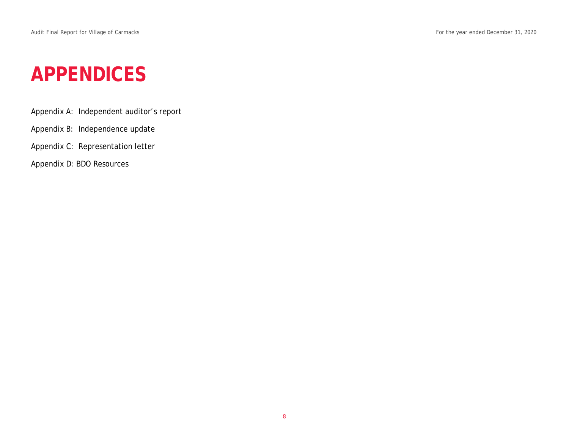# **APPENDICES**

- Appendix A: Independent auditor's report
- Appendix B: Independence update
- Appendix C: Representation letter
- Appendix D: BDO Resources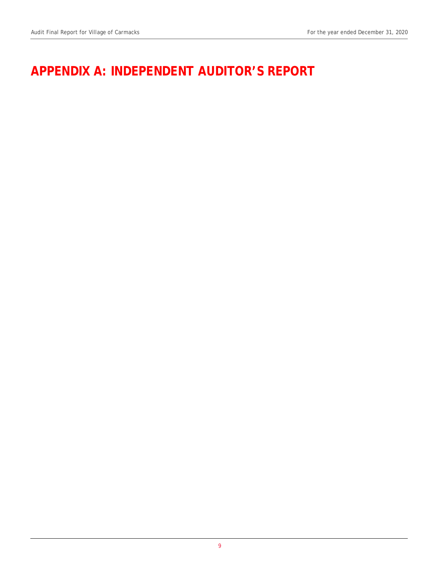## **APPENDIX A: INDEPENDENT AUDITOR'S REPORT**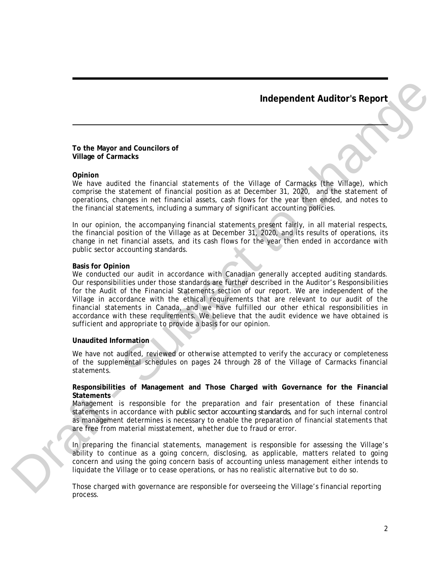**To the Mayor and Councilors of Village of Carmacks**

#### **Opinion**

We have audited the financial statements of the Village of Carmacks (the Village), which comprise the statement of financial position as at December 31, 2020, and the statement of operations, changes in net financial assets, cash flows for the year then ended, and notes to the financial statements, including a summary of significant accounting policies.

In our opinion, the accompanying financial statements present fairly, in all material respects, the financial position of the Village as at December 31, 2020, and its results of operations, its change in net financial assets, and its cash flows for the year then ended in accordance with public sector accounting standards.

#### **Basis for Opinion**

We conducted our audit in accordance with Canadian generally accepted auditing standards. Our responsibilities under those standards are further described in the Auditor's Responsibilities for the Audit of the Financial Statements section of our report. We are independent of the Village in accordance with the ethical requirements that are relevant to our audit of the financial statements in Canada, and we have fulfilled our other ethical responsibilities in accordance with these requirements. We believe that the audit evidence we have obtained is sufficient and appropriate to provide a basis for our opinion. Independent Auditor's Report<br>
To the Mayo and Counciles of<br>
Village of Carrocks and<br>
Orbital - Dramatical statements of the Village of Carrocks State Willage<br>
Where useful differential statements of the Village of Carrock

#### **Unaudited Information**

We have not audited, reviewed or otherwise attempted to verify the accuracy or completeness of the supplemental schedules on pages 24 through 28 of the Village of Carmacks financial statements.

**Responsibilities of Management and Those Charged with Governance for the Financial Statements**

Management is responsible for the preparation and fair presentation of these financial statements in accordance with *public sector accounting standards*, and for such internal control as management determines is necessary to enable the preparation of financial statements that are free from material misstatement, whether due to fraud or error.

In preparing the financial statements, management is responsible for assessing the Village's ability to continue as a going concern, disclosing, as applicable, matters related to going concern and using the going concern basis of accounting unless management either intends to liquidate the Village or to cease operations, or has no realistic alternative but to do so.

Those charged with governance are responsible for overseeing the Village's financial reporting process.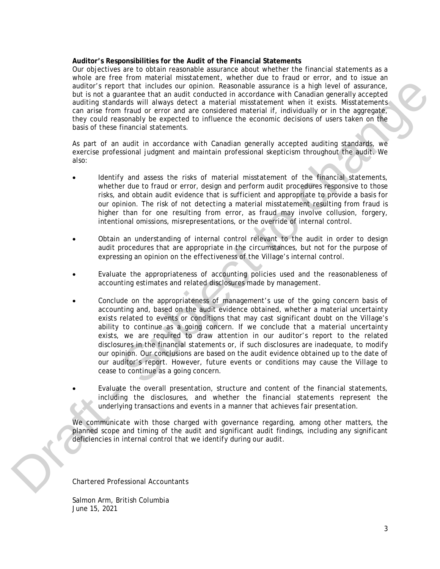**Auditor's Responsibilities for the Audit of the Financial Statements**

Our objectives are to obtain reasonable assurance about whether the financial statements as a whole are free from material misstatement, whether due to fraud or error, and to issue an auditor's report that includes our opinion. Reasonable assurance is a high level of assurance, but is not a guarantee that an audit conducted in accordance with Canadian generally accepted auditing standards will always detect a material misstatement when it exists. Misstatements can arise from fraud or error and are considered material if, individually or in the aggregate, they could reasonably be expected to influence the economic decisions of users taken on the basis of these financial statements.

As part of an audit in accordance with Canadian generally accepted auditing standards, we exercise professional judgment and maintain professional skepticism throughout the audit. We also:

- Identify and assess the risks of material misstatement of the financial statements, whether due to fraud or error, design and perform audit procedures responsive to those risks, and obtain audit evidence that is sufficient and appropriate to provide a basis for our opinion. The risk of not detecting a material misstatement resulting from fraud is higher than for one resulting from error, as fraud may involve collusion, forgery, intentional omissions, misrepresentations, or the override of internal control.
- Obtain an understanding of internal control relevant to the audit in order to design audit procedures that are appropriate in the circumstances, but not for the purpose of expressing an opinion on the effectiveness of the Village's internal control.
- Evaluate the appropriateness of accounting policies used and the reasonableness of accounting estimates and related disclosures made by management.
- Conclude on the appropriateness of management's use of the going concern basis of accounting and, based on the audit evidence obtained, whether a material uncertainty exists related to events or conditions that may cast significant doubt on the Village's ability to continue as a going concern. If we conclude that a material uncertainty exists, we are required to draw attention in our auditor's report to the related disclosures in the financial statements or, if such disclosures are inadequate, to modify our opinion. Our conclusions are based on the audit evidence obtained up to the date of our auditor's report. However, future events or conditions may cause the Village to cease to continue as a going concern. winding is propriated in an approximation in the concellent winding is a high look of a subject of a high look of a high look of a high look of a high look of a high look of a high look of a high look of a subject of a su
	- Evaluate the overall presentation, structure and content of the financial statements, including the disclosures, and whether the financial statements represent the underlying transactions and events in a manner that achieves fair presentation.

We communicate with those charged with governance regarding, among other matters, the planned scope and timing of the audit and significant audit findings, including any significant deficiencies in internal control that we identify during our audit.

Chartered Professional Accountants

Salmon Arm, British Columbia June 15, 2021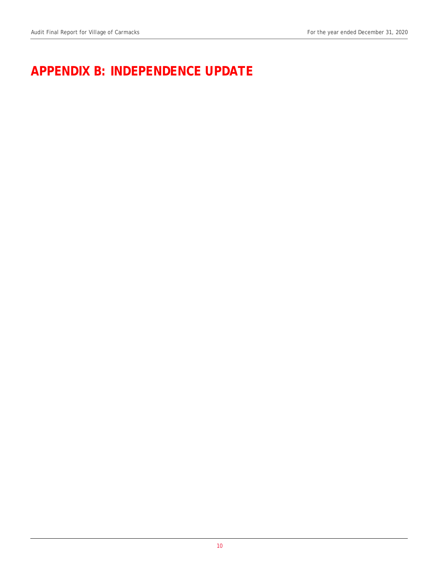## **APPENDIX B: INDEPENDENCE UPDATE**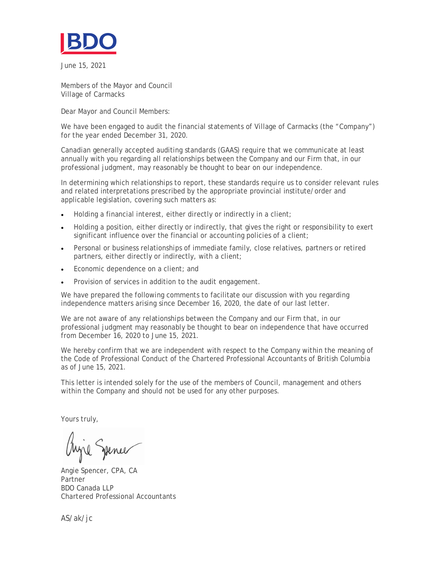

Members of the Mayor and Council Village of Carmacks

Dear Mayor and Council Members:

We have been engaged to audit the financial statements of Village of Carmacks (the "Company") for the year ended December 31, 2020.

Canadian generally accepted auditing standards (GAAS) require that we communicate at least annually with you regarding all relationships between the Company and our Firm that, in our professional judgment, may reasonably be thought to bear on our independence.

In determining which relationships to report, these standards require us to consider relevant rules and related interpretations prescribed by the appropriate provincial institute/order and applicable legislation, covering such matters as:

- Holding a financial interest, either directly or indirectly in a client;
- · Holding a position, either directly or indirectly, that gives the right or responsibility to exert significant influence over the financial or accounting policies of a client;
- Personal or business relationships of immediate family, close relatives, partners or retired partners, either directly or indirectly, with a client;
- Economic dependence on a client; and
- Provision of services in addition to the audit engagement.

We have prepared the following comments to facilitate our discussion with you regarding independence matters arising since December 16, 2020, the date of our last letter.

We are not aware of any relationships between the Company and our Firm that, in our professional judgment may reasonably be thought to bear on independence that have occurred from December 16, 2020 to June 15, 2021.

We hereby confirm that we are independent with respect to the Company within the meaning of the Code of Professional Conduct of the Chartered Professional Accountants of British Columbia as of June 15, 2021.

This letter is intended solely for the use of the members of Council, management and others within the Company and should not be used for any other purposes.

Yours truly,

Angie Spencer, CPA, CA Partner BDO Canada LLP Chartered Professional Accountants

AS/ak/jc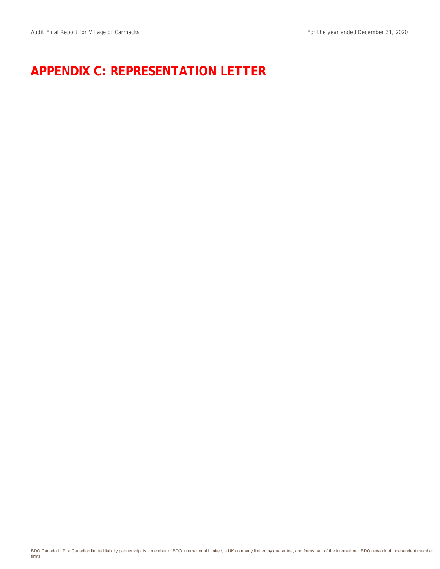## **APPENDIX C: REPRESENTATION LETTER**

BDO Canada LLP, a Canadian limited liability partnership, is a member of BDO International Limited, a UK company limited by guarantee, and forms part of the international BDO network of independent member firms.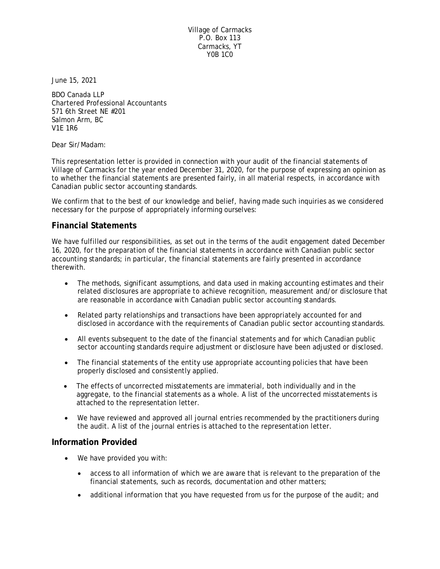Village of Carmacks P.O. Box 113 Carmacks, YT Y0B 1C0

June 15, 2021

BDO Canada LLP Chartered Professional Accountants 571 6th Street NE #201 Salmon Arm, BC V1E 1R6

Dear Sir/Madam:

This representation letter is provided in connection with your audit of the financial statements of Village of Carmacks for the year ended December 31, 2020, for the purpose of expressing an opinion as to whether the financial statements are presented fairly, in all material respects, in accordance with Canadian public sector accounting standards.

We confirm that to the best of our knowledge and belief, having made such inquiries as we considered necessary for the purpose of appropriately informing ourselves:

#### **Financial Statements**

We have fulfilled our responsibilities, as set out in the terms of the audit engagement dated December 16, 2020, for the preparation of the financial statements in accordance with Canadian public sector accounting standards; in particular, the financial statements are fairly presented in accordance therewith.

- The methods, significant assumptions, and data used in making accounting estimates and their related disclosures are appropriate to achieve recognition, measurement and/or disclosure that are reasonable in accordance with Canadian public sector accounting standards.
- · Related party relationships and transactions have been appropriately accounted for and disclosed in accordance with the requirements of Canadian public sector accounting standards.
- · All events subsequent to the date of the financial statements and for which Canadian public sector accounting standards require adjustment or disclosure have been adjusted or disclosed.
- The financial statements of the entity use appropriate accounting policies that have been properly disclosed and consistently applied.
- The effects of uncorrected misstatements are immaterial, both individually and in the aggregate, to the financial statements as a whole. A list of the uncorrected misstatements is attached to the representation letter.
- We have reviewed and approved all journal entries recommended by the practitioners during the audit. A list of the journal entries is attached to the representation letter.

#### **Information Provided**

- · We have provided you with:
	- · access to all information of which we are aware that is relevant to the preparation of the financial statements, such as records, documentation and other matters;
	- · additional information that you have requested from us for the purpose of the audit; and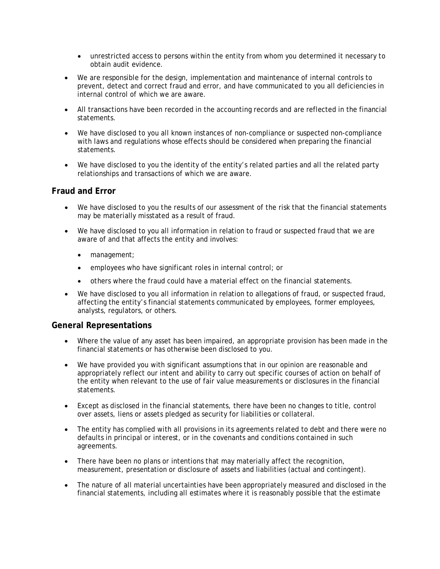- · unrestricted access to persons within the entity from whom you determined it necessary to obtain audit evidence.
- · We are responsible for the design, implementation and maintenance of internal controls to prevent, detect and correct fraud and error, and have communicated to you all deficiencies in internal control of which we are aware.
- · All transactions have been recorded in the accounting records and are reflected in the financial statements.
- · We have disclosed to you all known instances of non-compliance or suspected non-compliance with laws and regulations whose effects should be considered when preparing the financial statements.
- We have disclosed to you the identity of the entity's related parties and all the related party relationships and transactions of which we are aware.

#### **Fraud and Error**

- · We have disclosed to you the results of our assessment of the risk that the financial statements may be materially misstated as a result of fraud.
- · We have disclosed to you all information in relation to fraud or suspected fraud that we are aware of and that affects the entity and involves:
	- management;
	- · employees who have significant roles in internal control; or
	- · others where the fraud could have a material effect on the financial statements.
- · We have disclosed to you all information in relation to allegations of fraud, or suspected fraud, affecting the entity's financial statements communicated by employees, former employees, analysts, regulators, or others.

#### **General Representations**

- · Where the value of any asset has been impaired, an appropriate provision has been made in the financial statements or has otherwise been disclosed to you.
- · We have provided you with significant assumptions that in our opinion are reasonable and appropriately reflect our intent and ability to carry out specific courses of action on behalf of the entity when relevant to the use of fair value measurements or disclosures in the financial statements.
- $\bullet$  Except as disclosed in the financial statements, there have been no changes to title, control over assets, liens or assets pledged as security for liabilities or collateral.
- The entity has complied with all provisions in its agreements related to debt and there were no defaults in principal or interest, or in the covenants and conditions contained in such agreements.
- There have been no plans or intentions that may materially affect the recognition, measurement, presentation or disclosure of assets and liabilities (actual and contingent).
- · The nature of all material uncertainties have been appropriately measured and disclosed in the financial statements, including all estimates where it is reasonably possible that the estimate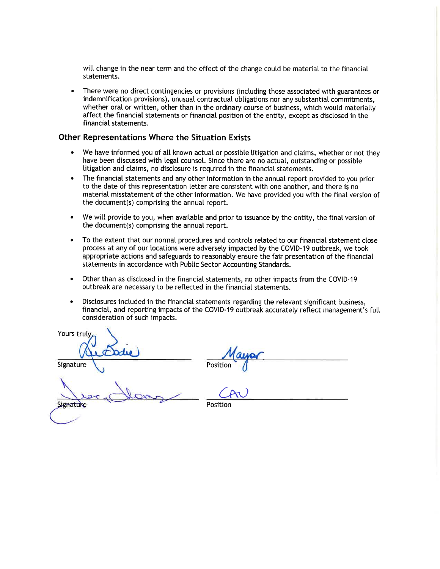will change in the near term and the effect of the change could be material to the financial statements.

There were no direct contingencies or provisions (including those associated with guarantees or indemnification provisions), unusual contractual obligations nor any substantial commitments, whether oral or written, other than in the ordinary course of business, which would materially affect the financial statements or financial position of the entity, except as disclosed in the financial statements.

#### Other Representations Where the Situation Exists

- We have informed you of all known actual or possible litigation and claims, whether or not they  $\bullet$ have been discussed with legal counsel. Since there are no actual, outstanding or possible litigation and claims, no disclosure is required in the financial statements.
- The financial statements and any other information in the annual report provided to you prior to the date of this representation letter are consistent with one another, and there is no material misstatement of the other information. We have provided you with the final version of the document(s) comprising the annual report.
- We will provide to you, when available and prior to issuance by the entity, the final version of the document(s) comprising the annual report.
- To the extent that our normal procedures and controls related to our financial statement close process at any of our locations were adversely impacted by the COVID-19 outbreak, we took appropriate actions and safeguards to reasonably ensure the fair presentation of the financial statements in accordance with Public Sector Accounting Standards.
- Other than as disclosed in the financial statements, no other impacts from the COVID-19 outbreak are necessary to be reflected in the financial statements.
- Disclosures included in the financial statements regarding the relevant significant business. financial, and reporting impacts of the COVID-19 outbreak accurately reflect management's full consideration of such impacts.

Yours truly

Signature

Signatuke

Position

Position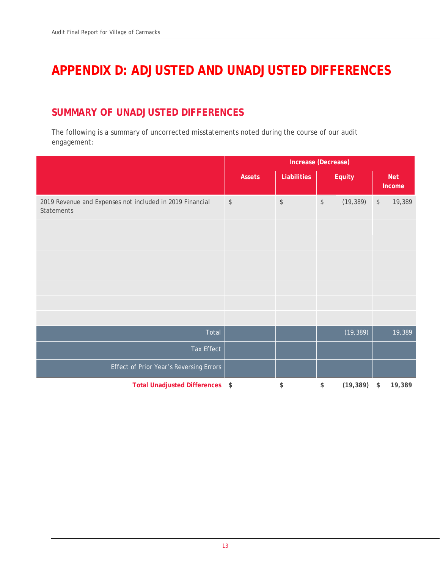## **APPENDIX D: ADJUSTED AND UNADJUSTED DIFFERENCES**

### **SUMMARY OF UNADJUSTED DIFFERENCES**

The following is a summary of uncorrected misstatements noted during the course of our audit engagement:

|                                                                        | Increase (Decrease) |             |      |           |                |                      |
|------------------------------------------------------------------------|---------------------|-------------|------|-----------|----------------|----------------------|
|                                                                        | <b>Assets</b>       | Liabilities |      | Equity    |                | <b>Net</b><br>Income |
| 2019 Revenue and Expenses not included in 2019 Financial<br>Statements | $\updownarrow$      | $\,$        | $\,$ | (19, 389) | $\,$           | 19,389               |
|                                                                        |                     |             |      |           |                |                      |
|                                                                        |                     |             |      |           |                |                      |
|                                                                        |                     |             |      |           |                |                      |
|                                                                        |                     |             |      |           |                |                      |
|                                                                        |                     |             |      |           |                |                      |
|                                                                        |                     |             |      |           |                |                      |
|                                                                        |                     |             |      |           |                |                      |
| Total                                                                  |                     |             |      | (19, 389) |                | 19,389               |
| Tax Effect                                                             |                     |             |      |           |                |                      |
| Effect of Prior Year's Reversing Errors                                |                     |             |      |           |                |                      |
| Total Unadjusted Differences \$                                        |                     | \$          | \$   | (19, 389) | $$\mathbb{S}$$ | 19,389               |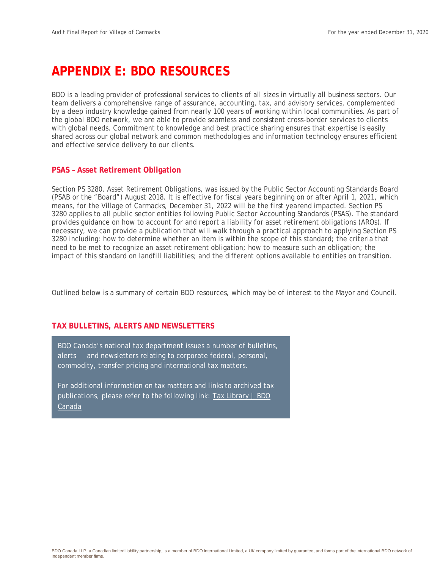## **APPENDIX E: BDO RESOURCES**

BDO is a leading provider of professional services to clients of all sizes in virtually all business sectors. Our team delivers a comprehensive range of assurance, accounting, tax, and advisory services, complemented by a deep industry knowledge gained from nearly 100 years of working within local communities. As part of the global BDO network, we are able to provide seamless and consistent cross-border services to clients with global needs. Commitment to knowledge and best practice sharing ensures that expertise is easily shared across our global network and common methodologies and information technology ensures efficient and effective service delivery to our clients.

#### **PSAS – Asset Retirement Obligation**

Section PS 3280, Asset Retirement Obligations, was issued by the Public Sector Accounting Standards Board (PSAB or the "Board") August 2018. It is effective for fiscal years beginning on or after April 1, 2021, which means, for the Village of Carmacks, December 31, 2022 will be the first yearend impacted. Section PS 3280 applies to all public sector entities following Public Sector Accounting Standards (PSAS). The standard provides guidance on how to account for and report a liability for asset retirement obligations (AROs). If necessary, we can provide a publication that will walk through a practical approach to applying Section PS 3280 including: how to determine whether an item is within the scope of this standard; the criteria that need to be met to recognize an asset retirement obligation; how to measure such an obligation; the impact of this standard on landfill liabilities; and the different options available to entities on transition.

Outlined below is a summary of certain BDO resources, which may be of interest to the Mayor and Council.

#### **TAX BULLETINS, ALERTS AND NEWSLETTERS**

BDO Canada's national tax department issues a number of bulletins, alerts and newsletters relating to corporate federal, personal, commodity, transfer pricing and international tax matters.

For additional information on tax matters and links to archived tax publications, please refer to the following link: Tax Library | BDO Canada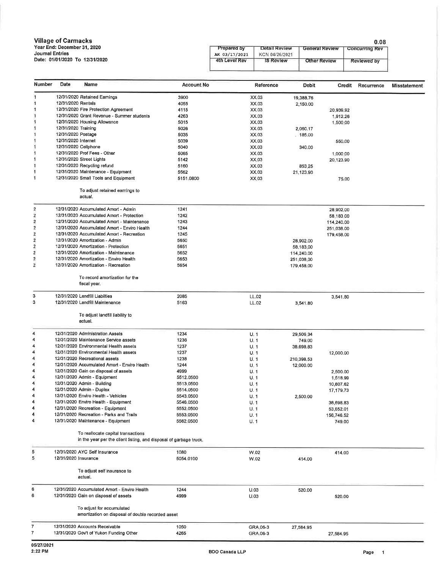|                                                       | <b>Village of Carmacks</b> |                                                                                                          |                   |                                |                                    |                       |                       | 0.08                 |                     |
|-------------------------------------------------------|----------------------------|----------------------------------------------------------------------------------------------------------|-------------------|--------------------------------|------------------------------------|-----------------------|-----------------------|----------------------|---------------------|
| Year End: December 31, 2020<br><b>Journal Entries</b> |                            |                                                                                                          | Prepared by       | <b>Detail Review</b>           |                                    | <b>General Review</b> | <b>Concurring Rev</b> |                      |                     |
|                                                       |                            | Date: 01/01/2020 To 12/31/2020                                                                           |                   | AK 03/17/2021<br>4th Level Rev | KCN 04/26/2021<br><b>IS Review</b> |                       | <b>Other Review</b>   | <b>Reviewed by</b>   |                     |
|                                                       |                            |                                                                                                          |                   |                                |                                    |                       |                       |                      |                     |
| Number                                                | Date                       | Name                                                                                                     | <b>Account No</b> |                                |                                    |                       |                       |                      |                     |
|                                                       |                            |                                                                                                          |                   |                                | Reference                          | <b>Debit</b>          |                       | Credit<br>Recurrence | <b>Misstatement</b> |
|                                                       |                            | 12/31/2020 Retained Earnings                                                                             | 3900              |                                | XX.03                              | 19,388.76             |                       |                      |                     |
| 4                                                     | 12/31/2020 Rentals         |                                                                                                          | 4055              |                                | XX.03                              | 2,150.00              |                       |                      |                     |
| 4                                                     |                            | 12/31/2020 Fire Protection Agreement                                                                     | 4115              |                                | XX.03                              |                       | 20,939.92             |                      |                     |
|                                                       |                            | 12/31/2020 Grant Revenue - Summer students                                                               | 4263              |                                | XX.03                              |                       | 1,912.26              |                      |                     |
| 1                                                     |                            | 12/31/2020 Housing Allowance                                                                             | 5015              |                                | XX.03                              |                       | 1,500.00              |                      |                     |
| 1                                                     | 12/31/2020 Training        |                                                                                                          | 5026              |                                | XX.03                              | 2,060.17              |                       |                      |                     |
| 1                                                     | 12/31/2020 Postage         |                                                                                                          | 5035              |                                | XX.03                              | . 185.00              |                       |                      |                     |
|                                                       | 12/31/2020 Internet        |                                                                                                          | 5039              |                                | XX.03                              |                       | 550.00                |                      |                     |
|                                                       | 12/31/2020 Cellphone       |                                                                                                          | 5040              |                                | XX.03                              | 340.00                |                       |                      |                     |
| 1                                                     |                            | 12/31/2020 Prof Fees - Other                                                                             | 5065              |                                | XX.03                              |                       | 1,000,00              |                      |                     |
| $\mathbf{1}$                                          |                            | 12/31/2020 Street Lights                                                                                 | 5142              |                                | XX.03                              |                       | 20,123.90             |                      |                     |
| 1                                                     |                            | 12/31/2020 Recycling refund                                                                              | 5160              |                                | XX.03                              | 853.25                |                       |                      |                     |
| 1                                                     |                            | 12/31/2020 Maintenance - Equipment                                                                       | 5562              |                                | XX.03                              | 21,123.90             |                       |                      |                     |
| đ                                                     |                            | 12/31/2020 Small Tools and Equipment                                                                     | 5151.0800         |                                | XX.03                              |                       | 75,00                 |                      |                     |
|                                                       |                            | To adjust retained earnings to<br>actual.                                                                |                   |                                |                                    |                       |                       |                      |                     |
| 2                                                     |                            | 12/31/2020 Accumulated Amort - Admin                                                                     | 1241              |                                |                                    |                       | 28,902.00             |                      |                     |
| $\overline{\mathbf{2}}$                               |                            | 12/31/2020 Accumulated Amort - Protection                                                                | 1242              |                                |                                    |                       | 58,183,00             |                      |                     |
| 2                                                     |                            | 12/31/2020 Accumulated Amort - Maintenance                                                               | 1243              |                                |                                    |                       | 114,240.00            |                      |                     |
| $\overline{\mathbf{2}}$                               |                            | 12/31/2020 Accumulated Amort - Enviro Health                                                             | 1244              |                                |                                    |                       | 251,038.00            |                      |                     |
| 2                                                     |                            | 12/31/2020 Accumulated Amort - Recreation                                                                | 1245              |                                |                                    |                       | 179,458.00            |                      |                     |
| $\overline{\mathbf{2}}$                               |                            | 12/31/2020 Amortization - Admin                                                                          | 5650              |                                |                                    | 28,902.00             |                       |                      |                     |
| $\overline{\mathbf{z}}$                               |                            | 12/31/2020 Amortization - Protection                                                                     | 5651              |                                |                                    | 58,183,00             |                       |                      |                     |
| 2                                                     |                            | 12/31/2020 Amortization - Maintenance                                                                    | 5652              |                                |                                    | 114,240.00            |                       |                      |                     |
| 2                                                     |                            | 12/31/2020 Amortization - Enviro Health                                                                  | 5653              |                                |                                    | 251,038,00            |                       |                      |                     |
| $\overline{2}$                                        |                            | 12/31/2020 Amortization - Recreation                                                                     | 5654              |                                |                                    | 179,458.00            |                       |                      |                     |
|                                                       |                            | To record amortization for the<br>fiscal year.                                                           |                   |                                |                                    |                       |                       |                      |                     |
| з                                                     |                            | 12/31/2020 Landfill Liabilties                                                                           | 2085              |                                | LL.02                              |                       | 3,541.80              |                      |                     |
| з                                                     |                            | 12/31/2020 Landfill Maintenance                                                                          | 5163              |                                | LL.02                              | 3,541.80              |                       |                      |                     |
|                                                       |                            | To adjust landfill liability to<br>actual.                                                               |                   |                                |                                    |                       |                       |                      |                     |
| 4                                                     |                            | 12/31/2020 Administration Assets                                                                         | 1234              |                                | U.1                                | 29,506,34             |                       |                      |                     |
| 4                                                     |                            | 12/31/2020 Maintenance Service assets                                                                    | 1236              |                                | U.1                                | 749.00                |                       |                      |                     |
| 4                                                     |                            | 12/31/2020 Environmental Health assets                                                                   | 1237              |                                | U. 1                               | 38,698.83             |                       |                      |                     |
| 4                                                     |                            | 12/31/2020 Environmental Health assets                                                                   | 1237              |                                | U. 1                               |                       | 12,000.00             |                      |                     |
| $\overline{4}$                                        |                            | 12/31/2020 Recreational assets                                                                           | 1238              |                                | U. 1                               | 210,398.53            |                       |                      |                     |
| 4                                                     |                            | 12/31/2020 Accumulated Amort - Enviro Health                                                             | 1244              |                                | U. 1                               | 12,000.00             |                       |                      |                     |
| 4                                                     |                            | 12/31/2020 Gain on disposal of assets                                                                    | 4999              |                                | U. 1                               |                       | 2,500.00              |                      |                     |
| 4                                                     |                            | 12/31/2020 Admin - Equipment                                                                             | 5512.0500         |                                | U.1                                |                       | 1,518.99              |                      |                     |
| 4                                                     |                            | 12/31/2020 Admin - Building                                                                              | 5513.0500         |                                | U. 1                               |                       | 10,807.62             |                      |                     |
| 4                                                     |                            | 12/31/2020 Admin - Duplex                                                                                | 5514.0500         |                                | U. 1                               |                       | 17,179.73             |                      |                     |
| 4                                                     |                            | 12/31/2020 Enviro Health - Vehicles                                                                      | 5543.0500         |                                | U.1                                | 2,500.00              |                       |                      |                     |
| $\overline{4}$                                        |                            | 12/31/2020 Enviro Health - Equipment                                                                     | 5546.0500         |                                | U. 1                               |                       | 38,698.83             |                      |                     |
| 4                                                     |                            | 12/31/2020 Recreation - Equipment                                                                        | 5552.0500         |                                | U. 1                               |                       | 53,652.01             |                      |                     |
| 4                                                     |                            | 12/31/2020 Recreation - Parks and Trails                                                                 | 5553.0500         |                                | U. 1                               |                       | 156,746.52            |                      |                     |
| 4                                                     |                            | 12/31/2020 Maintenance - Equipment                                                                       | 5562.0500         |                                | U. 1                               |                       | 749.00                |                      |                     |
|                                                       |                            | To reallocate capital transactions<br>in the year per the client listing, and disposal of garbage truck. |                   |                                |                                    |                       |                       |                      |                     |
| 5                                                     |                            | 12/31/2020 AYC Self Insurance                                                                            | 1080              |                                | W.02                               |                       | 414.00                |                      |                     |
| 5                                                     | 12/31/2020 Insurance       |                                                                                                          | 5054,0100         |                                | W.02                               | 414.00                |                       |                      |                     |
|                                                       |                            | To adjust self insurance to<br>actual.                                                                   |                   |                                |                                    |                       |                       |                      |                     |
| 6                                                     |                            | 12/31/2020 Accumulated Amort - Enviro Health                                                             | 1244              |                                | U.03                               | 520.00                |                       |                      |                     |
| 6                                                     |                            | 12/31/2020 Gain on disposal of assets                                                                    | 4999              |                                | U.03                               |                       | 520.00                |                      |                     |
|                                                       |                            | To adjust for accumulated<br>amortization on disposal of double recorded asset                           |                   |                                |                                    |                       |                       |                      |                     |
| 7                                                     |                            | 12/31/2020 Accounts Receivable                                                                           | 1050              |                                | GRA 06-3                           | 27,584.95             |                       |                      |                     |
| 7                                                     |                            | 12/31/2020 Gov't of Yukon Funding Other                                                                  | 4265              |                                | GRA.06-3                           |                       | 27,584.95             |                      |                     |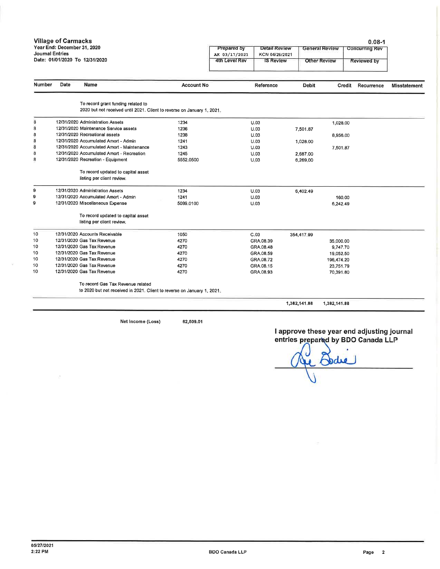|                     | $0.08 - 1$<br><b>Concurring Rev</b><br><b>Reviewed by</b> | <b>General Review</b><br><b>Other Review</b> |              | <b>Detail Review</b><br>KCN 04/26/2021<br><b>IS Review</b> | Prepared by<br>AK 03/17/2021<br>4th Level Rev |                   | <b>Village of Carmacks</b><br>Year End: December 31, 2020<br><b>Journal Entries</b><br>Date: 01/01/2020 To 12/31/2020 |      |        |
|---------------------|-----------------------------------------------------------|----------------------------------------------|--------------|------------------------------------------------------------|-----------------------------------------------|-------------------|-----------------------------------------------------------------------------------------------------------------------|------|--------|
| <b>Misstatement</b> | Recurrence                                                | Credit                                       | <b>Debit</b> | Reference                                                  |                                               | <b>Account No</b> | Name                                                                                                                  | Date | Number |
|                     |                                                           |                                              |              |                                                            |                                               |                   | To record grant funding related to<br>2020 but not received until 2021. Client to reverse on January 1, 2021.         |      |        |
|                     |                                                           | 1,028.00                                     |              | U.03                                                       |                                               | 1234              | 12/31/2020 Administration Assets                                                                                      |      | 8      |
|                     |                                                           |                                              | 7,501.87     | U.03                                                       |                                               | 1236              | 12/31/2020 Maintenance Service assets                                                                                 |      | 8      |
|                     |                                                           | 8,956.00                                     |              | U.03                                                       |                                               | 1238              | 12/31/2020 Recreational assets                                                                                        |      | 8      |
|                     |                                                           |                                              | 1,028.00     | U.03                                                       |                                               | 1241              | 12/31/2020 Accumulated Amort - Admin                                                                                  |      | 8      |
|                     |                                                           | 7,501.87                                     |              | U.03                                                       |                                               | 1243              | 12/31/2020 Accumulated Amort - Maintenance                                                                            |      | 8      |
|                     |                                                           |                                              | 2,687.00     | U.03                                                       |                                               | 1245              | 12/31/2020 Accumulated Amort - Recreation                                                                             |      | 8      |
|                     |                                                           |                                              | 6,269.00     | U.03                                                       |                                               | 5552.0500         | 12/31/2020 Recreation - Equipment                                                                                     |      | 8      |
|                     |                                                           |                                              |              |                                                            |                                               |                   | To record updated to capital asset<br>listing per client review.                                                      |      |        |
|                     |                                                           |                                              | 6,402.49     | U.03                                                       |                                               | 1234              | 12/31/2020 Administration Assets                                                                                      |      | 9      |
|                     |                                                           | 160.00                                       |              | U.03                                                       |                                               | 1241              | 12/31/2020 Accumulated Amort - Admin                                                                                  |      | 9      |
|                     |                                                           | 6,242.49                                     |              | U.03                                                       |                                               | 5099,0100         | 12/31/2020 Miscellaneous Expense                                                                                      |      | 9      |
|                     |                                                           |                                              |              |                                                            |                                               |                   | To record updated to capital asset<br>listing per client review.                                                      |      |        |
|                     |                                                           |                                              | 354,417.99   | C.03                                                       |                                               | 1050              | 12/31/2020 Accounts Receivable                                                                                        |      | 10     |
|                     |                                                           | 35,000.00                                    |              | GRA.08.39                                                  |                                               | 4270              | 12/31/2020 Gas Tax Revenue                                                                                            |      | 10     |
|                     |                                                           | 9,747.70                                     |              | GRA.08.48                                                  |                                               | 4270              | 12/31/2020 Gas Tax Revenue                                                                                            |      | 10     |
|                     |                                                           | 19.052.50                                    |              | GRA.08.59                                                  |                                               | 4270              | 12/31/2020 Gas Tax Revenue                                                                                            |      | 10     |
|                     |                                                           | 196,474.20                                   |              | GRA 08.72                                                  |                                               | 4270              | 12/31/2020 Gas Tax Revenue                                                                                            |      | 10     |
|                     |                                                           | 23.751.79                                    |              | GRA.08.15                                                  |                                               | 4270              | 12/31/2020 Gas Tax Revenue                                                                                            |      | 10     |
|                     |                                                           | 70,391.80                                    |              | GRA.08.93                                                  |                                               | 4270              | 12/31/2020 Gas Tax Revenue                                                                                            |      | 10     |
|                     |                                                           |                                              |              |                                                            |                                               |                   | To record Gas Tax Revenue related<br>to 2020 but not received in 2021. Client to reverse on January 1, 2021.          |      |        |
|                     |                                                           | 1,382,141.88                                 | 1,382,141.88 |                                                            |                                               |                   |                                                                                                                       |      |        |

Net Income (Loss)

62,509.01

I approve these year end adjusting journal<br>entries prepared by BDO Canada LLP

Bodie

 $\bar{\sigma}$ 

 $\widehat{\mathbb{G}}$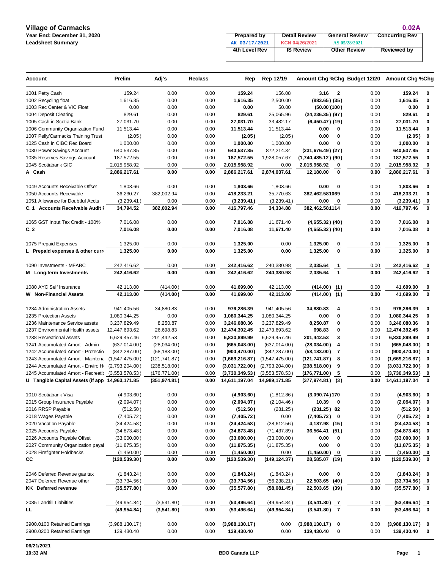| <b>Village of Carmacks</b>  |                    |                      |                       | 0.02A          |
|-----------------------------|--------------------|----------------------|-----------------------|----------------|
| Year End: December 31, 2020 | <b>Prepared by</b> | <b>Detail Review</b> | <b>General Review</b> | Concurring Rev |
| Leadsheet Summarv           | AK 03/17/2021      | KCN 04/26/2021       | AS 05/28/2021         |                |
|                             | 4th Level Rev      | <b>IS Review</b>     | <b>Other Review</b>   | Reviewed by    |
|                             |                    |                      |                       |                |

| Account                                           | Prelim         | Adj's         | Reclass | Rep            | Rep 12/19      |                        |                                 | Amount Chg %Chg Budget 12/20 Amount Chg %Chg |
|---------------------------------------------------|----------------|---------------|---------|----------------|----------------|------------------------|---------------------------------|----------------------------------------------|
| 1001 Petty Cash                                   | 159.24         | 0.00          | 0.00    | 159.24         | 156.08         | 3.16                   | $\overline{\mathbf{2}}$<br>0.00 | 159.24<br>0                                  |
| 1002 Recycling float                              | 1,616.35       | 0.00          | 0.00    | 1,616.35       | 2,500.00       | $(883.65)$ $(35)$      | 0.00                            | 1,616.35<br>0                                |
| 1003 Rec Center & VIC Float                       | 0.00           | 0.00          | 0.00    | 0.00           | 50.00          | (50.00)(100)           | 0.00                            | 0.00<br>0                                    |
| 1004 Deposit Clearing                             | 829.61         | 0.00          | 0.00    | 829.61         | 25,065.96      | $(24, 236.35)$ (97)    | 0.00                            | 829.61<br>0                                  |
| 1005 Cash in Scotia Bank                          | 27,031.70      | 0.00          | 0.00    | 27,031.70      | 33,482.17      | $(6,450.47)$ (19)      | 0.00                            | 27,031.70<br>0                               |
| 1006 Community Organization Fund                  | 11,513.44      | 0.00          | 0.00    | 11,513.44      | 11,513.44      | 0.00                   | 0<br>0.00                       | 11,513.44<br>0                               |
| 1007 Pelly/Carmacks Training Trust                | (2.05)         | 0.00          | 0.00    | (2.05)         | (2.05)         | 0.00                   | 0<br>0.00                       | 0<br>(2.05)                                  |
| 1025 Cash in CIBC Rec Board                       | 1,000.00       | 0.00          | 0.00    | 1,000.00       | 1,000.00       | 0.00                   | 0.00<br>0                       | 1,000.00<br>0                                |
| 1030 Power Savings Account                        | 640,537.85     | 0.00          | 0.00    | 640,537.85     | 872,214.34     | $(231, 676.49)$ $(27)$ | 0.00                            | 640,537.85<br>0                              |
| 1035 Reserves Savings Account                     | 187,572.55     | 0.00          | 0.00    | 187,572.55     | 1,928,057.67   | $(1,740,485.12)$ (90)  | 0.00                            | 187,572.55<br>0                              |
| 1045 Scotiabank GIC                               | 2,015,958.92   | 0.00          | 0.00    | 2,015,958.92   | 0.00           | 2,015,958.92           | 0.00<br>0                       | 2,015,958.92<br>0                            |
| A Cash                                            | 2,886,217.61   | 0.00          | 0.00    | 2,886,217.61   | 2,874,037.61   | 12,180.00              | 0<br>0.00                       | 2,886,217.61<br>0                            |
| 1049 Accounts Receivable Offset                   | 1,803.66       | 0.00          | 0.00    | 1,803.66       | 1,803.66       | 0.00                   | 0<br>0.00                       | 1,803.66<br>0                                |
| 1050 Accounts Receivable                          | 36,230.27      | 382,002.94    | 0.00    | 418,233.21     | 35,770.63      | 382,462.581069         | 0.00                            | 418,233.21<br>0                              |
| 1051 Allowance for Doubtful Accts                 | (3,239.41)     | 0.00          | 0.00    | (3,239.41)     | (3,239.41)     | 0.00                   | 0.00<br>0                       | (3,239.41)<br>0                              |
| C. 1 Accounts Receivable Audit I                  | 34,794.52      | 382,002.94    | 0.00    | 416,797.46     | 34,334.88      | 382,462.581114         | 0.00                            | 416,797.46<br>0                              |
| 1065 GST Input Tax Credit - 100%                  | 7,016.08       | 0.00          | 0.00    | 7,016.08       | 11,671.40      | $(4,655.32)$ $(40)$    | 0.00                            | 7,016.08<br>0                                |
| C.2                                               | 7,016.08       | 0.00          | 0.00    | 7,016.08       | 11,671.40      | $(4,655.32)$ $(40)$    | 0.00                            | 7,016.08<br>0                                |
| 1075 Prepaid Expenses                             | 1,325.00       | 0.00          | 0.00    | 1,325.00       | 0.00           | 1,325.00               | 0<br>0.00                       | 1,325.00<br>0                                |
| L Prepaid expenses & other curre                  | 1,325.00       | 0.00          | 0.00    | 1,325.00       | 0.00           | 1,325.00               | 0<br>0.00                       | 1,325.00<br>0                                |
| 1090 Investments - MFABC                          | 242,416.62     | 0.00          | 0.00    | 242,416.62     | 240,380.98     | 2,035.64               | 0.00<br>1                       | 242,416.62<br>0                              |
| M Long-term Investments                           | 242,416.62     | 0.00          | 0.00    | 242,416.62     | 240,380.98     | 2,035.64               | $\mathbf{1}$<br>0.00            | 242,416.62<br>0                              |
| 1080 AYC Self Insurance                           | 42,113.00      | (414.00)      | 0.00    | 41,699.00      | 42,113.00      | (414.00)               | (1)<br>0.00                     | 41,699.00<br>0                               |
| <b>W</b> Non-Financial Assets                     | 42,113.00      | (414.00)      | 0.00    | 41,699.00      | 42,113.00      | $(414.00)$ (1)         | 0.00                            | 41,699.00<br>0                               |
| 1234 Administration Assets                        | 941,405.56     | 34,880.83     | 0.00    | 976,286.39     | 941,405.56     | 34,880.83              | 4<br>0.00                       | 0<br>976,286.39                              |
| 1235 Protection Assets                            | 1,080,344.25   | 0.00          | 0.00    | 1,080,344.25   | 1,080,344.25   | 0.00                   | 0<br>0.00                       | 1,080,344.25<br>0                            |
| 1236 Maintenance Service assets                   | 3,237,829.49   | 8,250.87      | 0.00    | 3,246,080.36   | 3,237,829.49   | 8,250.87               | 0<br>0.00                       | 3,246,080.36<br>0                            |
| 1237 Environmental Health assets                  | 12,447,693.62  | 26,698.83     | 0.00    | 12,474,392.45  | 12,473,693.62  | 698.83                 | 0<br>0.00                       | 0<br>12,474,392.45                           |
| 1238 Recreational assets                          | 6,629,457.46   | 201,442.53    | 0.00    | 6,830,899.99   | 6,629,457.46   | 201,442.53             | 3<br>0.00                       | 6,830,899.99<br>0                            |
| 1241 Accumulated Amort - Admin                    | (637, 014.00)  | (28,034.00)   | 0.00    | (665,048.00)   | (637, 014.00)  | (28,034.00)            | 4<br>0.00                       | (665,048.00)<br>0                            |
| 1242 Accumulated Amort - Protectio                | (842, 287.00)  | (58, 183.00)  | 0.00    | (900, 470.00)  | (842, 287.00)  | (58, 183.00)           | 7<br>0.00                       | (900, 470.00)<br>0                           |
| 1243 Accumulated Amort - Maintena                 | (1,547,475.00) | (121, 741.87) | 0.00    | (1,669,216.87) | (1,547,475.00) | (121,741.87)           | 0.00<br>8                       | (1,669,216.87)<br>0                          |
| 1244 Accumulated Amort - Enviro He                | (2,793,204.00) | (238, 518.00) | 0.00    | (3,031,722.00) | (2,793,204.00) | (238, 518.00)          | 9<br>0.00                       | (3,031,722.00)<br>0                          |
| 1245 Accumulated Amort - Recreatic (3,553,578.53) |                | (176, 771.00) | 0.00    | (3,730,349.53) | (3,553,578.53) | (176, 771.00)          | 5<br>0.00                       | (3,730,349.53)<br>0                          |
| U Tangible Capital Assets (if app 14,963,171.85   |                | (351, 974.81) | 0.00    | 14,611,197.04  | 14,989,171.85  | $(377, 974.81)$ (3)    | 0.00                            | 14,611,197.04<br>0                           |
| 1010 Scotiabank Visa                              | (4,903.60)     | 0.00          | 0.00    | (4,903.60)     | (1,812.86)     | $(3,090.74)$ 170       | 0.00                            | (4,903.60)<br>0                              |
| 2015 Group Insurance Payable                      | (2,094.07)     | 0.00          | 0.00    | (2,094.07)     | (2, 104.46)    | 10.39                  | 0<br>0.00                       | $(2,094.07)$ 0                               |
| 2016 RRSP Payable                                 | (512.50)       | 0.00          | 0.00    | (512.50)       | (281.25)       | $(231.25)$ 82          | 0.00                            | (512.50) 0                                   |
| 2018 Wages Payable                                | (7,405.72)     | 0.00          | 0.00    | (7,405.72)     | 0.00           | $(7,405.72)$ 0         | 0.00                            | $(7,405.72)$ 0                               |
| 2020 Vacation Payable                             | (24, 424.58)   | 0.00          | 0.00    | (24, 424.58)   | (28, 612.56)   | 4,187.98 (15)          | 0.00                            | $(24, 424.58)$ 0                             |
| 2025 Accounts Payable                             | (34, 873.48)   | 0.00          | 0.00    | (34, 873.48)   | (71, 437.89)   | 36,564.41 (51)         | 0.00                            | $(34,873.48)$ 0                              |
| 2026 Accounts Payable Offset                      | (33,000.00)    | 0.00          | 0.00    | (33,000.00)    | (33,000.00)    | 0.00                   | 0<br>0.00                       | $(33,000.00)$ 0                              |
| 2027 Community Organization payal                 | (11, 875.35)   | 0.00          | 0.00    | (11, 875.35)   | (11, 875.35)   | 0.00                   | 0.00<br>0                       | (11, 875.35)<br>0                            |
| 2028 Firefighter Holdbacks                        | (1,450.00)     | 0.00          | 0.00    | (1,450.00)     | 0.00           | (1,450.00)             | 0.00<br>0                       | $(1,450.00)$ 0                               |
| CС                                                | (120, 539.30)  | 0.00          | 0.00    | (120, 539.30)  | (149, 124.37)  | 28,585.07 (19)         | 0.00                            | $(120, 539.30)$ 0                            |
| 2046 Deferred Revenue gas tax                     | (1,843.24)     | 0.00          | 0.00    | (1,843.24)     | (1,843.24)     | 0.00                   | 0<br>0.00                       | $(1,843.24)$ 0                               |
| 2047 Deferred Revenue other                       | (33,734.56)    | 0.00          | 0.00    | (33,734.56)    | (56, 238.21)   | 22,503.65              | (40)<br>0.00                    | (33,734.56 )<br>$\mathbf{0}$                 |
| <b>KK</b> Deferred revenue                        | (35,577.80)    | 0.00          | 0.00    | (35,577.80)    | (58,081.45)    | 22,503.65 (39)         | 0.00                            | $(35,577.80)$ 0                              |
| 2085 Landfill Liabilties                          | (49, 954.84)   | (3,541.80)    | 0.00    | (53,496.64)    | (49,954.84)    | $(3,541.80)$ 7         | 0.00                            | $(53, 496.64)$ 0                             |
| LL                                                | (49, 954.84)   | (3,541.80)    | 0.00    | (53, 496.64)   | (49, 954.84)   | $(3,541.80)$ 7         | 0.00                            | $(53, 496.64)$ 0                             |
| 3900.0100 Retained Earnings                       | (3,988,130.17) | 0.00          | 0.00    | (3,988,130.17) | 0.00           | (3,988,130.17)         | 0<br>0.00                       | $(3,988,130.17)$ 0                           |
| 3900.0200 Retained Earnings                       | 139,430.40     | 0.00          | 0.00    | 139,430.40     | 0.00           | 139,430.40             | 0<br>0.00                       | 139,430.40<br>0                              |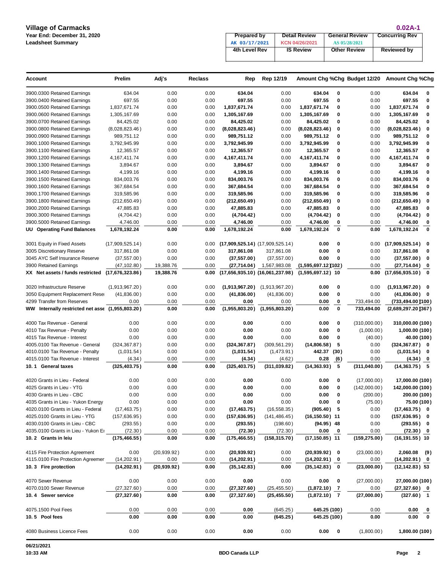| <b>Village of Carmacks</b>  |                    |                      |                       | $0.02A-1$             |
|-----------------------------|--------------------|----------------------|-----------------------|-----------------------|
| Year End: December 31, 2020 | <b>Prepared by</b> | <b>Detail Review</b> | <b>General Review</b> | <b>Concurring Rev</b> |
| <b>Leadsheet Summary</b>    | AK 03/17/2021      | KCN 04/26/2021       | AS 05/28/2021         |                       |
|                             | 4th Level Rev      | <b>IS Review</b>     | <b>Other Review</b>   | Reviewed by           |
|                             |                    |                      |                       |                       |

| Account                                          | Prelim          | Adj's        | <b>Reclass</b> | Rep             | Rep 12/19                           |                                                   |               | Amount Chg %Chg Budget 12/20 Amount Chg %Chg |
|--------------------------------------------------|-----------------|--------------|----------------|-----------------|-------------------------------------|---------------------------------------------------|---------------|----------------------------------------------|
| 3900.0300 Retained Earnings                      | 634.04          | 0.00         | 0.00           | 634.04          | 0.00                                | 634.04<br>0                                       | 0.00          | 634.04<br>0                                  |
| 3900.0400 Retained Earnings                      | 697.55          | 0.00         | 0.00           | 697.55          | 0.00                                | 697.55<br>0                                       | 0.00          | 697.55<br>0                                  |
| 3900.0500 Retained Earnings                      | 1,837,671.74    | 0.00         | 0.00           | 1,837,671.74    | 0.00                                | 1,837,671.74<br>0                                 | 0.00          | 1,837,671.74<br>0                            |
| 3900.0600 Retained Earnings                      | 1,305,167.69    | 0.00         | 0.00           | 1,305,167.69    | 0.00                                | 1,305,167.69<br>0                                 | 0.00          | 0<br>1,305,167.69                            |
| 3900.0700 Retained Earnings                      | 84,425.02       | 0.00         | 0.00           | 84,425.02       | 0.00                                | 84,425.02<br>0                                    | 0.00          | 84,425.02<br>0                               |
| 3900.0800 Retained Earnings                      | (8,028,823.46)  | 0.00         | 0.00           | (8,028,823.46)  | 0.00                                | (8,028,823.46)<br>0                               | 0.00          | (8,028,823.46)<br>$\bf{0}$                   |
| 3900.0900 Retained Earnings                      | 989,751.12      | 0.00         | 0.00           | 989,751.12      | 0.00                                | 989,751.12<br>0                                   | 0.00          | 989,751.12<br>0                              |
| 3900.1000 Retained Earnings                      | 3,792,945.99    | 0.00         | 0.00           | 3,792,945.99    | 0.00                                | 3,792,945.99<br>0                                 | 0.00          | 3,792,945.99<br>0                            |
| 3900.1100 Retained Earnings                      | 12,365.57       | 0.00         | 0.00           | 12,365.57       | 0.00                                | 0<br>12,365.57                                    | 0.00          | 12,365.57<br>0                               |
| 3900.1200 Retained Earnings                      | 4,167,411.74    | 0.00         | 0.00           | 4, 167, 411. 74 | 0.00                                | 4,167,411.74<br>0                                 | 0.00          | 0<br>4, 167, 411.74                          |
| 3900.1300 Retained Earnings                      | 3,894.67        | 0.00         | 0.00           | 3,894.67        | 0.00                                | 3,894.67<br>0                                     | 0.00          | 3,894.67<br>0                                |
| 3900.1400 Retained Earnings                      | 4,199.16        | 0.00         | 0.00           | 4,199.16        | 0.00                                | 4,199.16<br>0                                     | 0.00          | 4,199.16<br>0                                |
| 3900.1500 Retained Earnings                      | 834,003.76      | 0.00         | 0.00           | 834,003.76      | 0.00                                | 834,003.76<br>0                                   | 0.00          | 834,003.76<br>0                              |
| 3900.1600 Retained Earnings                      | 367,684.54      | 0.00         | 0.00           | 367,684.54      | 0.00                                | 367,684.54<br>0                                   | 0.00          | 367,684.54<br>0                              |
| 3900.1700 Retained Earnings                      | 319,585.96      | 0.00         | 0.00           | 319,585.96      | 0.00                                | 319,585.96<br>0                                   | 0.00          | 319,585.96<br>0                              |
| 3900.1800 Retained Earnings                      | (212, 650.49)   | 0.00         | 0.00           | (212, 650.49)   | 0.00                                | (212, 650.49)<br>0                                | 0.00          | (212, 650.49)<br>$\bf{0}$                    |
| 3900.2000 Retained Earnings                      | 47,885.83       | 0.00         | 0.00           | 47,885.83       | 0.00                                | 47,885.83<br>0                                    | 0.00          | 47,885.83<br>0                               |
| 3900.3000 Retained Earnings                      | (4,704.42)      | 0.00         | 0.00           | (4,704.42)      | 0.00                                | (4,704.42)<br>0                                   | 0.00          | (4,704.42 )<br>$\bf{0}$                      |
| 3900.5000 Retained Earnings                      | 4,746.00        | 0.00         | 0.00           | 4,746.00        | 0.00                                | 4,746.00<br>0                                     | 0.00          | 4,746.00<br>0                                |
| <b>UU</b> Operating Fund Balances                | 1,678,192.24    | 0.00         | 0.00           | 1,678,192.24    | 0.00                                | 1,678,192.24<br>0                                 | 0.00          | $\mathbf 0$<br>1,678,192.24                  |
| 3001 Equity in Fixed Assets                      | (17,909,525.14) | 0.00         | 0.00           |                 | $(17,909,525.14)$ $(17,909,525.14)$ | 0.00<br>0                                         | 0.00          | $(17,909,525.14)$ 0                          |
| 3005 Discretionary Reserve                       | 317,861.08      | 0.00         | 0.00           | 317,861.08      | 317,861.08                          | 0.00<br>0                                         | 0.00          | 317,861.08<br>0                              |
| 3045 AYC Self Insurance Reserve                  | (37, 557.00)    | 0.00         | 0.00           | (37, 557.00)    | (37, 557.00)                        | 0.00<br>0                                         | 0.00          | $(37,557.00)$ 0                              |
| 3900 Retained Earnings                           | (47, 102.80)    | 19,388.76    | 0.00           | (27, 714.04)    | 1,567,983.08                        | (1,595,697.12)(102)                               | 0.00          | (27, 714.04)<br>$\mathbf{0}$                 |
| XX Net assets / funds restricted                 | (17,676,323.86) | 19,388.76    | 0.00           |                 |                                     | (17,656,935.10) (16,061,237.98) (1,595,697.12) 10 | 0.00          | $(17,656,935.10)$ 0                          |
| 3020 Infrastructure Reserve                      | (1,913,967.20)  | 0.00         | 0.00           | (1,913,967.20)  | (1,913,967.20)                      | 0.00<br>0                                         | 0.00          | $(1,913,967.20)$ 0                           |
| 3050 Equipment Replacement Rese                  | (41, 836.00)    | 0.00         | 0.00           | (41, 836.00)    | (41, 836.00)                        | 0.00<br>0                                         | 0.00          | $(41,836.00)$ 0                              |
| 4299 Transfer from Reserves                      | 0.00            | 0.00         | 0.00           | 0.00            | 0.00                                | 0<br>0.00                                         | 733,494.00    | (733,494.00) (100)                           |
| WW Internally restricted net asse (1,955,803.20) |                 | 0.00         | 0.00           | (1,955,803.20)  | (1,955,803.20)                      | 0.00<br>0                                         | 733,494.00    | (2,689,297.20)(367)                          |
| 4000 Tax Revenue - General                       | 0.00            | 0.00         | 0.00           | 0.00            | 0.00                                | 0.00<br>0                                         | (310,000.00)  | 310,000.00 (100)                             |
| 4010 Tax Revenue - Penalty                       | 0.00            | 0.00         | 0.00           | 0.00            | 0.00                                | 0.00<br>0                                         | (1,000.00)    | 1,000.00 (100)                               |
| 4015 Tax Revenue - Interest                      | 0.00            | 0.00         | 0.00           | 0.00            | 0.00                                | 0.00<br>0                                         | (40.00)       | 40.00 (100)                                  |
| 4005.0100 Tax Revenue - General                  | (324, 367.87)   | 0.00         | 0.00           | (324, 367.87)   | (309, 561.29)                       | (14,806.58)<br>5                                  | 0.00          | $(324, 367.87)$ 0                            |
| 4010.0100 Tax Revenue - Penalty                  | (1,031.54)      | 0.00         | 0.00           | (1,031.54)      | (1,473.91)                          | 442.37<br>(30)                                    | 0.00          | $(1,031.54)$ 0                               |
| 4015.0100 Tax Revenue - Interest                 | (4.34)          | 0.00         | 0.00           | (4.34)          | (4.62)                              | 0.28<br>(6)                                       | 0.00          | (4.34) 0                                     |
| 10.1 General taxes                               | (325, 403.75)   | 0.00         | 0.00           | (325, 403.75)   | (311, 039.82)                       | (14, 363.93)<br>5                                 | (311, 040.00) | $(14, 363.75)$ 5                             |
| 4020 Grants in Lieu - Federal                    | 0.00            | 0.00         | 0.00           | 0.00            | 0.00                                | 0.00<br>0                                         | (17,000.00)   | 17,000.00 (100)                              |
| 4025 Grants in Lieu - YTG                        | 0.00            | 0.00         | 0.00           | 0.00            | 0.00                                | 0.00<br>0                                         | (142,000.00)  | 142,000.00 (100)                             |
| 4030 Grants in Lieu - CBC                        | 0.00            | 0.00         | 0.00           | 0.00            | 0.00                                | 0.00<br>0                                         | (200.00)      | 200.00 (100)                                 |
| 4035 Grants in Lieu - Yukon Energy               | 0.00            | 0.00         | 0.00           | 0.00            | 0.00                                | 0.00<br>0                                         | (75.00)       | 75.00 (100)                                  |
| 4020.0100 Grants in Lieu - Federal               | (17, 463.75)    | 0.00         | 0.00           | (17, 463.75)    | (16, 558.35)                        | $(905.40)$ 5                                      | 0.00          | $(17, 463.75)$ 0                             |
| 4025.0100 Grants in Lieu - YTG                   | (157, 636.95)   | 0.00         | 0.00           | (157, 636.95)   | (141,486.45)                        | $(16, 150.50)$ 11                                 | 0.00          | $(157, 636.95)$ 0                            |
| 4030.0100 Grants in Lieu - CBC                   | (293.55)        | 0.00         | 0.00           | (293.55)        | (198.60)                            | $(94.95)$ 48                                      | 0.00          | (293.55) 0                                   |
| 4035.0100 Grants in Lieu - Yukon Er              | (72.30)         | 0.00         | 0.00           | (72.30)         | (72.30)                             | 0.00 0                                            | 0.00          | (72.30) 0                                    |
| 10.2 Grants in leiu                              | (175, 466.55)   | 0.00         | 0.00           | (175, 466.55)   | (158, 315.70)                       | $(17, 150.85)$ 11                                 | (159, 275.00) | $(16, 191.55)$ 10                            |
| 4115 Fire Protection Agreement                   | 0.00            | (20, 939.92) | 0.00           | (20, 939.92)    | 0.00                                | $(20,939.92)$ 0                                   | (23,000.00)   | 2,060.08<br>(9)                              |
| 4115.0100 Fire Protection Agreemer               | (14, 202.91)    | 0.00         | 0.00           | (14, 202.91)    | 0.00                                | $(14,202.91)$ 0                                   | 0.00          | $(14, 202.91)$ 0                             |
| 10.3 Fire protection                             | (14, 202.91)    | (20, 939.92) | 0.00           | (35, 142.83)    | 0.00                                | $(35, 142.83)$ 0                                  | (23,000.00)   | $(12, 142.83)$ 53                            |
| 4070 Sewer Revenue                               | 0.00            | 0.00         | 0.00           | 0.00            | 0.00                                | 0.00<br>0                                         | (27,000.00)   | 27,000.00 (100)                              |
| 4070.0100 Sewer Revenue                          | (27, 327.60)    | 0.00         | 0.00           | (27, 327.60)    | (25, 455.50)                        | $(1,872.10)$ 7                                    | 0.00          | $(27, 327.60)$ 0                             |
| 10.4 Sewer service                               | (27, 327.60)    | 0.00         | 0.00           | (27, 327.60)    | (25, 455.50)                        | $(1,872.10)$ 7                                    | (27,000.00)   | $(327.60)$ 1                                 |
| 4075.1500 Pool Fees                              | 0.00            | 0.00         | 0.00           | 0.00            | (645.25)                            | 645.25 (100)                                      | 0.00          | 0.00                                         |
| 10.5 Pool fees                                   | 0.00            | 0.00         | 0.00           | 0.00            | (645.25)                            | 645.25 (100)                                      | 0.00          | $\bf{0}$<br>0.00                             |
| 4080 Business Licence Fees                       | 0.00            | 0.00         | 0.00           | 0.00            | 0.00                                | 0.00<br>0                                         | (1,800.00)    | 1,800.00 (100)                               |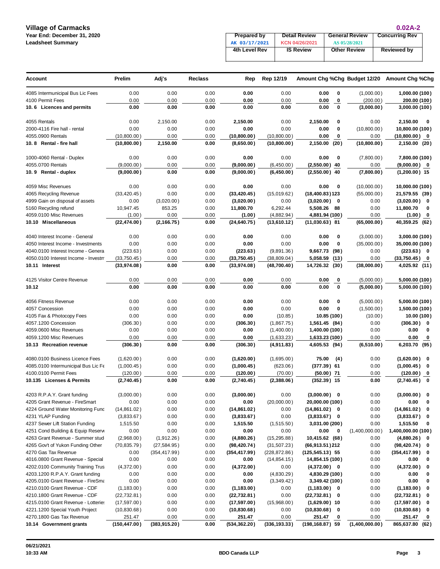| <b>Village of Carmacks</b>  |                    |                      |                       | $0.02A-2$             |  |
|-----------------------------|--------------------|----------------------|-----------------------|-----------------------|--|
| Year End: December 31, 2020 | <b>Prepared by</b> | <b>Detail Review</b> | <b>General Review</b> | <b>Concurring Rev</b> |  |
| <b>Leadsheet Summarv</b>    | AK 03/17/2021      | KCN 04/26/2021       | AS 05/28/2021         |                       |  |
|                             | 4th Level Rev      | <b>IS Review</b>     | <b>Other Review</b>   | Reviewed by           |  |
|                             |                    |                      |                       |                       |  |

| Account                                                            | Prelim                       | Adj's         | <b>Reclass</b> | Rep                         | Rep 12/19           |                                     |                | Amount Chg %Chg Budget 12/20 Amount Chg %Chg |
|--------------------------------------------------------------------|------------------------------|---------------|----------------|-----------------------------|---------------------|-------------------------------------|----------------|----------------------------------------------|
| 4085 Intermunicipal Bus Lic Fees                                   | 0.00                         | 0.00          | 0.00           | 0.00                        | 0.00                | 0.00<br>0                           | (1,000.00)     | 1,000.00 (100)                               |
| 4100 Permit Fees                                                   | 0.00                         | 0.00          | 0.00           | 0.00                        | 0.00                | 0.00<br>0                           | (200.00)       | 200.00 (100)                                 |
| 10.6 Licences and permits                                          | 0.00                         | 0.00          | 0.00           | 0.00                        | 0.00                | 0.00<br>$\mathbf 0$                 | (3,000.00)     | 3,000.00 (100)                               |
| 4055 Rentals                                                       | 0.00                         | 2,150.00      | 0.00           | 2,150.00                    | 0.00                | 2,150.00<br>0                       | 0.00           | 2,150.00<br>$\mathbf 0$                      |
| 2000-4116 Fire hall - rental                                       | 0.00                         | 0.00          | 0.00           | 0.00                        | 0.00                | 0.00<br>0                           | (10,800.00)    | 10,800.00 (100)                              |
| 4055.0900 Rentals                                                  | (10,800.00)                  | 0.00          | 0.00           | (10, 800.00)                | (10,800.00)         | 0.00<br>0                           | 0.00           | $(10,800.00)$ 0                              |
| 10.8 Rental - fire hall                                            | (10,800.00)                  | 2,150.00      | 0.00           | (8,650.00)                  | (10,800.00)         | (20)<br>2,150.00                    | (10,800.00)    | 2,150.00 (20)                                |
| 1000-4060 Rental - Duplex                                          | 0.00                         | 0.00          | 0.00           | 0.00                        | 0.00                | 0.00<br>0                           | (7,800.00)     | 7,800.00 (100)                               |
| 4055.0700 Rentals                                                  | (9,000.00)                   | 0.00          | 0.00           | (9,000.00)                  | (6,450.00)          | $(2,550.00)$ 40                     | 0.00           | $(9,000.00)$ 0                               |
| 10.9 Rental - duplex                                               | (9,000.00)                   | 0.00          | 0.00           | (9,000.00)                  | (6,450.00)          | $(2,550.00)$ 40                     | (7,800.00)     | $(1,200.00)$ 15                              |
| 4059 Misc Revenues                                                 | 0.00                         | 0.00          | 0.00           | 0.00                        | 0.00                | 0.00<br>0                           | (10,000.00)    | 10,000.00 (100)                              |
| 4065 Recycling Revenue                                             | (33, 420.45)                 | 0.00          | 0.00           | (33, 420.45)                | (15,019.62)         | $(18,400.83)$ 123                   | (55,000.00)    | 21,579.55 (39)                               |
| 4999 Gain on disposal of assets                                    | 0.00                         | (3,020.00)    | 0.00           | (3,020.00)                  | 0.00                | $(3,020.00)$ 0                      | 0.00           | $(3,020.00)$ 0                               |
| 5160 Recycling refund                                              | 10,947.45                    | 853.25        | 0.00           | 11,800.70                   | 6,292.44            | 5,508.26 88                         | 0.00           | 11,800.70<br>0                               |
| 4059.0100 Misc Revenues                                            | (1.00)                       | 0.00          | 0.00           | (1.00)                      | (4,882.94)          | 4,881.94 (100)                      | 0.00           | (1.00)<br>0                                  |
| 10.10 Miscellaneous                                                | (22, 474.00)                 | (2, 166.75)   | 0.00           | (24, 640.75)                | (13,610.12)         | $(11,030.63)$ 81                    | (65,000.00)    | 40,359.25<br>(62)                            |
| 4040 Interest Income - General                                     | 0.00                         | 0.00          | 0.00           | 0.00                        | 0.00                | 0.00<br>0                           | (3,000.00)     | 3,000.00 (100)                               |
| 4050 Interest Income - Investments                                 | 0.00                         | 0.00          | 0.00           | 0.00                        | 0.00                | 0.00<br>0                           | (35,000.00)    | 35,000.00 (100)                              |
| 4040.0100 Interest Income - Genera                                 | (223.63)                     | 0.00          | 0.00           | (223.63)                    | (9,891.36)          | 9,667.73<br>(98)                    | 0.00           | (223.63) 0                                   |
| 4050.0100 Interest Income - Investm                                | (33,750.45)                  | 0.00          | 0.00           | (33,750.45)                 | (38, 809.04)        | 5,058.59<br>(13)                    | 0.00           | $(33,750.45)$ 0                              |
| 10.11 Interest                                                     | (33,974.08)                  | 0.00          | 0.00           | (33,974.08)                 | (48,700.40)         | 14,726.32<br>(30)                   | (38,000.00)    | 4,025.92 (11)                                |
| 4125 Visitor Centre Revenue                                        | 0.00                         | 0.00          | 0.00           | 0.00                        | 0.00                | 0.00<br>0                           | (5,000.00)     | 5,000.00 (100)                               |
| 10.12                                                              | 0.00                         | 0.00          | 0.00           | 0.00                        | 0.00                | $\mathbf 0$<br>0.00                 | (5,000.00)     | 5,000.00 (100)                               |
| 4056 Fitness Revenue                                               | 0.00                         | 0.00          | 0.00           | 0.00                        | 0.00                | 0.00<br>0                           | (5,000.00)     | 5,000.00 (100)                               |
| 4057 Concession                                                    | 0.00                         | 0.00          | 0.00           | 0.00                        | 0.00                | 0.00<br>0                           | (1,500.00)     | 1,500.00 (100)                               |
| 4105 Fax & Photocopy Fees                                          | 0.00                         | 0.00          | 0.00           | 0.00                        | (10.85)             | 10.85 (100)                         | (10.00)        | 10.00 (100)                                  |
| 4057.1200 Concession                                               | (306.30)                     | 0.00          | 0.00           | (306.30)                    | (1,867.75)          | 1,561.45 (84)                       | 0.00           | (306.30)<br>$\mathbf{0}$                     |
| 4059.0600 Misc Revenues                                            | 0.00                         | 0.00          | 0.00           | 0.00                        | (1,400.00)          | 1,400.00 (100)                      | 0.00           | 0.00<br>0                                    |
| 4059.1200 Misc Revenues                                            | 0.00                         | 0.00          | 0.00           | 0.00                        | (1,633.23)          | 1,633.23 (100)                      | 0.00           | 0.00<br>0                                    |
| 10.13 Recreation revenue                                           | (306.30)                     | 0.00          | 0.00           | (306.30)                    | (4,911.83)          | 4,605.53 (94)                       | (6, 510.00)    | 6,203.70<br>(95)                             |
| 4080.0100 Business Licence Fees                                    | (1,620.00)                   | 0.00          | 0.00           | (1,620.00)                  | (1,695.00)          | 75.00<br>(4)                        | 0.00           | $(1,620.00)$ 0                               |
| 4085.0100 Intermunicipal Bus Lic Fe                                | (1,000.45)                   | 0.00          | 0.00           | (1,000.45)                  | (623.06)            | $(377.39)$ 61                       | 0.00           | (1,000.45)<br>0                              |
| 4100.0100 Permit Fees                                              | (120.00)                     | 0.00          | 0.00           | (120.00)                    | (70.00)             | $(50.00)$ 71                        | 0.00           | (120.00)<br>0                                |
| 10.135 Licenses & Permits                                          | (2,740.45)                   | 0.00          | 0.00           | (2,740.45)                  | (2,388.06)          | $(352.39)$ 15                       | 0.00           | $(2,740.45)$ 0                               |
| 4203 R.P.A.Y. Grant funding                                        | (3,000.00)                   | 0.00          | 0.00           | (3,000.00)                  | 0.00                | (3,000.00)<br>0                     | 0.00           | (3,000.00)<br>0                              |
| 4205 Grant Revenue - FireSmart                                     | 0.00                         | 0.00          | 0.00           | 0.00                        | (20,000.00)         | 20,000.00 (100)                     | 0.00           | 0.00<br>0                                    |
| 4224 Ground Water Monitoring Func                                  | (14, 861.02)                 | 0.00          | 0.00           | (14, 861.02)                | 0.00                | $(14,861.02)$ 0                     | 0.00           | $(14,861.02)$ 0                              |
| 4231 YLAP Funding                                                  | (3,833.67)                   | 0.00          | 0.00           | (3,833.67)                  | 0.00                | $(3,833.67)$ 0                      | 0.00           | $(3,833.67)$ 0                               |
| 4237 Sewer Lift Station Funding                                    | 1,515.50                     | 0.00          | 0.00           | 1,515.50                    | (1,515.50)          | 3,031.00 (200)                      | 0.00           | 1,515.50<br>0                                |
| 4251 Cond Building & Equip Reserv                                  | 0.00                         | 0.00          | 0.00           | 0.00                        | 0.00                | 0.00<br>0                           | (1,400,000.00) | 1,400,000.00 (100)                           |
| 4263 Grant Revenue - Summer stud                                   | (2,968.00)                   | (1,912.26)    | 0.00           | (4,880.26)                  | (15, 295.88)        | 10,415.62 (68)                      | 0.00           | $(4,880.26)$ 0                               |
| 4265 Gov't of Yukon Funding Other                                  | (70, 835.79)                 | (27, 584.95)  | 0.00           | (98, 420.74)                | (31, 507.23)        | $(66,913.51)$ 212                   | 0.00           | $(98, 420.74)$ 0                             |
| 4270 Gas Tax Revenue                                               | 0.00                         | (354, 417.99) | 0.00           | (354, 417.99)               | (228, 872.86)       | $(125, 545.13)$ 55                  | 0.00           | (354, 417.99)<br>0                           |
| 4016.0800 Grant Revenue - Special                                  | 0.00                         | 0.00          | 0.00           | 0.00                        | (14, 854.15)        | 14,854.15 (100)                     | 0.00           | 0.00<br>0                                    |
| 4202.0100 Community Training Trus                                  | (4,372.00)                   | 0.00          | 0.00           | (4,372.00)                  | 0.00                | $(4,372.00)$ 0                      | 0.00           | (4,372.00)<br>$\bf{0}$                       |
| 4203.1200 R.P.A.Y. Grant funding                                   | 0.00                         | 0.00          | 0.00           | 0.00                        | (4,830.29)          | 4,830.29 (100)                      | 0.00           | 0.00<br>0                                    |
| 4205.0100 Grant Revenue - FireSma<br>4210.0100 Grant Revenue - CDF | 0.00                         | 0.00          | 0.00           | 0.00                        | (3,349.42)          | 3,349.42 (100)                      | 0.00           | 0.00<br>0                                    |
| 4210.1800 Grant Revenue - CDF                                      | (1, 183.00)                  | 0.00          | 0.00           | (1, 183.00)                 | 0.00                | $(1, 183.00)$ 0                     | 0.00           | $(1, 183.00)$ 0                              |
| 4215.0100 Grant Revenue - Lotteries                                | (22, 732.81)<br>(17, 597.00) | 0.00<br>0.00  | 0.00<br>0.00   | (22, 732.81)<br>(17,597.00) | 0.00<br>(15,968.00) | $(22, 732.81)$ 0<br>$(1,629.00)$ 10 | 0.00<br>0.00   | $(22, 732.81)$ 0<br>$(17,597.00)$ 0          |
| 4221.1200 Special Youth Project                                    | (10,830.68)                  | 0.00          | 0.00           | (10, 830.68)                | 0.00                | (10,830.68)<br>0                    | 0.00           | $(10,830.68)$ 0                              |
| 4270.1800 Gas Tax Revenue                                          | 251.47                       | 0.00          | 0.00           | 251.47                      | 0.00                | 251.47<br>0                         | 0.00           | 251.47<br>$\bf{0}$                           |
| 10.14 Government grants                                            | (150, 447.00)                | (383, 915.20) | 0.00           | (534, 362.20)               | (336, 193.33)       | $(198, 168.87)$ 59                  | (1,400,000.00) | 865,637.80 (62)                              |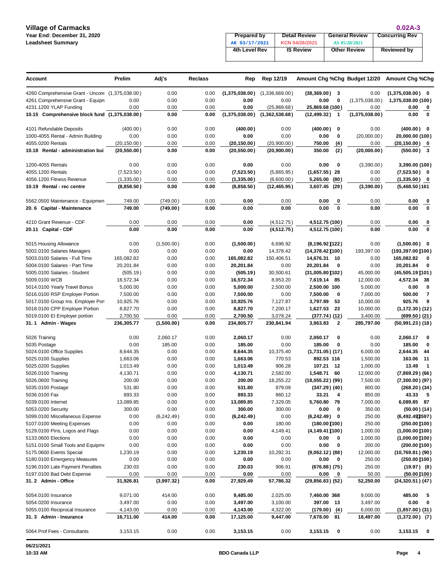| <b>Village of Carmacks</b>  |                    |                      |                       | $0.02A-3$             |
|-----------------------------|--------------------|----------------------|-----------------------|-----------------------|
| Year End: December 31, 2020 | <b>Prepared by</b> | <b>Detail Review</b> | <b>General Review</b> | <b>Concurring Rev</b> |
| <b>Leadsheet Summarv</b>    | AK 03/17/2021      | KCN 04/26/2021       | AS 05/28/2021         |                       |
|                             | 4th Level Rev      | <b>IS Review</b>     | <b>Other Review</b>   | Reviewed by           |
|                             |                    |                      |                       |                       |

| Account                                        | Prelim       | Adj's      | <b>Reclass</b> | Rep            | Rep 12/19      |                                |                | Amount Chg %Chg Budget 12/20 Amount Chg %Chg |
|------------------------------------------------|--------------|------------|----------------|----------------|----------------|--------------------------------|----------------|----------------------------------------------|
| 4260 Comprehensive Grant - Uncon(1,375,038.00) |              | 0.00       | 0.00           | (1,375,038.00) | (1,336,669.00) | (38, 369.00)<br>-3             | 0.00           | $(1,375,038.00)$ 0                           |
| 4261 Comprehensive Grant - Equipn              | 0.00         | 0.00       | 0.00           | 0.00           | 0.00           | 0.00<br>0                      | (1,375,038.00) | 1,375,038.00 (100)                           |
| 4231.1200 YLAP Funding                         | 0.00         | 0.00       | 0.00           | 0.00           | (25, 869.68)   | 25,869.68 (100)                | 0.00           | 0.00<br>$\bf{0}$                             |
| 10.15 Comprehensive block fund (1,375,038.00)  |              | 0.00       | 0.00           | (1,375,038.00) | (1,362,538.68) | (12, 499.32)<br>$\overline{1}$ | (1,375,038.00) | $\mathbf 0$<br>0.00                          |
| 4101 Refundable Deposits                       | (400.00)     | 0.00       | 0.00           | (400.00)       | 0.00           | (400.00)<br>0                  | 0.00           | (400.00) 0                                   |
| 1000-4055 Rental - Admin Building              | 0.00         | 0.00       | 0.00           | 0.00           | 0.00           | 0.00<br>0                      | (20,000.00)    | 20,000.00 (100)                              |
| 4055.0200 Rentals                              | (20, 150.00) | 0.00       | 0.00           | (20, 150.00)   | (20,900.00)    | (4)<br>750.00                  | 0.00           | $(20, 150.00)$ 0                             |
| 10.18 Rental - administration bui              | (20, 550.00) | 0.00       | 0.00           | (20, 550.00)   | (20,900.00)    | 350.00<br>(2)                  | (20,000.00)    | $(550.00)$ 3                                 |
| 1200-4055 Rentals                              | 0.00         | 0.00       | 0.00           | 0.00           | 0.00           | 0.00<br>0                      | (3,390.00)     | 3,390.00 (100)                               |
| 4055.1200 Rentals                              | (7,523.50)   | 0.00       | 0.00           | (7,523.50)     | (5,865.95)     | $(1,657.55)$ 28                | 0.00           | $(7,523.50)$ 0                               |
| 4056.1200 Fitness Revenue                      | (1,335.00)   | 0.00       | 0.00           | (1, 335.00)    | (6,600.00)     | 5,265.00<br>(80)               | 0.00           | $(1,335.00)$ 0                               |
| 10.19 Rental - rec centre                      | (8,858.50)   | 0.00       | 0.00           | (8,858.50)     | (12, 465.95)   | 3,607.45<br>(29)               | (3,390.00)     | (5,468.50)161                                |
| 5562.0500 Maintenance - Equipmen               | 749.00       | (749.00)   | 0.00           | 0.00           | 0.00           | 0.00<br>0                      | 0.00           | 0.00<br>0                                    |
| 20.6 Capital - Maintenance                     | 749.00       | (749.00)   | 0.00           | 0.00           | 0.00           | $\mathbf{0}$<br>0.00           | 0.00           | $\mathbf{0}$<br>0.00                         |
| 4210 Grant Revenue - CDF                       | 0.00         | 0.00       | 0.00           | 0.00           | (4,512.75)     | 4,512.75 (100)                 | 0.00           | 0.00<br>0                                    |
| 20.11 Capital - CDF                            | 0.00         | 0.00       | 0.00           | 0.00           | (4,512.75)     | 4,512.75 (100)                 | 0.00           | $\mathbf{0}$<br>0.00                         |
| 5015 Housing Allowance                         | 0.00         | (1,500.00) | 0.00           | (1,500.00)     | 6,696.92       | (8,196.92)(122)                | 0.00           | $(1,500.00)$ 0                               |
| 5002.0100 Salaries Managers                    | 0.00         | 0.00       | 0.00           | 0.00           | 14,378.42      | (14,378.42)(100)               | 193,397.00     | (193,397.00) (100)                           |
| 5003.0100 Salaries - Full Time                 | 165,082.82   | 0.00       | 0.00           | 165,082.82     | 150,406.51     | 14,676.31 10                   | 0.00           | 165,082.82<br>0                              |
| 5004.0100 Salaries - Part Time                 | 20,201.84    | 0.00       | 0.00           | 20,201.84      | 0.00           | 20,201.84<br>0                 | 0.00           | 20,201.84<br>0                               |
| 5005.0100 Salaries - Student                   | (505.19)     | 0.00       | 0.00           | (505.19)       | 30,500.61      | (31,005.80)(102)               | 45,000.00      | (45,505.19) (101)                            |
| 5009.0100 WCB                                  | 16,572.34    | 0.00       | 0.00           | 16,572.34      | 8,953.20       | 7,619.14 85                    | 12,000.00      | 4,572.34<br>38                               |
| 5014.0100 Yearly Travel Bonus                  | 5,000.00     | 0.00       | 0.00           | 5,000.00       | 2,500.00       | 2,500.00 100                   | 5,000.00       | 0<br>0.00                                    |
| 5016.0100 RSP Employer Portion                 | 7,500.00     | 0.00       | 0.00           | 7,500.00       | 0.00           | 7,500.00<br>0                  | 7,000.00       | $\overline{7}$<br>500.00                     |
| 5017.0100 Group Ins. Employer Por              | 10,925.76    | 0.00       | 0.00           | 10,925.76      | 7,127.87       | 3,797.89<br>53                 | 10,000.00      | 925.76<br>9                                  |
| 5018.0100 CPP Employer Portion                 | 8,827.70     | 0.00       | 0.00           | 8,827.70       | 7,200.17       | 1,627.53<br>23                 | 10,000.00      | $(1,172.30)$ (12)                            |
| 5019.0100 EI Employer portion                  | 2,700.50     | 0.00       | 0.00           | 2,700.50       | 3,078.24       | (377.74) (12)                  | 3,400.00       | (699.50 ) (21 )                              |
| 31.1 Admin - Wages                             | 236,305.77   | (1,500.00) | 0.00           | 234,805.77     | 230,841.94     | 3,963.83<br>$\overline{2}$     | 285,797.00     | $(50,991.23)$ (18)                           |
| 5026 Training                                  | 0.00         | 2,060.17   | 0.00           | 2,060.17       | 0.00           | 2,060.17<br>0                  | 0.00           | 2,060.17<br>0                                |
| 5035 Postage                                   | 0.00         | 185.00     | 0.00           | 185.00         | 0.00           | 185.00<br>0                    | 0.00           | 185.00<br>0                                  |
| 5024.0100 Office Supplies                      | 8,644.35     | 0.00       | 0.00           | 8,644.35       | 10,375.40      | $(1,731.05)$ (17)              | 6,000.00       | 2,644.35<br>44                               |
| 5025.0100 Supplies                             | 1,663.06     | 0.00       | 0.00           | 1,663.06       | 770.53         | 892.53 116                     | 1,500.00       | 163.06<br>11                                 |
| 5025.0200 Supplies                             | 1,013.49     | 0.00       | 0.00           | 1,013.49       | 906.28         | 107.21<br>12                   | 1,000.00       | 13.49<br>-1                                  |
| 5026.0100 Training                             | 4,130.71     | 0.00       | 0.00           | 4,130.71       | 2,582.00       | 1,548.71<br>60                 | 12,000.00      | $(7,869.29)$ (66)                            |
| 5026.0600 Training                             | 200.00       | 0.00       | 0.00           | 200.00         | 18,255.22      | $(18,055.22)$ (99)             | 7,500.00       | $(7,300.00)$ $(97)$                          |
| 5035.0100 Postage                              | 531.80       | 0.00       | 0.00           | 531.80         | 879.09         | $(347.29)$ $(40)$              | 800.00         | (268.20)(34)                                 |
| 5036.0100 Fax                                  | 893.33       | 0.00       | 0.00           | 893.33         | 860.12         | 33.21<br>4                     | 850.00         | 43.33<br>5                                   |
| 5039.0100 Internet                             | 13,089.85    | 0.00       | 0.00           | 13,089.85      | 7,329.05       | 5,760.80 79                    | 7,000.00       | 6,089.85 87                                  |
| 5053.0200 Security                             | 300.00       | 0.00       | 0.00           | 300.00         | 300.00         | 0.00<br>0                      | 350.00         | $(50.00)$ $(14)$                             |
| 5099.0100 Miscellaneous Expense                | 0.00         | (6,242.49) | 0.00           | (6, 242.49)    | 0.00           | $(6,242.49)$ 0                 | 250.00         | (6,492.492597)                               |
| 5107.0100 Meeting Expenses                     | 0.00         | 0.00       | 0.00           | 0.00           | 180.00         | (180.00)(100)                  | 250.00         | (250.00)(100)                                |
| 5129.0100 Pins, Logos and Flags                | 0.00         | 0.00       | 0.00           | 0.00           | 4,149.41       | (4, 149.41)(100)               | 1,000.00       | (1,000.00)(100)                              |
| 5133.0600 Elections                            | 0.00         | 0.00       | 0.00           | 0.00           | 0.00           | 0.00<br>0                      | 1,000.00       | (1,000.00)(100)                              |
| 5151.0100 Small Tools and Equipme              | 0.00         | 0.00       | 0.00           | 0.00           | 0.00           | 0.00<br>0                      | 200.00         | (200.00)(100)                                |
| 5175.0600 Events Special                       | 1,230.19     | 0.00       | 0.00           | 1,230.19       | 10,292.31      | $(9,062.12)$ $(88)$            | 12,000.00      | $(10,769.81)$ $(90)$                         |
| 5180.0100 Emergency Measures                   | 0.00         | 0.00       | 0.00           | 0.00           | 0.00           | 0.00<br>0                      | 250.00         | (250.00)(100)                                |
| 5196.0100 Late Payment Penalties               | 230.03       | 0.00       | 0.00           | 230.03         | 906.91         | (676.88) (75)                  | 250.00         | $(19.97)$ $(8)$                              |
| 5197.0100 Bad Debt Expense                     | 0.00         | 0.00       | 0.00           | 0.00           | 0.00           | 0.00<br>0                      | 50.00          | (50.00)(100)                                 |
| 31.2 Admin - Office                            | 31,926.81    | (3,997.32) | 0.00           | 27,929.49      | 57,786.32      | $(29, 856.83)$ $(52)$          | 52,250.00      | $(24,320.51)$ $(47)$                         |
| 5054.0100 Insurance                            | 9,071.00     | 414.00     | 0.00           | 9,485.00       | 2,025.00       | 7,460.00 368                   | 9,000.00       | 485.00<br>5                                  |
| 5054.0200 Insurance                            | 3,497.00     | 0.00       | 0.00           | 3,497.00       | 3,100.00       | 397.00 13                      | 3,497.00       | 0.00<br>0                                    |
| 5055.0100 Reciprocal Insurance                 | 4,143.00     | 0.00       | 0.00           | 4,143.00       | 4,322.00       | $(179.00)$ $(4)$               | 6,000.00       | $(1,857.00)$ $(31)$                          |
| 31.3 Admin - Insurance                         | 16,711.00    | 414.00     | 0.00           | 17,125.00      | 9,447.00       | 7,678.00 81                    | 18,497.00      | $(1,372.00)$ (7)                             |
| 5064 Prof Fees - Consultants                   | 3,153.15     | 0.00       | 0.00           | 3,153.15       | 0.00           | 3,153.15<br>0                  | 0.00           | 3,153.15<br>$\mathbf 0$                      |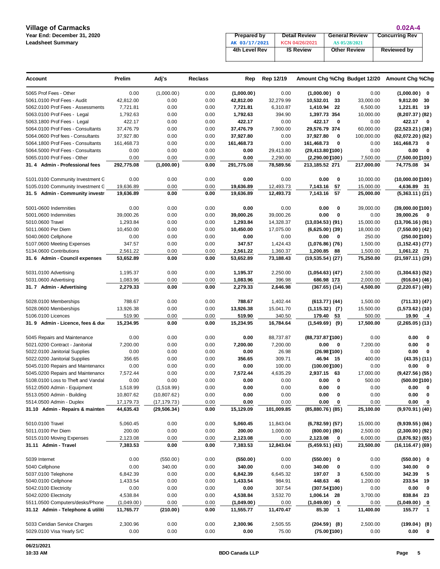| <b>Village of Carmacks</b>  |                    |                      |                       | $0.02A - 4$    |
|-----------------------------|--------------------|----------------------|-----------------------|----------------|
| Year End: December 31, 2020 | <b>Prepared by</b> | <b>Detail Review</b> | <b>General Review</b> | Concurring Rev |
| <b>Leadsheet Summarv</b>    | AK 03/17/2021      | KCN 04/26/2021       | AS 05/28/2021         |                |
|                             | 4th Level Rev      | <b>IS Review</b>     | <b>Other Review</b>   | Reviewed by    |
|                             |                    |                      |                       |                |

| <b>Account</b>                                              | Prelim                 | Adj's                        | <b>Reclass</b> | Rep               | Rep 12/19          |                                   |                   | Amount Chg %Chg Budget 12/20 Amount Chg %Chg |
|-------------------------------------------------------------|------------------------|------------------------------|----------------|-------------------|--------------------|-----------------------------------|-------------------|----------------------------------------------|
| 5065 Prof Fees - Other                                      | 0.00                   | (1,000.00)                   | 0.00           | (1,000.00)        | 0.00               | $(1,000.00)$ 0                    | 0.00              | $(1,000.00)$ 0                               |
| 5061.0100 Prof Fees - Audit                                 | 42,812.00              | 0.00                         | 0.00           | 42,812.00         | 32,279.99          | 10,532.01<br>33                   | 33.000.00         | 9,812.00<br>30                               |
| 5062.0100 Prof Fees - Assessments                           | 7,721.81               | 0.00                         | 0.00           | 7,721.81          | 6,310.87           | 1,410.94<br>22                    | 6,500.00          | 1,221.81<br>19                               |
| 5063.0100 Prof Fees - Legal                                 | 1,792.63               | 0.00                         | 0.00           | 1,792.63          | 394.90             | 1,397.73 354                      | 10,000.00         | $(8,207.37)$ $(82)$                          |
| 5063.1800 Prof Fees - Legal                                 | 422.17                 | 0.00                         | 0.00           | 422.17            | 0.00               | 422.17<br>0                       | 0.00              | 422.17<br>0                                  |
| 5064.0100 Prof Fees - Consultants                           | 37,476.79              | 0.00                         | 0.00           | 37,476.79         | 7,900.00           | 29,576.79 374                     | 60,000.00         | $(22, 523.21)$ $(38)$                        |
| 5064.0600 Prof fees - Consultants                           | 37,927.80              | 0.00                         | 0.00           | 37,927.80         | 0.00               | 37,927.80<br>0                    | 100,000.00        | $(62,072.20)$ $(62)$                         |
| 5064.1800 Prof Fees - Consultants                           | 161,468.73             | 0.00                         | 0.00           | 161,468.73        | 0.00               | 161,468.73<br>0                   | 0.00              | 161,468.73<br>0                              |
| 5064.5000 Prof Fees - Consultants                           | 0.00                   | 0.00                         | 0.00           | 0.00              | 29,413.80          | (29, 413.80)(100)                 | 0.00              | 0.00<br>0                                    |
| 5065.0100 Prof Fees - Other                                 | 0.00                   | 0.00                         | 0.00           | 0.00              | 2,290.00           | (2,290.00)(100)                   | 7,500.00          | (7,500.00)(100)                              |
| 31.4 Admin - Professional fees                              | 292,775.08             | (1,000.00)                   | 0.00           | 291,775.08        | 78,589.56          | 213,185.52 271                    | 217,000.00        | 74,775.08<br>- 34                            |
|                                                             |                        |                              |                |                   |                    |                                   |                   |                                              |
| 5101.0100 Community Investment C                            | 0.00                   | 0.00                         | 0.00           | 0.00              | 0.00               | 0.00<br>0                         | 10,000.00         | (10,000.00)(100)                             |
| 5105.0100 Community Investment C                            | 19,636.89              | 0.00                         | 0.00           | 19,636.89         | 12,493.73          | 7,143.16<br>57                    | 15,000.00         | 4,636.89 31                                  |
| 31.5 Admin - Community investr                              | 19,636.89              | 0.00                         | 0.00           | 19,636.89         | 12,493.73          | 57<br>7,143.16                    | 25,000.00         | $(5,363.11)$ $(21)$                          |
| 5001-0600 Indemnities                                       | 0.00                   | 0.00                         | 0.00           | 0.00              | 0.00               | 0.00<br>0                         | 39,000.00         | (39,000.00)(100)                             |
| 5001.0600 Indemnities                                       | 39,000.26              | 0.00                         | 0.00           | 39,000.26         | 39,000.26          | 0.00<br>0                         | 0.00              | 39,000.26<br>0                               |
| 5010.0600 Travel                                            | 1,293.84               | 0.00                         | 0.00           | 1,293.84          | 14,328.37          | $(13,034.53)$ (91)                | 15,000.00         | $(13,706.16)$ (91)                           |
| 5011.0600 Per Diem                                          | 10,450.00              | 0.00                         | 0.00           | 10,450.00         | 17,075.00          | $(6,625.00)$ $(39)$               | 18,000.00         | $(7,550.00)$ $(42)$                          |
| 5040.0600 Cellphone                                         | 0.00                   | 0.00                         | 0.00           | 0.00              | 0.00               | 0.00<br>0                         | 250.00            | (250.00)(100)                                |
| 5107.0600 Meeting Expenses                                  | 347.57                 | 0.00                         | 0.00           | 347.57            | 1,424.43           | $(1,076.86)$ $(76)$               | 1,500.00          | $(1, 152.43)$ (77)                           |
| 5134.0600 Contributions                                     | 2,561.22               | 0.00                         | 0.00           | 2,561.22          | 1,360.37           | 1,200.85<br>88                    | 1,500.00          | 1,061.22 71                                  |
| 31.6 Admin - Council expenses                               | 53,652.89              | 0.00                         | 0.00           | 53,652.89         | 73,188.43          | $(19,535.54)$ $(27)$              | 75,250.00         | $(21,597.11)$ $(29)$                         |
|                                                             |                        |                              |                |                   |                    |                                   |                   |                                              |
| 5031.0100 Advertising                                       | 1,195.37               | 0.00                         | 0.00           | 1,195.37          | 2,250.00           | $(1,054.63)$ $(47)$               | 2,500.00          | $(1,304.63)$ (52)                            |
| 5031.0600 Advertising                                       | 1,083.96               | 0.00                         | 0.00           | 1,083.96          | 396.98             | 686.98 173                        | 2,000.00          | (916.04) (46)                                |
| 31.7 Admin - Advertising                                    | 2,279.33               | 0.00                         | 0.00           | 2,279.33          | 2,646.98           | $(367.65)$ $(14)$                 | 4,500.00          | $(2,220.67)$ (49)                            |
| 5028.0100 Memberships                                       | 788.67                 | 0.00                         | 0.00           | 788.67            | 1,402.44           | $(613.77)$ $(44)$                 | 1,500.00          | $(711.33)$ $(47)$                            |
| 5028.0600 Memberships                                       | 13,926.38              | 0.00                         | 0.00           | 13,926.38         | 15,041.70          | $(1, 115.32)$ (7)                 | 15,500.00         | $(1,573.62)$ (10)                            |
| 5106.0100 Licences                                          | 519.90                 | 0.00                         | 0.00           | 519.90            | 340.50             | 179.40<br>53                      | 500.00            | 19.90<br>4                                   |
| 31.9 Admin - Licence, fees & due                            | 15,234.95              | 0.00                         | 0.00           | 15,234.95         | 16,784.64          | $(1,549.69)$ (9)                  | 17,500.00         | $(2,265.05)$ (13)                            |
| 5045 Repairs and Maintenance                                | 0.00                   | 0.00                         | 0.00           | 0.00              | 88,737.87          | (88,737.87)(100)                  | 0.00              | 0.00<br>0                                    |
| 5021.0200 Contract - Janitorial                             | 7,200.00               | 0.00                         | 0.00           | 7,200.00          | 7,200.00           | 0.00<br>0                         | 7,200.00          | 0.00<br>0                                    |
| 5022.0100 Janitorial Supplies                               | 0.00                   | 0.00                         | 0.00           | 0.00              | 26.98              | (26.98)(100)                      | 0.00              | 0.00<br>0                                    |
| 5022.0200 Janitorial Supplies                               | 356.65                 | 0.00                         | 0.00           | 356.65            | 309.71             | 46.94 15                          | 400.00            | $(43.35)$ $(11)$                             |
| 5045.0100 Repairs and Maintenance                           |                        |                              |                |                   |                    |                                   |                   | 0.00                                         |
| 5045.0200 Repairs and Maintenance                           | 0.00<br>7,572.44       | 0.00<br>0.00                 | 0.00           | 0.00              | 100.00<br>4,635.29 | (100.00)(100)<br>2,937.15 63      | 0.00              | 0<br>$(9,427.56)$ (55)                       |
| 5108.0100 Loss to Theft and Vandal                          |                        |                              | 0.00           | 7,572.44          |                    |                                   | 17,000.00         |                                              |
|                                                             | 0.00                   | 0.00                         | 0.00           | 0.00              | 0.00               | 0.00<br>0                         | 500.00            | (500.00)(100)                                |
| 5512.0500 Admin - Equipment                                 | 1,518.99               | (1,518.99)                   | 0.00           | 0.00              | 0.00               | 0.00<br>0                         | 0.00              | 0.00<br>0                                    |
| 5513.0500 Admin - Building                                  | 10,807.62              | (10, 807.62)                 | 0.00           | 0.00              | 0.00               | 0.00<br>0                         | 0.00              | 0.00<br>0                                    |
| 5514.0500 Admin - Duplex<br>31.10 Admin - Repairs & mainten | 17,179.73<br>44,635.43 | (17, 179.73)<br>(29, 506.34) | 0.00<br>0.00   | 0.00<br>15,129.09 | 0.00<br>101,009.85 | 0.00<br>0<br>$(85,880.76)$ $(85)$ | 0.00<br>25,100.00 | 0.00<br>$\mathbf{0}$<br>$(9,970.91)$ $(40)$  |
|                                                             |                        |                              |                |                   |                    |                                   |                   |                                              |
| 5010.0100 Travel                                            | 5,060.45               | 0.00                         | 0.00           | 5,060.45          | 11,843.04          | $(6,782.59)$ (57)                 | 15,000.00         | $(9,939.55)$ (66)                            |
| 5011.0100 Per Diem                                          | 200.00                 | 0.00                         | 0.00           | 200.00            | 1,000.00           | $(800.00)$ $(80)$                 | 2,500.00          | $(2,300.00)$ $(92)$                          |
| 5015.0100 Moving Expenses                                   | 2,123.08               | 0.00                         | 0.00           | 2,123.08          | 0.00               | 2,123.08<br>$\bf{0}$              | 6,000.00          | $(3,876.92)$ (65)                            |
| 31.11 Admin - Travel                                        | 7,383.53               | 0.00                         | 0.00           | 7,383.53          | 12,843.04          | $(5,459.51)$ (43)                 | 23,500.00         | $(16, 116.47)$ (69)                          |
| 5039 Internet                                               | 0.00                   | (550.00)                     | 0.00           | (550.00)          | 0.00               | (550.00)<br>0                     | 0.00              | (550.00) 0                                   |
| 5040 Cellphone                                              | 0.00                   | 340.00                       | 0.00           | 340.00            | 0.00               | 340.00<br>0                       | 0.00              | 340.00<br>0                                  |
| 5037.0100 Telephone                                         | 6,842.39               | 0.00                         | 0.00           | 6,842.39          | 6,645.32           | 197.07<br>3                       | 6,500.00          | 342.39<br>5                                  |
| 5040.0100 Cellphone                                         | 1,433.54               | 0.00                         | 0.00           | 1,433.54          | 984.91             | 448.63<br>46                      | 1,200.00          | 233.54<br>19                                 |
| 5042.0100 Electricity                                       | 0.00                   | 0.00                         | 0.00           | 0.00              | 307.54             | (307.54)(100)                     | 0.00              | 0.00<br>0                                    |
| 5042.0200 Electricity                                       | 4,538.84               | 0.00                         | 0.00           | 4,538.84          | 3,532.70           | 1,006.14                          | 3,700.00          | 838.84<br>23                                 |
|                                                             |                        |                              |                |                   |                    | 28                                |                   |                                              |
| 5511.0500 Computers/desks/Phone                             | (1,049.00)             | 0.00                         | 0.00           | (1,049.00)        | 0.00               | (1,049.00)<br>0                   | 0.00              | (1,049.00)<br>0                              |
| 31.12 Admin - Telephone & utiliti                           | 11,765.77              | (210.00)                     | 0.00           | 11,555.77         | 11,470.47          | 85.30<br>$\mathbf{1}$             | 11,400.00         | 155.77<br>$\overline{1}$                     |
| 5033 Ceridian Service Charges                               | 2,300.96               | 0.00                         | 0.00           | 2,300.96          | 2,505.55           | $(204.59)$ $(8)$                  | 2,500.00          | $(199.04)$ $(8)$                             |
| 5029.0100 Visa Yearly S/C                                   | 0.00                   | 0.00                         | 0.00           | 0.00              | 75.00              | (75.00)(100)                      | 0.00              | 0.00<br>0                                    |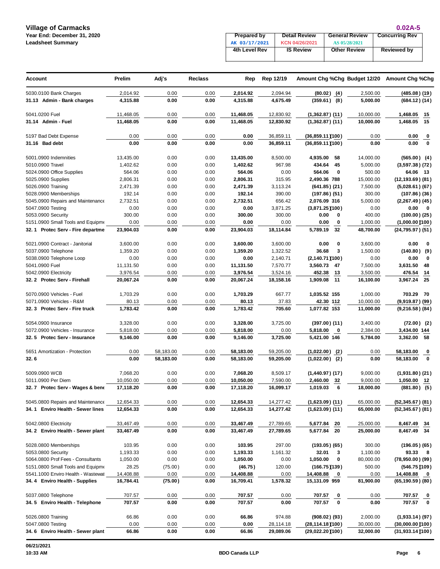| <b>Village of Carmacks</b>  |                    |                      |                       | $0.02A-5$      |
|-----------------------------|--------------------|----------------------|-----------------------|----------------|
| Year End: December 31, 2020 | <b>Prepared by</b> | <b>Detail Review</b> | <b>General Review</b> | Concurring Rev |
| <b>Leadsheet Summarv</b>    | AK 03/17/2021      | KCN 04/26/2021       | AS 05/28/2021         |                |
|                             | 4th Level Rev      | <b>IS Review</b>     | <b>Other Review</b>   | Reviewed by    |
|                             |                    |                      |                       |                |

| Account                                               | <b>Prelim</b>    | Adj's        | <b>Reclass</b> | Rep              | Rep 12/19    |                                      |              | Amount Chg %Chg Budget 12/20 Amount Chg %Chg     |
|-------------------------------------------------------|------------------|--------------|----------------|------------------|--------------|--------------------------------------|--------------|--------------------------------------------------|
| 5030.0100 Bank Charges                                | 2,014.92         | 0.00         | 0.00           | 2,014.92         | 2,094.94     | $(80.02)$ $(4)$                      | 2,500.00     | $(485.08)$ (19)                                  |
| 31.13 Admin - Bank charges                            | 4,315.88         | 0.00         | 0.00           | 4,315.88         | 4,675.49     | $(359.61)$ $(8)$                     | 5,000.00     | (684.12) (14)                                    |
| 5041.0200 Fuel                                        | 11,468.05        | 0.00         | 0.00           | 11,468.05        | 12,830.92    | $(1,362.87)$ (11)                    | 10,000.00    | 1,468.05<br>15                                   |
| 31.14 Admin - Fuel                                    | 11.468.05        | 0.00         | 0.00           | 11,468.05        | 12,830.92    | $(1,362.87)$ (11)                    | 10,000.00    | 1,468.05<br>15                                   |
| 5197 Bad Debt Expense                                 | 0.00             | 0.00         | 0.00           | 0.00             | 36,859.11    | (36,859.11)(100)                     | 0.00         | 0.00<br>0                                        |
| 31.16 Bad debt                                        | 0.00             | 0.00         | 0.00           | 0.00             | 36,859.11    | (36,859.11)(100)                     | 0.00         | $\mathbf{0}$<br>0.00                             |
| 5001.0900 Indemnities                                 | 13,435.00        | 0.00         | 0.00           | 13,435.00        | 8,500.00     | 4,935.00<br>-58                      | 14,000.00    | $(565.00)$ $(4)$                                 |
| 5010.0900 Travel                                      | 1,402.62         | 0.00         | 0.00           | 1,402.62         | 967.98       | 434.64<br>45                         | 5,000.00     | $(3,597.38)$ $(72)$                              |
| 5024.0900 Office Supplies                             | 564.06           | 0.00         | 0.00           | 564.06           | 0.00         | 564.06<br>0                          | 500.00       | 64.06<br>- 13                                    |
| 5025.0900 Supplies                                    | 2,806.31         | 0.00         | 0.00           | 2,806.31         | 315.95       | 2,490.36 788                         | 15,000.00    | $(12, 193.69)$ $(81)$                            |
| 5026.0900 Training                                    | 2,471.39         | 0.00         | 0.00           | 2,471.39         | 3,113.24     | $(641.85)$ $(21)$                    | 7,500.00     | $(5,028.61)$ $(67)$                              |
| 5028.0900 Memberships                                 | 192.14           | 0.00         | 0.00           | 192.14           | 390.00       | $(197.86)$ $(51)$                    | 300.00       | (107.86)(36)                                     |
| 5045.0900 Repairs and Maintenance                     | 2,732.51         | 0.00         | 0.00           | 2,732.51         | 656.42       | 2,076.09 316                         | 5,000.00     | $(2,267.49)$ (45)                                |
| 5047.0900 Testing                                     | 0.00             | 0.00         | 0.00           | 0.00             | 3,871.25     | (3,871.25)(100)                      | 0.00         | 0.00<br>- 0                                      |
| 5053.0900 Security                                    | 300.00           | 0.00         | 0.00           | 300.00           | 300.00       | 0.00<br>0                            | 400.00       | $(100.00)$ $(25)$                                |
| 5151.0900 Small Tools and Equipme                     | 0.00             | 0.00         | 0.00           | 0.00             | 0.00         | 0.00<br>0                            | 1,000.00     | (1,000.00)(100)                                  |
| 32.1 Protec Serv - Fire departme                      | 23,904.03        | 0.00         | 0.00           | 23,904.03        | 18,114.84    | 32<br>5,789.19                       | 48,700.00    | $(24, 795.97)$ (51)                              |
| 5021.0900 Contract - Janitorial                       | 3,600.00         | 0.00         | 0.00           | 3,600.00         | 3,600.00     | 0.00<br>0                            | 3,600.00     | 0.00<br>0                                        |
| 5037.0900 Telephone                                   | 1,359.20         | 0.00         | 0.00           | 1,359.20         | 1,322.52     | 36.68<br>3                           | 1,500.00     | $(140.80)$ (9)                                   |
| 5038.0900 Telephone Loop                              | 0.00             | 0.00         | 0.00           | 0.00             | 2,140.71     | (2,140.71)(100)                      | 0.00         | 0.00<br>0                                        |
| 5041.0900 Fuel                                        | 11,131.50        | 0.00         | 0.00           | 11,131.50        | 7,570.77     | 3,560.73<br>47                       | 7,500.00     | 3,631.50<br>48                                   |
| 5042.0900 Electricity                                 | 3,976.54         | 0.00         | 0.00           | 3,976.54         | 3,524.16     | 452.38<br>13                         | 3,500.00     | 476.54<br>14                                     |
| 32.2 Protec Serv - Firehall                           | 20,067.24        | 0.00         | 0.00           | 20,067.24        | 18,158.16    | 1,909.08<br>11                       | 16,100.00    | 3,967.24<br>25                                   |
| 5070.0900 Vehicles - Fuel                             | 1,703.29         | 0.00         | 0.00           | 1,703.29         | 667.77       | 1,035.52 155                         | 1,000.00     | 703.29<br>-70                                    |
| 5071.0900 Vehicles - R&M                              | 80.13            | 0.00         | 0.00           | 80.13            | 37.83        | 42.30 112                            | 10,000.00    | $(9,919.87)$ (99)                                |
| 32. 3 Protec Serv - Fire truck                        | 1,783.42         | 0.00         | 0.00           | 1,783.42         | 705.60       | 1,077.82 153                         | 11,000.00    | $(9,216.58)$ (84)                                |
| 5054.0900 Insurance                                   | 3,328.00         | 0.00         | 0.00           | 3,328.00         | 3,725.00     | $(397.00)$ $(11)$                    | 3,400.00     | $(72.00)$ $(2)$                                  |
| 5072.0900 Vehicles - Insurance                        | 5,818.00         | 0.00         | 0.00           | 5,818.00         | 0.00         | 5,818.00<br>0                        | 2,384.00     | 3,434.00 144                                     |
| 32.5 Protec Serv - Insurance                          | 9,146.00         | 0.00         | 0.00           | 9,146.00         | 3,725.00     | 5,421.00 146                         | 5,784.00     | 3,362.00<br>58                                   |
| 5651 Amortization - Protection                        | 0.00             | 58,183.00    | 0.00           | 58,183.00        | 59,205.00    | (2)<br>(1,022.00)                    | 0.00         | 58,183.00<br>0                                   |
| 32.6                                                  | 0.00             | 58,183.00    | 0.00           | 58,183.00        | 59,205.00    | $(1,022.00)$ $(2)$                   | 0.00         | 58,183.00<br>0                                   |
| 5009.0900 WCB                                         | 7,068.20         | 0.00         | 0.00           | 7,068.20         | 8,509.17     | $(1,440.97)$ (17)                    | 9,000.00     | $(1,931.80)$ $(21)$                              |
| 5011.0900 Per Diem                                    | 10,050.00        | 0.00         | 0.00           | 10,050.00        | 7,590.00     | 2,460.00<br>32                       | 9,000.00     | 1,050.00<br>12                                   |
| 32.7 Protec Serv - Wages & bene                       | 17,118.20        | 0.00         | 0.00           | 17,118.20        | 16,099.17    | 1,019.03<br>6                        | 18,000.00    | $(881.80)$ $(5)$                                 |
| 5045.0800 Repairs and Maintenance                     | 12,654.33        | 0.00         | 0.00           | 12,654.33        | 14,277.42    | $(1,623.09)$ $(11)$                  | 65,000.00    | $(52, 345.67)$ $(81)$                            |
| 34.1 Enviro Health - Sewer lines                      | 12,654.33        | 0.00         | 0.00           | 12,654.33        | 14,277.42    | $(1,623.09)$ (11)                    | 65,000.00    | $(52, 345.67)$ (81)                              |
| 5042.0800 Electricity                                 | 33,467.49        | 0.00         | 0.00           | 33,467.49        | 27,789.65    | 5,677.84 20                          | 25,000.00    | 8,467.49<br>-34                                  |
| 34. 2 Enviro Health - Sewer plant                     | 33,467.49        | 0.00         | 0.00           | 33,467.49        | 27,789.65    | 5,677.84 20                          | 25,000.00    | 8,467.49 34                                      |
| 5028.0800 Memberships                                 | 103.95           | 0.00         | 0.00           | 103.95           | 297.00       | $(193.05)$ (65)                      | 300.00       | $(196.05)$ (65)                                  |
| 5053.0800 Security                                    | 1,193.33         | 0.00         | 0.00           | 1,193.33         | 1,161.32     | 32.01<br>3                           | 1,100.00     | 93.33<br>- 8                                     |
| 5064.0800 Prof Fees - Consultants                     | 1,050.00         | 0.00         | 0.00           | 1,050.00         | 0.00         | 1,050.00<br>0                        | 80,000.00    | $(78,950.00)$ $(99)$                             |
| 5151.0800 Small Tools and Equipme                     | 28.25            | (75.00)      | 0.00           | (46.75)          | 120.00       | (166.75)(139)                        | 500.00       | (546.75)(109)                                    |
| 5541.1000 Enviro Health - Wastewal                    | 14,408.88        | 0.00         | 0.00           | 14,408.88        | 0.00         | 14,408.88<br>0                       | 0.00         | 14,408.88 0                                      |
| 34.4 Enviro Health - Supplies                         | 16,784.41        | (75.00)      | 0.00           | 16,709.41        | 1,578.32     | 15,131.09 959                        | 81,900.00    | $(65, 190.59)$ $(80)$                            |
|                                                       |                  |              |                |                  |              |                                      |              |                                                  |
| 5037.0800 Telephone<br>34.5 Enviro Health - Telephone | 707.57<br>707.57 | 0.00<br>0.00 | 0.00<br>0.00   | 707.57<br>707.57 | 0.00<br>0.00 | 707.57<br>0<br>$\mathbf 0$<br>707.57 | 0.00<br>0.00 | 707.57<br>$\overline{\mathbf{0}}$<br>707.57<br>0 |
|                                                       |                  |              |                |                  |              |                                      |              |                                                  |
| 5026.0800 Training                                    | 66.86            | 0.00         | 0.00           | 66.86            | 974.88       | $(908.02)$ $(93)$                    | 2,000.00     | $(1,933.14)$ (97)                                |
| 5047.0800 Testing                                     | 0.00             | 0.00         | 0.00           | 0.00             | 28,114.18    | (28, 114.18)(100)                    | 30,000.00    | (30,000.00)(100)                                 |
| 34.6 Enviro Health - Sewer plant                      | 66.86            | 0.00         | 0.00           | 66.86            | 29,089.06    | (29,022.20)(100)                     | 32,000.00    | (31,933.14)(100)                                 |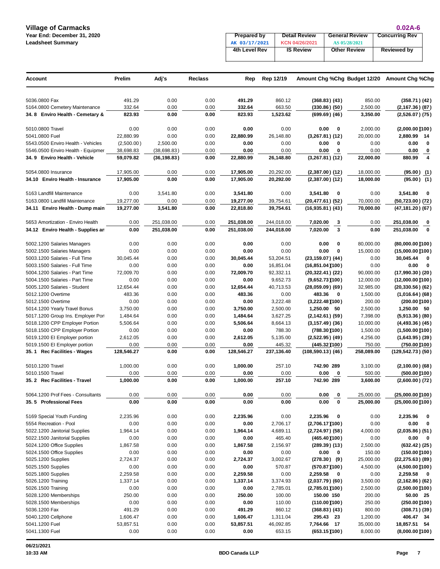| <b>Village of Carmacks</b>  |                    |                      |                       | $0.02A - 6$           |
|-----------------------------|--------------------|----------------------|-----------------------|-----------------------|
| Year End: December 31, 2020 | <b>Prepared by</b> | <b>Detail Review</b> | <b>General Review</b> | <b>Concurring Rev</b> |
| <b>Leadsheet Summarv</b>    | AK 03/17/2021      | KCN 04/26/2021       | AS 05/28/2021         |                       |
|                             | 4th Level Rev      | <b>IS Review</b>     | <b>Other Review</b>   | Reviewed by           |
|                             |                    |                      |                       |                       |

| Account                                | Prelim           | Adj's        | Reclass      | Rep              | Rep 12/19        |                                               |                    | Amount Chg %Chg Budget 12/20 Amount Chg %Chg  |
|----------------------------------------|------------------|--------------|--------------|------------------|------------------|-----------------------------------------------|--------------------|-----------------------------------------------|
| 5036.0800 Fax                          | 491.29           | 0.00         | 0.00         | 491.29           | 860.12           | $(368.83)$ $(43)$                             | 850.00             | $(358.71)$ $(42)$                             |
| 5164.0800 Cemetery Maintenance         | 332.64           | 0.00         | 0.00         | 332.64           | 663.50           | $(330.86)$ $(50)$                             | 2,500.00           | $(2,167.36)$ $(87)$                           |
| 34.8 Enviro Health - Cemetary &        | 823.93           | 0.00         | 0.00         | 823.93           | 1,523.62         | $(699.69)$ $(46)$                             | 3,350.00           | $(2,526.07)$ (75)                             |
| 5010.0800 Travel                       | 0.00             | 0.00         | 0.00         | 0.00             | 0.00             | 0.00<br>0                                     | 2,000.00           | (2,000.00)(100)                               |
| 5041.0800 Fuel                         | 22,880.99        | 0.00         | 0.00         | 22,880.99        | 26,148.80        | $(3,267.81)$ (12)                             | 20,000.00          | 2,880.99<br>14                                |
| 5543.0500 Enviro Health - Vehicles     | (2,500.00)       | 2,500.00     | 0.00         | 0.00             | 0.00             | 0.00<br>0                                     | 0.00               | 0.00<br>0                                     |
| 5546.0500 Enviro Health - Equipmer     | 38,698.83        | (38, 698.83) | 0.00         | 0.00             | 0.00             | 0.00<br>0                                     | 0.00               | 0.00<br>$\overline{\mathbf{0}}$               |
| 34.9 Enviro Health - Vehicle           | 59,079.82        | (36, 198.83) | 0.00         | 22,880.99        | 26,148.80        | $(3,267.81)$ (12)                             | 22,000.00          | $\overline{4}$<br>880.99                      |
| 5054.0800 Insurance                    | 17,905.00        | 0.00         | 0.00         | 17,905.00        | 20,292.00        | $(2,387.00)$ $(12)$                           | 18,000.00          | $(95.00)$ $(1)$                               |
| 34.10 Enviro Health - Insurance        | 17,905.00        | 0.00         | 0.00         | 17,905.00        | 20,292.00        | $(2,387.00)$ $(12)$                           | 18,000.00          | $(95.00)$ $(1)$                               |
| 5163 Landfill Maintenance              | 0.00             | 3,541.80     | 0.00         | 3,541.80         | 0.00             | 3,541.80<br>0                                 | 0.00               | 3,541.80<br>0                                 |
| 5163.0800 Landfill Maintenance         | 19,277.00        | 0.00         | 0.00         | 19,277.00        | 39,754.61        | $(20, 477.61)$ (52)                           | 70,000.00          | $(50, 723.00)$ $(72)$                         |
| 34.11 Enviro Health - Dump main        | 19,277.00        | 3,541.80     | 0.00         | 22,818.80        | 39,754.61        | $(16,935.81)$ $(43)$                          | 70,000.00          | $(47, 181.20)$ (67)                           |
| 5653 Amortization - Enviro Health      | 0.00             | 251,038.00   | 0.00         | 251,038.00       | 244,018.00       | 7,020.00<br>3                                 | 0.00               | 251,038.00<br>0                               |
| 34.12 Enviro Health - Supplies ar      | 0.00             | 251,038.00   | 0.00         | 251,038.00       | 244,018.00       | 3<br>7,020.00                                 | 0.00               | $\mathbf 0$<br>251,038.00                     |
| 5002.1200 Salaries Managers            | 0.00             | 0.00         | 0.00         | 0.00             | 0.00             | 0.00<br>0                                     | 80,000.00          | (80,000.00)(100)                              |
| 5002.1500 Salaries Managers            | 0.00             | 0.00         | 0.00         | 0.00             | 0.00             | 0.00<br>0                                     | 15,000.00          | (15,000.00)(100)                              |
| 5003.1200 Salaries - Full Time         | 30,045.44        | 0.00         | 0.00         | 30,045.44        | 53,204.51        | $(23, 159.07)$ $(44)$                         | 0.00               | 30,045.44<br>0                                |
| 5003.1500 Salaries - Full Time         | 0.00             | 0.00         | 0.00         | 0.00             | 16,851.04        | (16, 851.04)(100)                             | 0.00               | 0.00<br>0                                     |
| 5004.1200 Salaries - Part Time         | 72,009.70        | 0.00         | 0.00         | 72,009.70        | 92,332.11        | $(20, 322.41)$ $(22)$                         | 90,000.00          | $(17,990.30)$ $(20)$                          |
| 5004.1500 Salaries - Part Time         | 0.00             | 0.00         | 0.00         | 0.00             | 9,652.73         | (9,652.73)(100)                               | 12,000.00          | (12,000.00)(100)                              |
| 5005.1200 Salaries - Student           | 12,654.44        | 0.00         | 0.00         | 12,654.44        | 40,713.53        | $(28,059.09)$ (69)                            | 32,985.00          | $(20, 330.56)$ (62)                           |
| 5012.1200 Overtime                     | 483.36           | 0.00         | 0.00         | 483.36           | 0.00             | 483.36<br>$\mathbf{0}$                        | 1,500.00           | $(1,016.64)$ (68)                             |
| 5012.1500 Overtime                     | 0.00             | 0.00         | 0.00         | 0.00             | 3,222.48         | (3,222.48)(100)                               | 200.00             | (200.00)(100)                                 |
| 5014.1200 Yearly Travel Bonus          | 3,750.00         | 0.00         | 0.00         | 3,750.00         | 2,500.00         | 1,250.00 50                                   | 2,500.00           | 1,250.00 50                                   |
| 5017.1200 Group Ins. Employer Por      | 1,484.64         | 0.00         | 0.00         | 1,484.64         | 3,627.25         | $(2, 142.61)$ (59)                            | 7,398.00           | $(5,913.36)$ $(80)$                           |
| 5018.1200 CPP Employer Portion         | 5,506.64         | 0.00         | 0.00         | 5,506.64         | 8,664.13         | $(3, 157.49)$ $(36)$                          | 10,000.00          | $(4,493.36)$ $(45)$                           |
| 5018.1500 CPP Employer Portion         | 0.00             | 0.00         | 0.00         | 0.00             | 788.30           | (788.30)(100)                                 | 1,500.00           | (1,500.00)(100)                               |
| 5019.1200 EI Employer portion          | 2,612.05         | 0.00         | 0.00         | 2,612.05         | 5,135.00         | $(2,522.95)$ (49)                             | 4,256.00           | $(1,643.95)$ (39)                             |
| 5019.1500 EI Employer portion          | 0.00             | 0.00         | 0.00         | 0.00             | 445.32           | (445.32)(100)                                 | 750.00             | (750.00 )(100)                                |
| 35.1 Rec Facilities - Wages            | 128,546.27       | 0.00         | 0.00         | 128,546.27       | 237,136.40       | $(108,590.13)$ $(46)$                         | 258,089.00         | $(129, 542.73)$ (50)                          |
| 5010.1200 Travel                       | 1,000.00         | 0.00         | 0.00         | 1,000.00         | 257.10           | 742.90 289                                    | 3,100.00           | $(2,100.00)$ (68)                             |
| 5010.1500 Travel                       | 0.00             | 0.00         | 0.00         | 0.00             | 0.00             | 0.00<br>0                                     | 500.00             | (500.00 )(100 )                               |
| 35.2 Rec Facilities - Travel           | 1,000.00         | 0.00         | 0.00         | 1,000.00         | 257.10           | 742.90 289                                    | 3,600.00           | $(2,600.00)$ $(72)$                           |
| 5064.1200 Prof Fees - Consultants      | 0.00             | 0.00         | 0.00         | 0.00             | 0.00             | 0.00<br>0                                     | 25.000.00          | (25,000.00) (100)                             |
| 35.5 Professional Fees                 | 0.00             | 0.00         | 0.00         | 0.00             | 0.00             | 0<br>0.00                                     | 25,000.00          | (25,000.00)(100)                              |
| 5169 Special Youth Funding             | 2,235.96         | 0.00         | 0.00         | 2,235.96         | 0.00             | 2,235.96<br>0                                 | 0.00               | 2,235.96<br>0                                 |
| 5554 Recreation - Pool                 | 0.00             | 0.00         | 0.00         | 0.00             | 2,706.17         | (2,706.17)(100)                               | 0.00               | 0.00<br>0                                     |
| 5022.1200 Janitorial Supplies          | 1,964.14         | 0.00         | 0.00         | 1,964.14         | 4,689.11         | $(2,724.97)$ (58)                             | 4,000.00           | $(2,035.86)$ (51)                             |
| 5022.1500 Janitorial Supplies          | 0.00             | 0.00         | 0.00         | 0.00             | 465.40           | (465.40)(100)                                 | 0.00               | 0.00<br>$\mathbf 0$                           |
| 5024.1200 Office Supplies              | 1,867.58         | 0.00         | 0.00         | 1,867.58         | 2,156.97         | $(289.39)$ $(13)$                             | 2,500.00           | (632.42) (25)                                 |
| 5024.1500 Office Supplies              | 0.00             | 0.00         | 0.00         | 0.00             | 0.00             | 0.00<br>0                                     | 150.00             | (150.00)(100)                                 |
| 5025.1200 Supplies                     | 2,724.37         | 0.00         | 0.00         | 2,724.37         | 3,002.67         | $(278.30)$ (9)                                | 25,000.00          | $(22, 275.63)$ $(89)$                         |
| 5025.1500 Supplies                     | 0.00<br>2,259.58 | 0.00         | 0.00         | 0.00<br>2,259.58 | 570.87           | (570.87)(100)                                 | 4,500.00           | (4,500.00)(100)                               |
| 5025.1800 Supplies                     | 1,337.14         | 0.00<br>0.00 | 0.00<br>0.00 | 1,337.14         | 0.00<br>3,374.93 | 2,259.58<br>$\mathbf{0}$<br>$(2,037.79)$ (60) | 0.00<br>3,500.00   | 2,259.58<br>$\mathbf{0}$<br>$(2,162.86)$ (62) |
| 5026.1200 Training                     | 0.00             |              | 0.00         |                  |                  |                                               |                    |                                               |
| 5026.1500 Training                     | 250.00           | 0.00         |              | 0.00<br>250.00   | 2,785.01         | (2,785.01)(100)<br>150.00 150                 | 2,500.00<br>200.00 | (2,500.00)(100)<br>50.00 25                   |
| 5028.1200 Memberships                  | 0.00             | 0.00<br>0.00 | 0.00<br>0.00 | 0.00             | 100.00<br>110.00 | (110.00)(100)                                 | 250.00             | (250.00)(100)                                 |
| 5028.1500 Memberships<br>5036.1200 Fax | 491.29           | 0.00         | 0.00         | 491.29           | 860.12           |                                               | 800.00             | $(308.71)$ $(39)$                             |
| 5040.1200 Cellphone                    | 1,606.47         | 0.00         | 0.00         | 1,606.47         | 1,311.04         | $(368.83)$ $(43)$<br>295.43 23                | 1,200.00           | 406.47 34                                     |
| 5041.1200 Fuel                         | 53,857.51        | 0.00         | 0.00         | 53,857.51        | 46,092.85        | 7,764.66 17                                   | 35,000.00          | 18,857.51 54                                  |
| 5041.1300 Fuel                         | 0.00             | 0.00         | 0.00         | 0.00             | 653.15           | (653.15)(100)                                 | 8,000.00           | (8,000.00)(100)                               |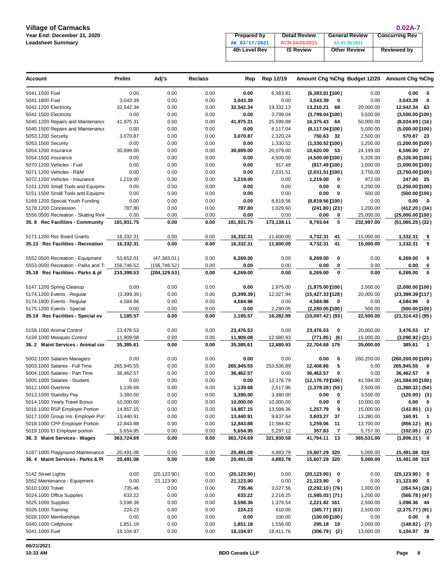| <b>Village of Carmacks</b>  |                    |                      |                       | $0.02A-7$             |
|-----------------------------|--------------------|----------------------|-----------------------|-----------------------|
| Year End: December 31, 2020 | <b>Prepared by</b> | <b>Detail Review</b> | <b>General Review</b> | <b>Concurring Rev</b> |
| <b>Leadsheet Summarv</b>    | AK 03/17/2021      | KCN 04/26/2021       | AS 05/28/2021         |                       |
|                             | 4th Level Rev      | <b>IS Review</b>     | <b>Other Review</b>   | Reviewed by           |
|                             |                    |                      |                       |                       |

| Account                                            | Prelim       | Adj's         | <b>Reclass</b> | Rep                       | Rep 12/19    |                                    |              | Amount Chg %Chg Budget 12/20 Amount Chg %Chg |
|----------------------------------------------------|--------------|---------------|----------------|---------------------------|--------------|------------------------------------|--------------|----------------------------------------------|
| 5041.1500 Fuel                                     | 0.00         | 0.00          | 0.00           | 0.00                      | 6,383.81     | (6,383.81)(100)                    | 0.00         | 0.00<br>0                                    |
| 5041.1800 Fuel                                     | 3,043.39     | 0.00          | 0.00           | 3,043.39                  | 0.00         | 3,043.39<br>0                      | 0.00         | 3,043.39<br>0                                |
| 5042.1200 Electricity                              | 32,542.34    | 0.00          | 0.00           | 32,542.34                 | 19,332.13    | 13,210.21<br>68                    | 20,000.00    | 12,542.34 63                                 |
| 5042.1500 Electricity                              | 0.00         | 0.00          | 0.00           | 0.00                      | 3,799.04     | (3,799.04)(100)                    | 3,500.00     | (3,500.00)(100)                              |
| 5045.1200 Repairs and Maintenance                  | 41,975.31    | 0.00          | 0.00           | 41,975.31                 | 25,599.88    | 16,375.43 64                       | 50,000.00    | $(8,024.69)$ (16)                            |
| 5045.1500 Repairs and Maintenance                  | 0.00         | 0.00          | 0.00           | 0.00                      | 8,117.04     | (8, 117.04)(100)                   | 5,000.00     | (5,000.00)(100)                              |
| 5053.1200 Security                                 | 3,070.87     | 0.00          | 0.00           | 3,070.87                  | 2,320.24     | 750.63 32                          | 2,500.00     | 570.87 23                                    |
| 5053.1500 Security                                 | 0.00         | 0.00          | 0.00           | 0.00                      | 1,330.52     | (1,330.52)(100)                    | 1,200.00     | (1,200.00)(100)                              |
| 5054.1200 Insurance                                | 30,699.00    | 0.00          | 0.00           | 30,699.00                 | 20,079.00    | 10,620.00 53                       | 24,199.00    | 6,500.00 27                                  |
| 5054.1500 Insurance                                | 0.00         | 0.00          | 0.00           | 0.00                      | 4,500.00     | (4,500.00)(100)                    | 5,326.00     | (5,326.00)(100)                              |
| 5070.1200 Vehicles - Fuel                          | 0.00         | 0.00          | 0.00           | 0.00                      | 917.49       | (917.49)(100)                      | 1,000.00     | (1,000.00)(100)                              |
| 5071.1200 Vehicles - R&M                           | 0.00         | 0.00          | 0.00           | 0.00                      | 2,031.51     | (2,031.51)(100)                    | 3,750.00     | (3,750.00)(100)                              |
| 5072.1200 Vehicles - Insurance                     | 1,219.00     | 0.00          | 0.00           | 1,219.00                  | 0.00         | 1,219.00<br>0                      | 972.00       | 247.00 25                                    |
| 5151.1200 Small Tools and Equipme                  | 0.00         | 0.00          | 0.00           | 0.00                      | 0.00         | 0.00<br>0                          | 1,250.00     | (1,250.00)(100)                              |
| 5151.1500 Small Tools and Equipme                  | 0.00         | 0.00          | 0.00           | 0.00                      | 0.00         | 0.00<br>0                          | 500.00       | (500.00)(100)                                |
| 5169.1200 Special Youth Funding                    | 0.00         | 0.00          | 0.00           | 0.00                      | 8,819.56     | (8,819.56)(100)                    | 0.00         | 0.00<br>$\mathbf{0}$                         |
| 5178.1200 Concession                               | 787.80       | 0.00          | 0.00           | 787.80                    | 1,029.60     | $(241.80)$ $(23)$                  | 1,200.00     | (412.20)(34)                                 |
| 5556.0500 Recreation - Skating Rink                | 0.00         | 0.00          | 0.00           | 0.00                      | 0.00         | 0.00<br>0                          | 25,000.00    | (25,000.00)(100)                             |
| 35.8 Rec Facilities - Community                    | 181,931.75   | 0.00          | 0.00           | 181,931.75                | 173,138.11   | 5<br>8,793.64                      | 232,997.00   | $(51,065.25)$ $(22)$                         |
|                                                    |              |               |                |                           |              |                                    |              |                                              |
| 5171.1200 Rec Board Grants                         | 16,332.31    | 0.00          | 0.00           | 16,332.31                 | 11,600.00    | 4,732.31<br>41                     | 15,000.00    | 1,332.31<br>9                                |
| 35.13 Rec Facilities - Recreation                  | 16,332.31    | 0.00          | 0.00           | 16,332.31                 | 11,600.00    | 41<br>4,732.31                     | 15,000.00    | 9<br>1,332.31                                |
| 5552.0500 Recreation - Equipment                   | 53,652.01    | (47, 383.01)  | 0.00           | 6,269.00                  | 0.00         | 6,269.00<br>0                      | 0.00         | 6,269.00<br>0                                |
| 5553.0500 Recreation - Parks and T                 | 156,746.52   | (156, 746.52) | 0.00           | 0.00                      | 0.00         | 0.00<br>0                          | 0.00         | 0.00<br>0                                    |
| 35.18 Rec Facilities - Parks & pl                  | 210,398.53   | (204, 129.53) | 0.00           | 6,269.00                  | 0.00         | 6,269.00<br>0                      | 0.00         | 6,269.00<br>$\mathbf 0$                      |
| 5147.1200 Spring Cleanup                           | 0.00         | 0.00          | 0.00           | 0.00                      | 1,975.00     | (1,975.00)(100)                    | 2,000.00     | (2,000.00)(100)                              |
| 5174.1200 Events - Regular                         | (3,399.39)   | 0.00          | 0.00           | (3,399.39)                | 12,027.94    | (15, 427.33)(128)                  | 20,000.00    | (23,399.39)(117)                             |
| 5174.1800 Events - Regular                         | 4,584.96     | 0.00          | 0.00           | 4,584.96                  | 0.00         | 4,584.96<br>0                      | 0.00         | 4,584.96<br>$\bf{0}$                         |
| 5175.1200 Events - Special                         | 0.00         | 0.00          | 0.00           | 0.00                      | 2,280.05     | (2,280.05)(100)                    | 500.00       | (500.00)(100)                                |
| 35.19 Rec Facilities - Special ev                  | 1,185.57     | 0.00          | 0.00           | 1,185.57                  | 16,282.99    | $(15,097.42)$ (93)                 | 22,500.00    | $(21, 314.43)$ (95)                          |
| 5158.1000 Animal Control                           | 23,476.53    | 0.00          | 0.00           | 23,476.53                 | 0.00         | 23,476.53<br>0                     | 20,000.00    | 3,476.53 17                                  |
| 5159.1000 Mosquito Control                         | 11,909.08    | 0.00          | 0.00           | 11,909.08                 | 12,680.93    | (771.85)<br>(6)                    | 15,000.00    | $(3,090.92)$ $(21)$                          |
| 36. 2 Maint Services - Animal cor                  | 35,385.61    | 0.00          | 0.00           | 35,385.61                 | 12,680.93    | 22,704.68 179                      | 35,000.00    | 385.61<br>$\overline{1}$                     |
|                                                    |              |               |                |                           |              |                                    |              |                                              |
| 5002.1000 Salaries Managers                        | 0.00         | 0.00          | 0.00           | 0.00                      | 0.00         | 0<br>0.00                          | 260,200.00   | $(260, 200.00)$ (100)                        |
| 5003.1000 Salaries - Full Time                     | 265,945.55   | 0.00          | 0.00           | 265,945.55                | 253,536.89   | 12,408.66<br>5                     | 0.00         | 265,945.55<br>0                              |
| 5004.1000 Salaries - Part Time                     | 36,462.57    | 0.00          | 0.00           | 36,462.57                 | 0.00         | 36,462.57<br>0                     | 0.00         | 36,462.57<br>0                               |
| 5005.1000 Salaries - Student                       | 0.00         | 0.00          | 0.00           | 0.00                      | 12,176.79    | (12, 176.79)(100)                  | 41,594.00    | (41,594.00)(100)                             |
| 5012.1000 Overtime                                 | 1,139.68     | 0.00          | 0.00           | 1,139.68                  | 2,517.96     | $(1,378.28)$ (55)                  | 2,500.00     | $(1,360.32)$ (54)                            |
| 5013.1000 Standby Pay                              | 3,380.00     | 0.00          | 0.00           | 3,380.00                  | 3,380.00     | 0.00 0                             | 3,500.00     | $(120.00)$ $(3)$                             |
| 5014.1000 Yearly Travel Bonus                      | 10,000.00    | 0.00          | 0.00           | 10,000.00                 | 10,000.00    | 0.00<br>0                          | 10,000.00    | 0<br>0.00                                    |
| 5016.1000 RSP Employer Portion                     | 14,857.15    | 0.00          | 0.00           | 14,857.15                 | 13,599.36    | 1,257.79<br>9                      | 15,000.00    | $(142.85)$ $(1)$                             |
| 5017.1000 Group Ins. Employer Por                  | 13,440.91    | 0.00          | 0.00           | 13,440.91                 | 9,837.64     | 3,603.27 37                        | 13,280.00    | 160.91<br>$\mathbf{1}$                       |
| 5018.1000 CPP Employer Portion                     | 12,843.88    | 0.00          | 0.00           | 12,843.88                 | 11,584.82    | 1,259.06 11                        | 13,700.00    | $(856.12)$ $(6)$                             |
| 5019.1000 EI Employer portion                      | 5,654.95     | 0.00          | 0.00           | 5,654.95                  | 5,297.12     | 357.83<br>$\overline{7}$           | 5,757.00     | $(102.05)$ (2)                               |
| 36. 3 Maint Services - Wages                       | 363,724.69   | 0.00          | 0.00           | 363,724.69                | 321,930.58   | 41,794.11 13                       | 365,531.00   | $(1,806.31)$ 0                               |
| 5167.1000 Playground Maintenance                   | 20,491.08    | 0.00          | 0.00           | 20,491.08                 | 4,883.79     | 15,607.29 320                      | 5,000.00     | 15,491.08 310                                |
| 36.4 Maint Services - Parks & Pl                   | 20,491.08    | 0.00          | 0.00           | 20,491.08                 | 4,883.79     | 15,607.29 320                      | 5,000.00     | 15,491.08 310                                |
|                                                    |              | (20, 123.90)  |                |                           |              |                                    |              |                                              |
| 5142 Street Lights<br>5562 Maintenance - Equipment | 0.00<br>0.00 | 21,123.90     | 0.00<br>0.00   | (20, 123.90)<br>21,123.90 | 0.00<br>0.00 | $(20, 123.90)$ 0<br>21,123.90<br>0 | 0.00<br>0.00 | $(20, 123.90)$ 0<br>21,123.90<br>$\mathbf 0$ |
|                                                    |              |               |                |                           |              |                                    |              |                                              |
| 5010.1000 Travel                                   | 735.46       | 0.00          | 0.00           | 735.46                    | 3,027.56     | $(2,292.10)$ (76)                  | 1,000.00     | $(264.54)$ $(26)$                            |
| 5024.1000 Office Supplies                          | 633.22       | 0.00          | 0.00           | 633.22                    | 2,218.25     | $(1,585.03)$ (71)                  | 1,200.00     | $(566.78)$ $(47)$                            |
| 5025.1000 Supplies                                 | 3,598.36     | 0.00          | 0.00           | 3,598.36                  | 1,376.54     | 2,221.82 161                       | 2,500.00     | 1,098.36 44                                  |
| 5026.1000 Training                                 | 224.23       | 0.00          | 0.00           | 224.23                    | 610.00       | $(385.77)$ $(63)$                  | 2,500.00     | $(2,275.77)$ (91)                            |
| 5028.1000 Memberships                              | 0.00         | 0.00          | 0.00           | 0.00                      | 100.00       | (100.00)(100)                      | 0.00         | 0.00<br>$\mathbf{0}$                         |
| 5040.1000 Cellphone                                | 1,851.18     | 0.00          | 0.00           | 1,851.18                  | 1,556.00     | 295.18 19                          | 2,000.00     | (148.82) (7)                                 |
| 5041.1000 Fuel                                     | 18,104.97    | 0.00          | 0.00           | 18,104.97                 | 18,411.76    | $(306.79)$ $(2)$                   | 13,000.00    | 5,104.97 39                                  |